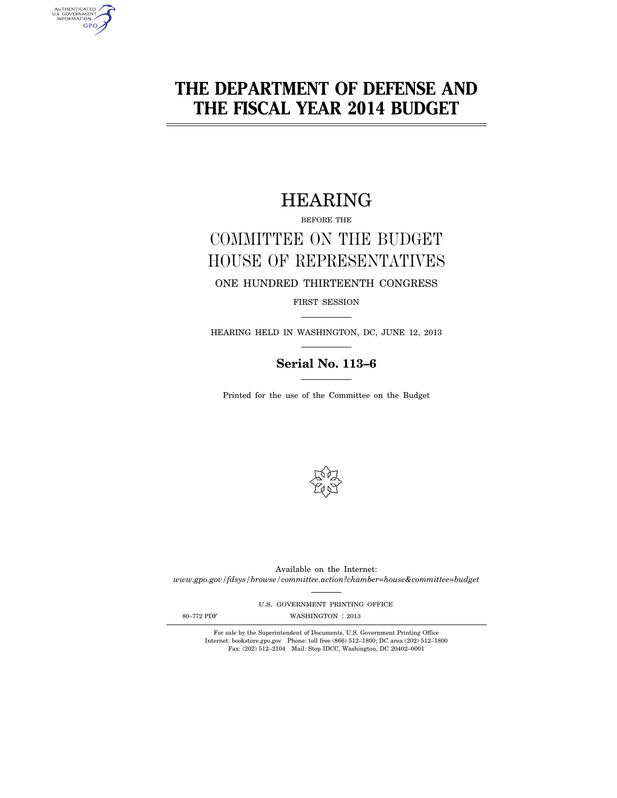# **THE DEPARTMENT OF DEFENSE AND THE FISCAL YEAR 2014 BUDGET**

# HEARING

BEFORE THE

# COMMITTEE ON THE BUDGET HOUSE OF REPRESENTATIVES

ONE HUNDRED THIRTEENTH CONGRESS

FIRST SESSION

HEARING HELD IN WASHINGTON, DC, JUNE 12, 2013

# **Serial No. 113–6**

Printed for the use of the Committee on the Budget



Available on the Internet: *www.gpo.gov/fdsys/browse/committee.action?chamber=house&committee=budget* 

U.S. GOVERNMENT PRINTING OFFICE

AUTHENTICATED<br>U.S. GOVERNMENT<br>INFORMATION **GPO** 

80-772 PDF WASHINGTON : 2013

For sale by the Superintendent of Documents, U.S. Government Printing Office Internet: bookstore.gpo.gov Phone: toll free (866) 512–1800; DC area (202) 512–1800 Fax: (202) 512–2104 Mail: Stop IDCC, Washington, DC 20402–0001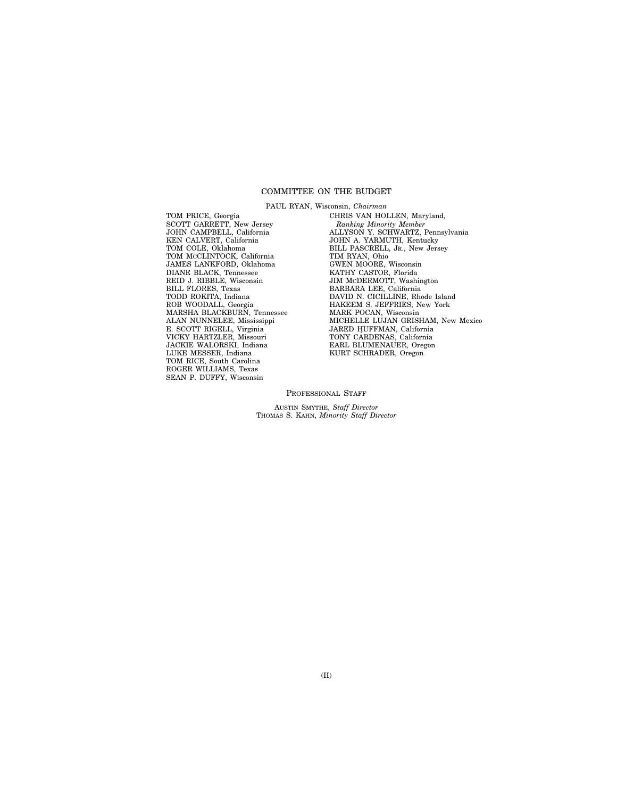# COMMITTEE ON THE BUDGET

PAUL RYAN, Wisconsin, *Chairman* 

TOM PRICE, Georgia SCOTT GARRETT, New Jersey JOHN CAMPBELL, California KEN CALVERT, California TOM COLE, Oklahoma TOM MCCLINTOCK, California JAMES LANKFORD, Oklahoma DIANE BLACK, Tennessee REID J. RIBBLE, Wisconsin BILL FLORES, Texas TODD ROKITA, Indiana ROB WOODALL, Georgia MARSHA BLACKBURN, Tennessee ALAN NUNNELEE, Mississippi E. SCOTT RIGELL, Virginia VICKY HARTZLER, Missouri JACKIE WALORSKI, Indiana LUKE MESSER, Indiana TOM RICE, South Carolina ROGER WILLIAMS, Texas SEAN P. DUFFY, Wisconsin

CHRIS VAN HOLLEN, Maryland, *Ranking Minority Member*  ALLYSON Y. SCHWARTZ, Pennsylvania JOHN A. YARMUTH, Kentucky BILL PASCRELL, JR., New Jersey TIM RYAN, Ohio GWEN MOORE, Wisconsin KATHY CASTOR, Florida JIM MCDERMOTT, Washington BARBARA LEE, California DAVID N. CICILLINE, Rhode Island HAKEEM S. JEFFRIES, New York MARK POCAN, Wisconsin MICHELLE LUJAN GRISHAM, New Mexico JARED HUFFMAN, California<br>TONY CARDENAS, California EARL BLUMENAUER, Oregon KURT SCHRADER, Oregon

PROFESSIONAL STAFF

AUSTIN SMYTHE, *Staff Director*  THOMAS S. KAHN, *Minority Staff Director*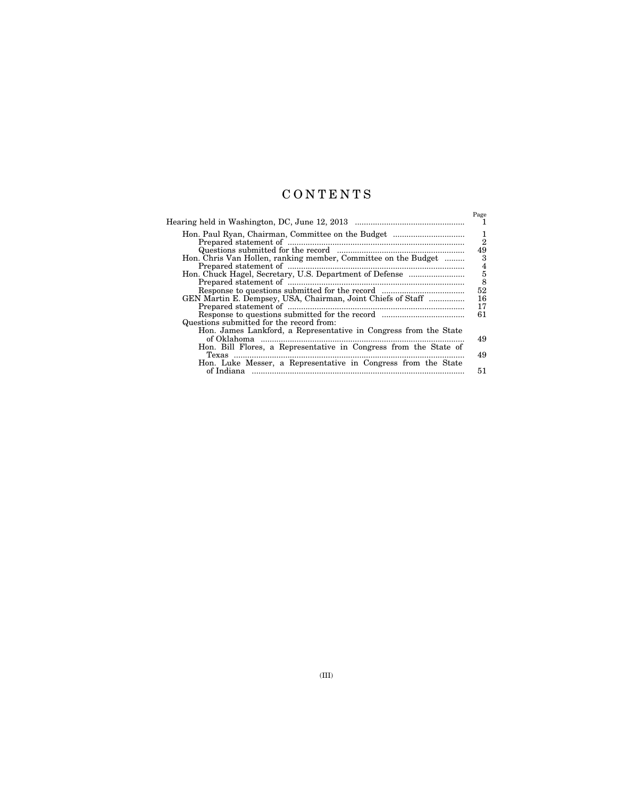# C O N T E N T S

|                                                                                                              | Page                |
|--------------------------------------------------------------------------------------------------------------|---------------------|
|                                                                                                              | 1<br>$\overline{2}$ |
| Hon. Chris Van Hollen, ranking member, Committee on the Budget                                               | 49<br>3             |
|                                                                                                              | $\frac{4}{5}$       |
| GEN Martin E. Dempsey, USA, Chairman, Joint Chiefs of Staff                                                  | 52<br>16            |
|                                                                                                              | 17<br>61            |
| Questions submitted for the record from:<br>Hon. James Lankford, a Representative in Congress from the State |                     |
| Hon. Bill Flores, a Representative in Congress from the State of                                             | 49<br>49            |
| Hon. Luke Messer, a Representative in Congress from the State                                                | 51                  |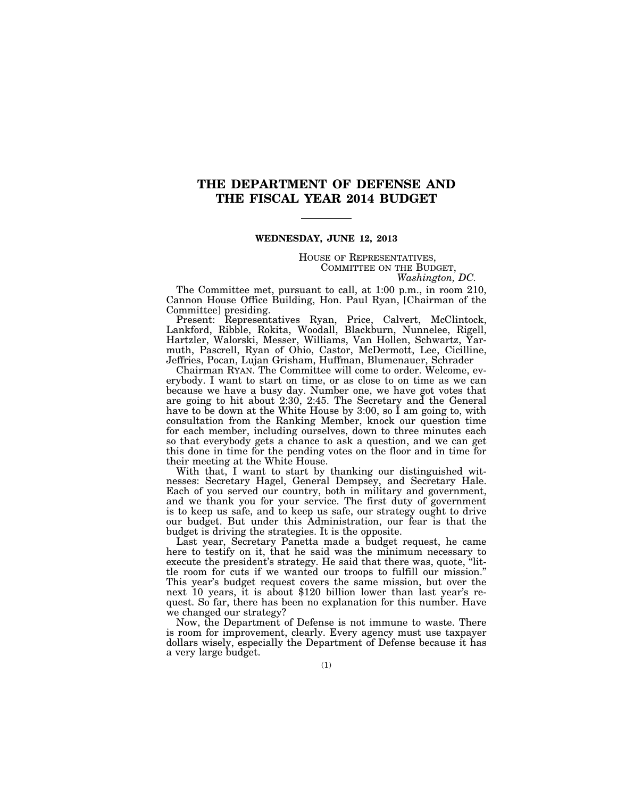# **THE DEPARTMENT OF DEFENSE AND THE FISCAL YEAR 2014 BUDGET**

# **WEDNESDAY, JUNE 12, 2013**

HOUSE OF REPRESENTATIVES, COMMITTEE ON THE BUDGET, *Washington, DC.* 

The Committee met, pursuant to call, at 1:00 p.m., in room 210, Cannon House Office Building, Hon. Paul Ryan, [Chairman of the Committee] presiding.

Present: Representatives Ryan, Price, Calvert, McClintock, Lankford, Ribble, Rokita, Woodall, Blackburn, Nunnelee, Rigell, Hartzler, Walorski, Messer, Williams, Van Hollen, Schwartz, Yarmuth, Pascrell, Ryan of Ohio, Castor, McDermott, Lee, Cicilline, Jeffries, Pocan, Lujan Grisham, Huffman, Blumenauer, Schrader

Chairman RYAN. The Committee will come to order. Welcome, everybody. I want to start on time, or as close to on time as we can because we have a busy day. Number one, we have got votes that are going to hit about 2:30, 2:45. The Secretary and the General have to be down at the White House by 3:00, so I am going to, with consultation from the Ranking Member, knock our question time for each member, including ourselves, down to three minutes each so that everybody gets a chance to ask a question, and we can get this done in time for the pending votes on the floor and in time for their meeting at the White House.

With that, I want to start by thanking our distinguished witnesses: Secretary Hagel, General Dempsey, and Secretary Hale. Each of you served our country, both in military and government, and we thank you for your service. The first duty of government is to keep us safe, and to keep us safe, our strategy ought to drive our budget. But under this Administration, our fear is that the budget is driving the strategies. It is the opposite.

Last year, Secretary Panetta made a budget request, he came here to testify on it, that he said was the minimum necessary to execute the president's strategy. He said that there was, quote, ''little room for cuts if we wanted our troops to fulfill our mission.'' This year's budget request covers the same mission, but over the next 10 years, it is about \$120 billion lower than last year's request. So far, there has been no explanation for this number. Have we changed our strategy?

Now, the Department of Defense is not immune to waste. There is room for improvement, clearly. Every agency must use taxpayer dollars wisely, especially the Department of Defense because it has a very large budget.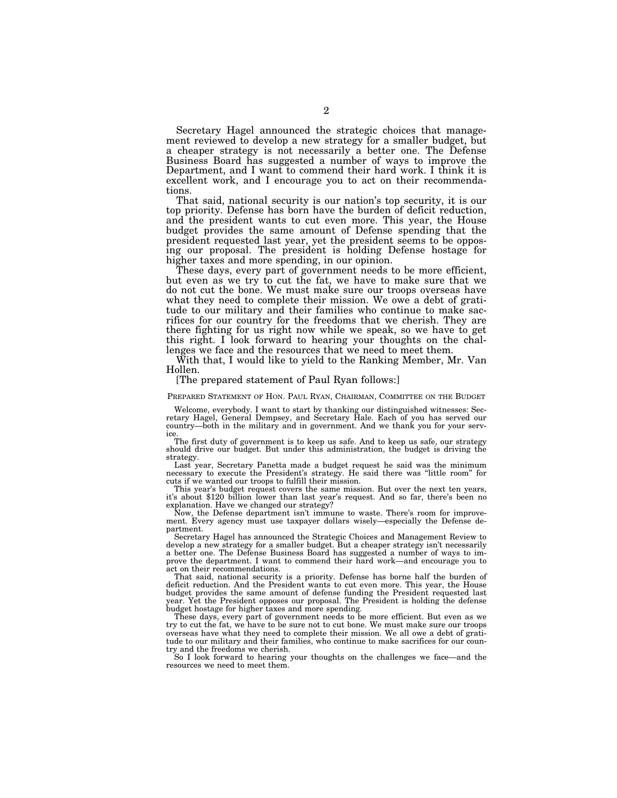Secretary Hagel announced the strategic choices that management reviewed to develop a new strategy for a smaller budget, but a cheaper strategy is not necessarily a better one. The Defense Business Board has suggested a number of ways to improve the Department, and I want to commend their hard work. I think it is excellent work, and I encourage you to act on their recommendations.

That said, national security is our nation's top security, it is our top priority. Defense has born have the burden of deficit reduction, and the president wants to cut even more. This year, the House budget provides the same amount of Defense spending that the president requested last year, yet the president seems to be opposing our proposal. The president is holding Defense hostage for higher taxes and more spending, in our opinion.

These days, every part of government needs to be more efficient, but even as we try to cut the fat, we have to make sure that we do not cut the bone. We must make sure our troops overseas have what they need to complete their mission. We owe a debt of gratitude to our military and their families who continue to make sacrifices for our country for the freedoms that we cherish. They are there fighting for us right now while we speak, so we have to get this right. I look forward to hearing your thoughts on the challenges we face and the resources that we need to meet them.

With that, I would like to yield to the Ranking Member, Mr. Van Hollen.

# [The prepared statement of Paul Ryan follows:]

PREPARED STATEMENT OF HON. PAUL RYAN, CHAIRMAN, COMMITTEE ON THE BUDGET

Welcome, everybody. I want to start by thanking our distinguished witnesses: Sec-retary Hagel, General Dempsey, and Secretary Hale. Each of you has served our country—both in the military and in government. And we thank you for your service.

The first duty of government is to keep us safe. And to keep us safe, our strategy should drive our budget. But under this administration, the budget is driving the strategy.

Last year, Secretary Panetta made a budget request he said was the minimum necessary to execute the President's strategy. He said there was ''little room'' for cuts if we wanted our troops to fulfill their mission.<br>This year's budget request covers the same mission. But over the next ten years,

it's about \$120 billion lower than last year's request. And so far, there's been no explanation. Have we changed our strategy?

Now, the Defense department isn't immune to waste. There's room for improvement. Every agency must use taxpayer dollars wisely—especially the Defense department.

Secretary Hagel has announced the Strategic Choices and Management Review to develop a new strategy for a smaller budget. But a cheaper strategy isn't necessarily a better one. The Defense Business Board has suggested a number of ways to improve the department. I want to commend their hard work—and encourage you to act on their recommendations.

That said, national security is a priority. Defense has borne half the burden of deficit reduction. And the President wants to cut even more. This year, the House budget provides the same amount of defense funding the President requested last year. Yet the President opposes our proposal. The President is holding the defense budget hostage for higher taxes and more spending.

These days, every part of government needs to be more efficient. But even as we try to cut the fat, we have to be sure not to cut bone. We must make sure our troops overseas have what they need to complete their mission. We all owe a debt of gratitude to our military and their families, who continue to make sacrifices for our country and the freedoms we cherish.

So I look forward to hearing your thoughts on the challenges we face—and the resources we need to meet them.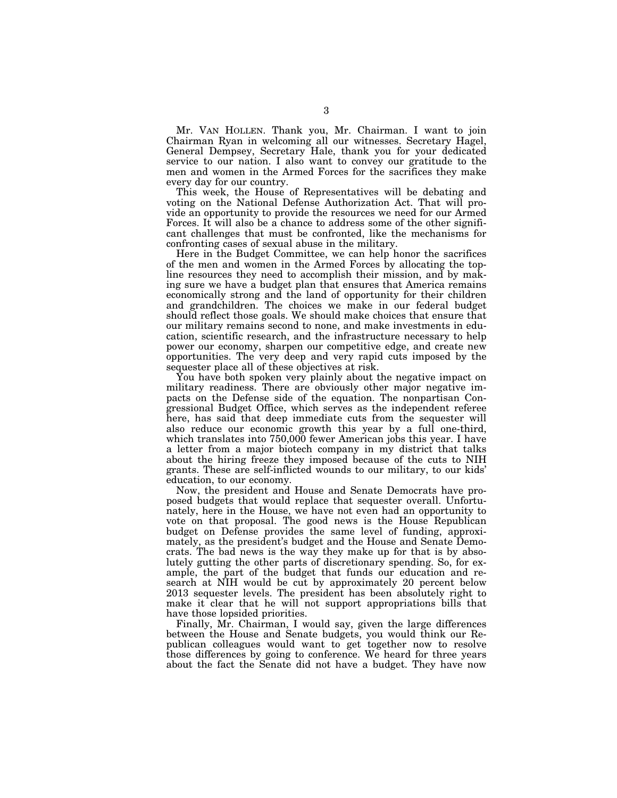Mr. VAN HOLLEN. Thank you, Mr. Chairman. I want to join Chairman Ryan in welcoming all our witnesses. Secretary Hagel, General Dempsey, Secretary Hale, thank you for your dedicated service to our nation. I also want to convey our gratitude to the men and women in the Armed Forces for the sacrifices they make every day for our country.

This week, the House of Representatives will be debating and voting on the National Defense Authorization Act. That will provide an opportunity to provide the resources we need for our Armed Forces. It will also be a chance to address some of the other significant challenges that must be confronted, like the mechanisms for confronting cases of sexual abuse in the military.

Here in the Budget Committee, we can help honor the sacrifices of the men and women in the Armed Forces by allocating the topline resources they need to accomplish their mission, and by making sure we have a budget plan that ensures that America remains economically strong and the land of opportunity for their children and grandchildren. The choices we make in our federal budget should reflect those goals. We should make choices that ensure that our military remains second to none, and make investments in education, scientific research, and the infrastructure necessary to help power our economy, sharpen our competitive edge, and create new opportunities. The very deep and very rapid cuts imposed by the sequester place all of these objectives at risk.

You have both spoken very plainly about the negative impact on military readiness. There are obviously other major negative impacts on the Defense side of the equation. The nonpartisan Congressional Budget Office, which serves as the independent referee here, has said that deep immediate cuts from the sequester will also reduce our economic growth this year by a full one-third, which translates into 750,000 fewer American jobs this year. I have a letter from a major biotech company in my district that talks about the hiring freeze they imposed because of the cuts to NIH grants. These are self-inflicted wounds to our military, to our kids' education, to our economy.

Now, the president and House and Senate Democrats have proposed budgets that would replace that sequester overall. Unfortunately, here in the House, we have not even had an opportunity to vote on that proposal. The good news is the House Republican budget on Defense provides the same level of funding, approximately, as the president's budget and the House and Senate Democrats. The bad news is the way they make up for that is by absolutely gutting the other parts of discretionary spending. So, for example, the part of the budget that funds our education and research at NIH would be cut by approximately 20 percent below 2013 sequester levels. The president has been absolutely right to make it clear that he will not support appropriations bills that have those lopsided priorities.

Finally, Mr. Chairman, I would say, given the large differences between the House and Senate budgets, you would think our Republican colleagues would want to get together now to resolve those differences by going to conference. We heard for three years about the fact the Senate did not have a budget. They have now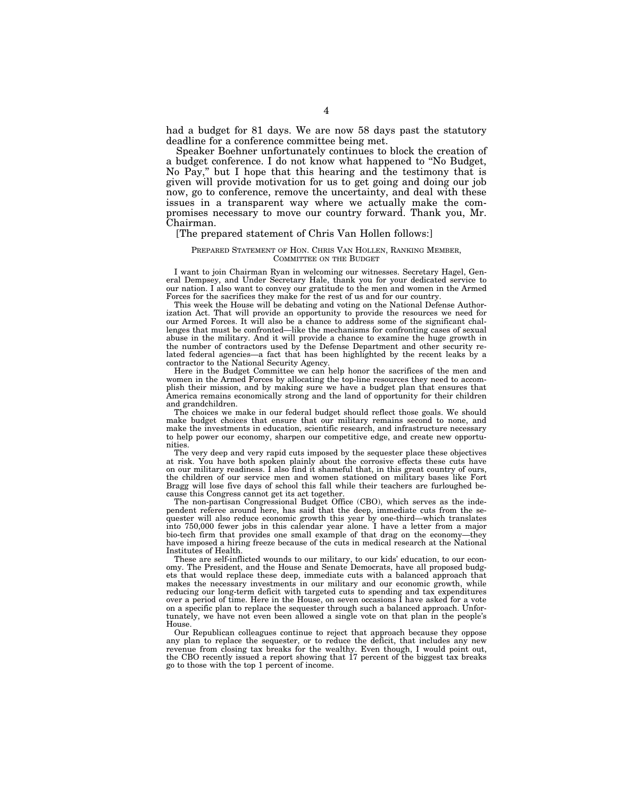had a budget for 81 days. We are now 58 days past the statutory deadline for a conference committee being met.

Speaker Boehner unfortunately continues to block the creation of a budget conference. I do not know what happened to ''No Budget, No Pay,'' but I hope that this hearing and the testimony that is given will provide motivation for us to get going and doing our job now, go to conference, remove the uncertainty, and deal with these issues in a transparent way where we actually make the compromises necessary to move our country forward. Thank you, Mr. Chairman.

# [The prepared statement of Chris Van Hollen follows:]

# PREPARED STATEMENT OF HON. CHRIS VAN HOLLEN, RANKING MEMBER, COMMITTEE ON THE BUDGET

I want to join Chairman Ryan in welcoming our witnesses. Secretary Hagel, General Dempsey, and Under Secretary Hale, thank you for your dedicated service to our nation. I also want to convey our gratitude to the men and women in the Armed Forces for the sacrifices they make for the rest of us and for our country.

This week the House will be debating and voting on the National Defense Authorization Act. That will provide an opportunity to provide the resources we need for our Armed Forces. It will also be a chance to address some of the significant challenges that must be confronted—like the mechanisms for confronting cases of sexual abuse in the military. And it will provide a chance to examine the huge growth in the number of contractors used by the Defense Department and other security related federal agencies—a fact that has been highlighted by the recent leaks by a contractor to the National Security Agency.

Here in the Budget Committee we can help honor the sacrifices of the men and women in the Armed Forces by allocating the top-line resources they need to accomplish their mission, and by making sure we have a budget plan that ensures that America remains economically strong and the land of opportunity for their children and grandchildren.

The choices we make in our federal budget should reflect those goals. We should make budget choices that ensure that our military remains second to none, and make the investments in education, scientific research, and infrastructure necessary to help power our economy, sharpen our competitive edge, and create new opportunities.

The very deep and very rapid cuts imposed by the sequester place these objectives at risk. You have both spoken plainly about the corrosive effects these cuts have on our military readiness. I also find it shameful that, in this great country of ours, the children of our service men and women stationed on military bases like Fort Bragg will lose five days of school this fall while their teachers are furloughed because this Congress cannot get its act together.

The non-partisan Congressional Budget Office (CBO), which serves as the independent referee around here, has said that the deep, immediate cuts from the sequester will also reduce economic growth this year by one-third—which translates into 750,000 fewer jobs in this calendar year alone. I have a letter from a major bio-tech firm that provides one small example of that drag on the economy—they have imposed a hiring freeze because of the cuts in medical research at the National Institutes of Health.

These are self-inflicted wounds to our military, to our kids' education, to our economy. The President, and the House and Senate Democrats, have all proposed budgets that would replace these deep, immediate cuts with a balanced approach that makes the necessary investments in our military and our economic growth, while reducing our long-term deficit with targeted cuts to spending and tax expenditures over a period of time. Here in the House, on seven occasions I have asked for a vote on a specific plan to replace the sequester through such a balanced approach. Unfortunately, we have not even been allowed a single vote on that plan in the people's House.

Our Republican colleagues continue to reject that approach because they oppose any plan to replace the sequester, or to reduce the deficit, that includes any new revenue from closing tax breaks for the wealthy. Even though, I would point out, the CBO recently issued a report showing that 17 percent of the biggest tax breaks go to those with the top 1 percent of income.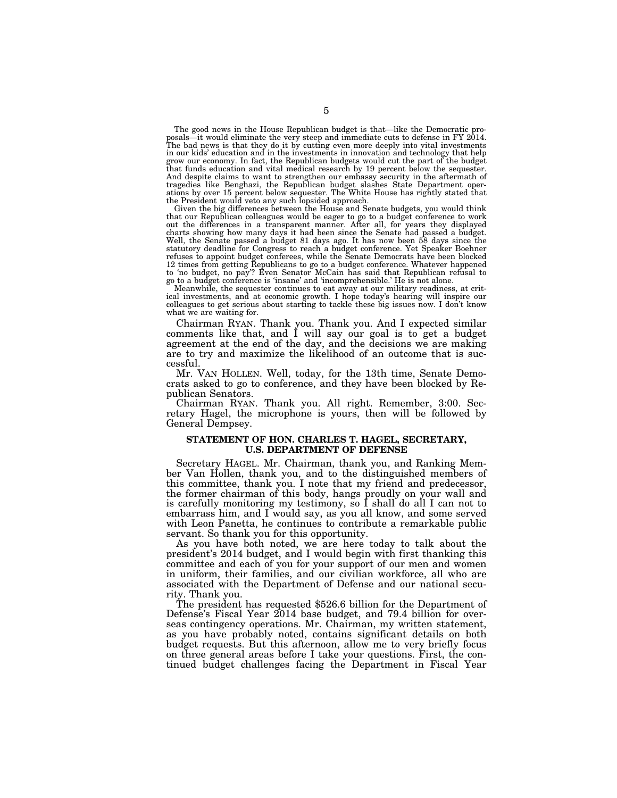The good news in the House Republican budget is that—like the Democratic proposals—it would eliminate the very steep and immediate cuts to defense in FY 2014. The bad news is that they do it by cutting even more deeply into vital investments in our kids' education and in the investments in innovation and technology that help grow our economy. In fact, the Republican budgets would cut the part of the budget that funds education and vital medical research by 19 percent below the sequester. And despite claims to want to strengthen our embassy security in the aftermath of tragedies like Benghazi, the Republican budget slashes State Department operations by over 15 percent below sequester. The White House has rightly stated that the President would veto any such lopsided approach.

Given the big differences between the House and Senate budgets, you would think that our Republican colleagues would be eager to go to a budget conference to work out the differences in a transparent manner. After all, for years they displayed charts showing how many days it had been since the Senate had passed a budget. Well, the Senate passed a budget 81 days ago. It has now been 58 days since the statutory deadline for Congress to reach a budget conference. Yet Speaker Boehner refuses to appoint budget conferees, while the Senate Democrats have been blocked 12 times from getting Republicans to go to a budget conference. Whatever happened to 'no budget, no pay'? Even Senator McCain has said that Republican refusal to go to a budget conference is 'insane' and 'incomprehensible.' He is not alone.

Meanwhile, the sequester continues to eat away at our military readiness, at critical investments, and at economic growth. I hope today's hearing will inspire our colleagues to get serious about starting to tackle these big issues now. I don't know what we are waiting for.

Chairman RYAN. Thank you. Thank you. And I expected similar comments like that, and I will say our goal is to get a budget agreement at the end of the day, and the decisions we are making are to try and maximize the likelihood of an outcome that is successful.

Mr. VAN HOLLEN. Well, today, for the 13th time, Senate Democrats asked to go to conference, and they have been blocked by Republican Senators.

Chairman RYAN. Thank you. All right. Remember, 3:00. Secretary Hagel, the microphone is yours, then will be followed by General Dempsey.

# **STATEMENT OF HON. CHARLES T. HAGEL, SECRETARY, U.S. DEPARTMENT OF DEFENSE**

Secretary HAGEL. Mr. Chairman, thank you, and Ranking Member Van Hollen, thank you, and to the distinguished members of this committee, thank you. I note that my friend and predecessor, the former chairman of this body, hangs proudly on your wall and is carefully monitoring my testimony, so I shall do all I can not to embarrass him, and I would say, as you all know, and some served with Leon Panetta, he continues to contribute a remarkable public servant. So thank you for this opportunity.

As you have both noted, we are here today to talk about the president's 2014 budget, and I would begin with first thanking this committee and each of you for your support of our men and women in uniform, their families, and our civilian workforce, all who are associated with the Department of Defense and our national security. Thank you.

The president has requested \$526.6 billion for the Department of Defense's Fiscal Year 2014 base budget, and 79.4 billion for overseas contingency operations. Mr. Chairman, my written statement, as you have probably noted, contains significant details on both budget requests. But this afternoon, allow me to very briefly focus on three general areas before I take your questions. First, the continued budget challenges facing the Department in Fiscal Year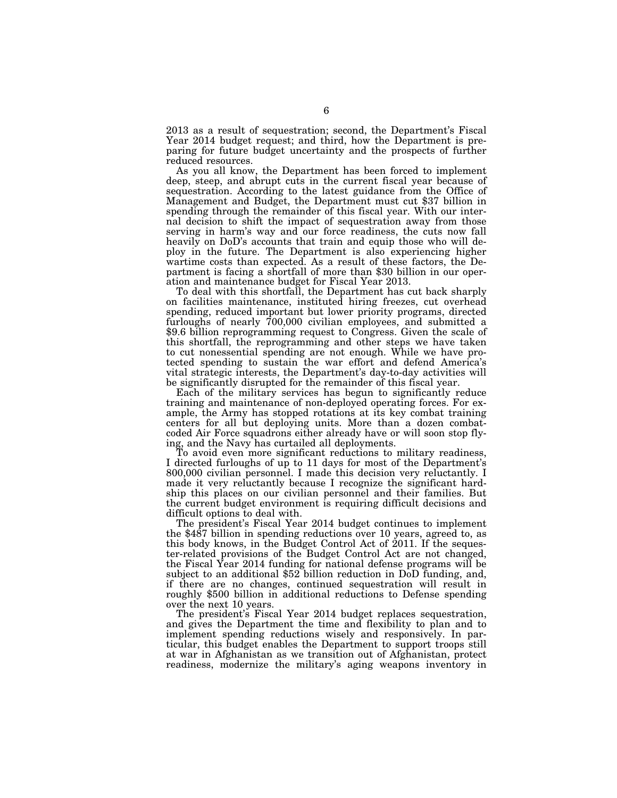2013 as a result of sequestration; second, the Department's Fiscal Year 2014 budget request; and third, how the Department is preparing for future budget uncertainty and the prospects of further reduced resources.

As you all know, the Department has been forced to implement deep, steep, and abrupt cuts in the current fiscal year because of sequestration. According to the latest guidance from the Office of Management and Budget, the Department must cut \$37 billion in spending through the remainder of this fiscal year. With our internal decision to shift the impact of sequestration away from those serving in harm's way and our force readiness, the cuts now fall heavily on DoD's accounts that train and equip those who will deploy in the future. The Department is also experiencing higher wartime costs than expected. As a result of these factors, the Department is facing a shortfall of more than \$30 billion in our operation and maintenance budget for Fiscal Year 2013.

To deal with this shortfall, the Department has cut back sharply on facilities maintenance, instituted hiring freezes, cut overhead spending, reduced important but lower priority programs, directed furloughs of nearly 700,000 civilian employees, and submitted a \$9.6 billion reprogramming request to Congress. Given the scale of this shortfall, the reprogramming and other steps we have taken to cut nonessential spending are not enough. While we have protected spending to sustain the war effort and defend America's vital strategic interests, the Department's day-to-day activities will be significantly disrupted for the remainder of this fiscal year.

Each of the military services has begun to significantly reduce training and maintenance of non-deployed operating forces. For example, the Army has stopped rotations at its key combat training centers for all but deploying units. More than a dozen combatcoded Air Force squadrons either already have or will soon stop flying, and the Navy has curtailed all deployments.

To avoid even more significant reductions to military readiness, I directed furloughs of up to 11 days for most of the Department's 800,000 civilian personnel. I made this decision very reluctantly. I made it very reluctantly because I recognize the significant hardship this places on our civilian personnel and their families. But the current budget environment is requiring difficult decisions and difficult options to deal with.

The president's Fiscal Year 2014 budget continues to implement the \$487 billion in spending reductions over 10 years, agreed to, as this body knows, in the Budget Control Act of 2011. If the sequester-related provisions of the Budget Control Act are not changed, the Fiscal Year 2014 funding for national defense programs will be subject to an additional \$52 billion reduction in DoD funding, and, if there are no changes, continued sequestration will result in roughly \$500 billion in additional reductions to Defense spending over the next 10 years.

The president's Fiscal Year 2014 budget replaces sequestration, and gives the Department the time and flexibility to plan and to implement spending reductions wisely and responsively. In particular, this budget enables the Department to support troops still at war in Afghanistan as we transition out of Afghanistan, protect readiness, modernize the military's aging weapons inventory in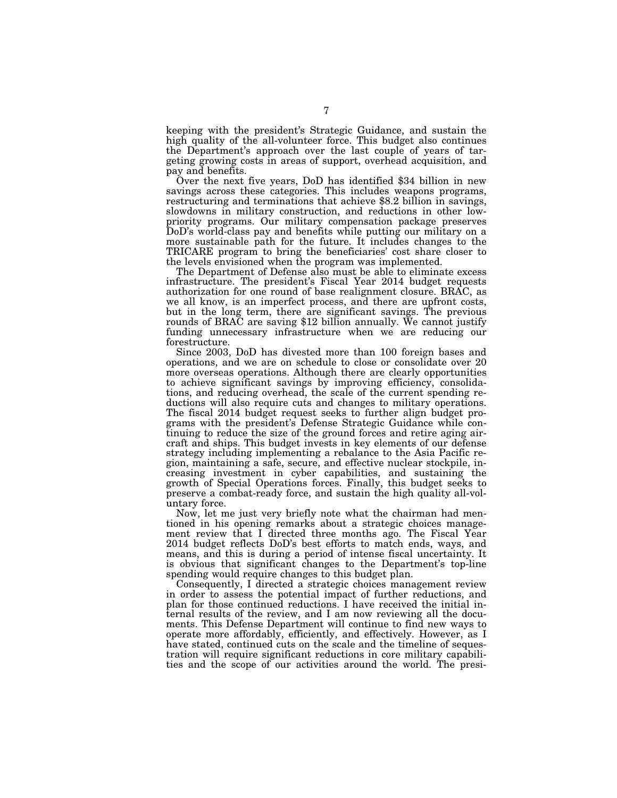keeping with the president's Strategic Guidance, and sustain the high quality of the all-volunteer force. This budget also continues the Department's approach over the last couple of years of targeting growing costs in areas of support, overhead acquisition, and pay and benefits.

Over the next five years, DoD has identified \$34 billion in new savings across these categories. This includes weapons programs, restructuring and terminations that achieve \$8.2 billion in savings, slowdowns in military construction, and reductions in other lowpriority programs. Our military compensation package preserves DoD's world-class pay and benefits while putting our military on a more sustainable path for the future. It includes changes to the TRICARE program to bring the beneficiaries' cost share closer to the levels envisioned when the program was implemented.

The Department of Defense also must be able to eliminate excess infrastructure. The president's Fiscal Year 2014 budget requests authorization for one round of base realignment closure. BRAC, as we all know, is an imperfect process, and there are upfront costs, but in the long term, there are significant savings. The previous rounds of BRAC are saving \$12 billion annually. We cannot justify funding unnecessary infrastructure when we are reducing our forestructure.

Since 2003, DoD has divested more than 100 foreign bases and operations, and we are on schedule to close or consolidate over 20 more overseas operations. Although there are clearly opportunities to achieve significant savings by improving efficiency, consolidations, and reducing overhead, the scale of the current spending reductions will also require cuts and changes to military operations. The fiscal 2014 budget request seeks to further align budget programs with the president's Defense Strategic Guidance while continuing to reduce the size of the ground forces and retire aging aircraft and ships. This budget invests in key elements of our defense strategy including implementing a rebalance to the Asia Pacific region, maintaining a safe, secure, and effective nuclear stockpile, increasing investment in cyber capabilities, and sustaining the growth of Special Operations forces. Finally, this budget seeks to preserve a combat-ready force, and sustain the high quality all-voluntary force.

Now, let me just very briefly note what the chairman had mentioned in his opening remarks about a strategic choices management review that I directed three months ago. The Fiscal Year 2014 budget reflects DoD's best efforts to match ends, ways, and means, and this is during a period of intense fiscal uncertainty. It is obvious that significant changes to the Department's top-line spending would require changes to this budget plan.

Consequently, I directed a strategic choices management review in order to assess the potential impact of further reductions, and plan for those continued reductions. I have received the initial internal results of the review, and I am now reviewing all the documents. This Defense Department will continue to find new ways to operate more affordably, efficiently, and effectively. However, as I have stated, continued cuts on the scale and the timeline of sequestration will require significant reductions in core military capabilities and the scope of our activities around the world. The presi-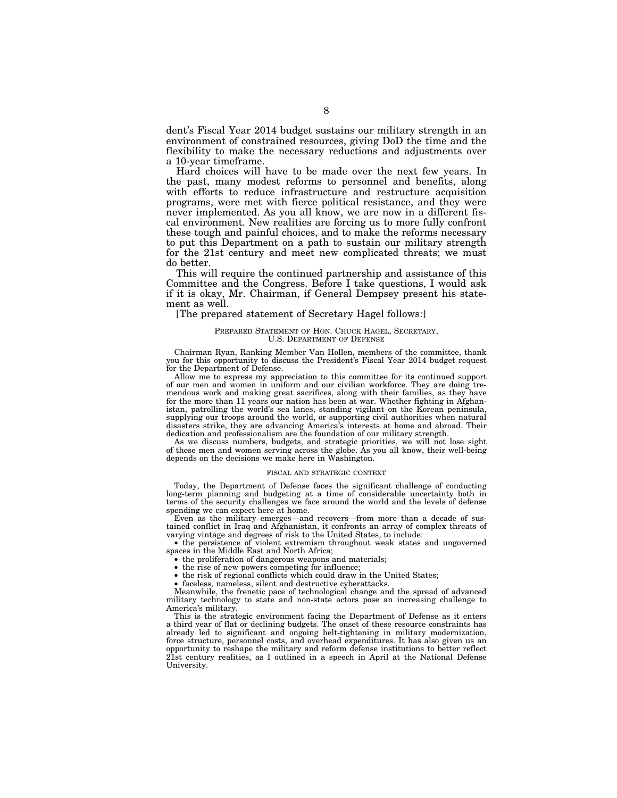dent's Fiscal Year 2014 budget sustains our military strength in an environment of constrained resources, giving DoD the time and the flexibility to make the necessary reductions and adjustments over a 10-year timeframe.

Hard choices will have to be made over the next few years. In the past, many modest reforms to personnel and benefits, along with efforts to reduce infrastructure and restructure acquisition programs, were met with fierce political resistance, and they were never implemented. As you all know, we are now in a different fiscal environment. New realities are forcing us to more fully confront these tough and painful choices, and to make the reforms necessary to put this Department on a path to sustain our military strength for the 21st century and meet new complicated threats; we must do better.

This will require the continued partnership and assistance of this Committee and the Congress. Before I take questions, I would ask if it is okay, Mr. Chairman, if General Dempsey present his statement as well.

# [The prepared statement of Secretary Hagel follows:]

# PREPARED STATEMENT OF HON. CHUCK HAGEL, SECRETARY, U.S. DEPARTMENT OF DEFENSE

Chairman Ryan, Ranking Member Van Hollen, members of the committee, thank you for this opportunity to discuss the President's Fiscal Year 2014 budget request for the Department of Defense.

Allow me to express my appreciation to this committee for its continued support of our men and women in uniform and our civilian workforce. They are doing tremendous work and making great sacrifices, along with their families, as they have for the more than 11 years our nation has been at war. Whether fighting in Afghanistan, patrolling the world's sea lanes, standing vigilant on the Korean peninsula, supplying our troops around the world, or supporting civil authorities when natural disasters strike, they are advancing America's interests at home and abroad. Their dedication and professionalism are the foundation of our military strength.

As we discuss numbers, budgets, and strategic priorities, we will not lose sight of these men and women serving across the globe. As you all know, their well-being depends on the decisions we make here in Washington.

#### FISCAL AND STRATEGIC CONTEXT

Today, the Department of Defense faces the significant challenge of conducting long-term planning and budgeting at a time of considerable uncertainty both in terms of the security challenges we face around the world and the levels of defense spending we can expect here at home.

Even as the military emerges—and recovers—from more than a decade of sustained conflict in Iraq and Afghanistan, it confronts an array of complex threats of varying vintage and degrees of risk to the United States, to include:

• the persistence of violent extremism throughout weak states and ungoverned spaces in the Middle East and North Africa;

• the proliferation of dangerous weapons and materials;

• the rise of new powers competing for influence;

• the risk of regional conflicts which could draw in the United States;

• faceless, nameless, silent and destructive cyberattacks.

Meanwhile, the frenetic pace of technological change and the spread of advanced military technology to state and non-state actors pose an increasing challenge to America's military.

This is the strategic environment facing the Department of Defense as it enters a third year of flat or declining budgets. The onset of these resource constraints has already led to significant and ongoing belt-tightening in military modernization, force structure, personnel costs, and overhead expenditures. It has also given us an opportunity to reshape the military and reform defense institutions to better reflect 21st century realities, as I outlined in a speech in April at the National Defense University.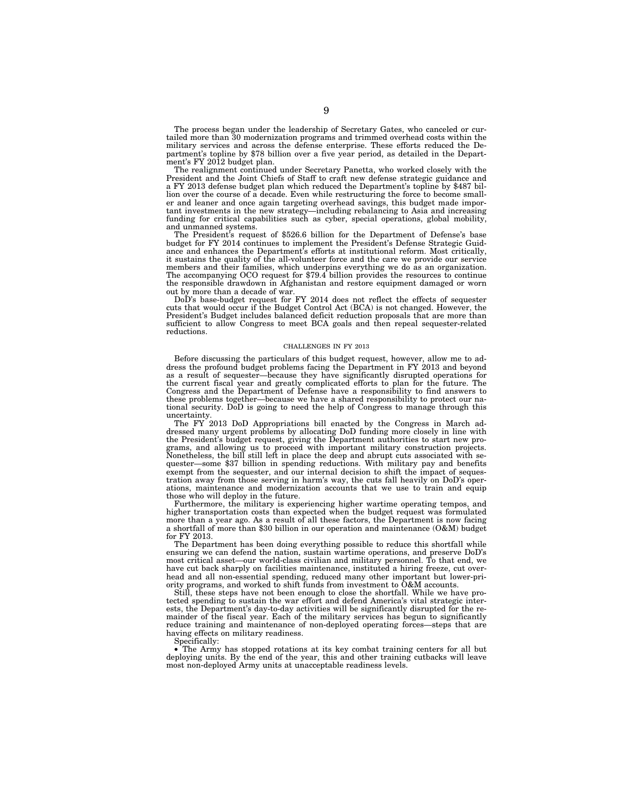The process began under the leadership of Secretary Gates, who canceled or curtailed more than 30 modernization programs and trimmed overhead costs within the military services and across the defense enterprise. These efforts reduced the Department's topline by \$78 billion over a five year period, as detailed in the Department's FY 2012 budget plan.

The realignment continued under Secretary Panetta, who worked closely with the President and the Joint Chiefs of Staff to craft new defense strategic guidance and a FY 2013 defense budget plan which reduced the Department's topline by \$487 billion over the course of a decade. Even while restructuring the force to become smaller and leaner and once again targeting overhead savings, this budget made important investments in the new strategy—including rebalancing to Asia and increasing funding for critical capabilities such as cyber, special operations, global mobility, and unmanned systems.

The President's request of \$526.6 billion for the Department of Defense's base budget for FY 2014 continues to implement the President's Defense Strategic Guidance and enhances the Department's efforts at institutional reform. Most critically, it sustains the quality of the all-volunteer force and the care we provide our service members and their families, which underpins everything we do as an organization. The accompanying OCO request for \$79.4 billion provides the resources to continue the responsible drawdown in Afghanistan and restore equipment damaged or worn out by more than a decade of war.

DoD's base-budget request for FY 2014 does not reflect the effects of sequester cuts that would occur if the Budget Control Act (BCA) is not changed. However, the President's Budget includes balanced deficit reduction proposals that are more than sufficient to allow Congress to meet BCA goals and then repeal sequester-related reductions.

#### CHALLENGES IN FY 2013

Before discussing the particulars of this budget request, however, allow me to address the profound budget problems facing the Department in FY 2013 and beyond as a result of sequester—because they have significantly disrupted operations for the current fiscal year and greatly complicated efforts to plan for the future. The Congress and the Department of Defense have a responsibility to find answers to these problems together—because we have a shared responsibility to protect our national security. DoD is going to need the help of Congress to manage through this uncertainty.

The FY 2013 DoD Appropriations bill enacted by the Congress in March addressed many urgent problems by allocating DoD funding more closely in line with the President's budget request, giving the Department authorities to start new programs, and allowing us to proceed with important military construction projects. Nonetheless, the bill still left in place the deep and abrupt cuts associated with sequester—some \$37 billion in spending reductions. With military pay and benefits exempt from the sequester, and our internal decision to shift the impact of sequestration away from those serving in harm's way, the cuts fall heavily on DoD's operations, maintenance and modernization accounts that we use to train and equip those who will deploy in the future.

Furthermore, the military is experiencing higher wartime operating tempos, and higher transportation costs than expected when the budget request was formulated more than a year ago. As a result of all these factors, the Department is now facing a shortfall of more than \$30 billion in our operation and maintenance (O&M) budget for FY 2013.

The Department has been doing everything possible to reduce this shortfall while ensuring we can defend the nation, sustain wartime operations, and preserve DoD's most critical asset—our world-class civilian and military personnel. To that end, we have cut back sharply on facilities maintenance, instituted a hiring freeze, cut overhead and all non-essential spending, reduced many other important but lower-priority programs, and worked to shift funds from investment to O&M accounts.

Still, these steps have not been enough to close the shortfall. While we have protected spending to sustain the war effort and defend America's vital strategic interests, the Department's day-to-day activities will be significantly disrupted for the remainder of the fiscal year. Each of the military services has begun to significantly reduce training and maintenance of non-deployed operating forces—steps that are having effects on military readiness.

Specifically:

• The Army has stopped rotations at its key combat training centers for all but deploying units. By the end of the year, this and other training cutbacks will leave most non-deployed Army units at unacceptable readiness levels.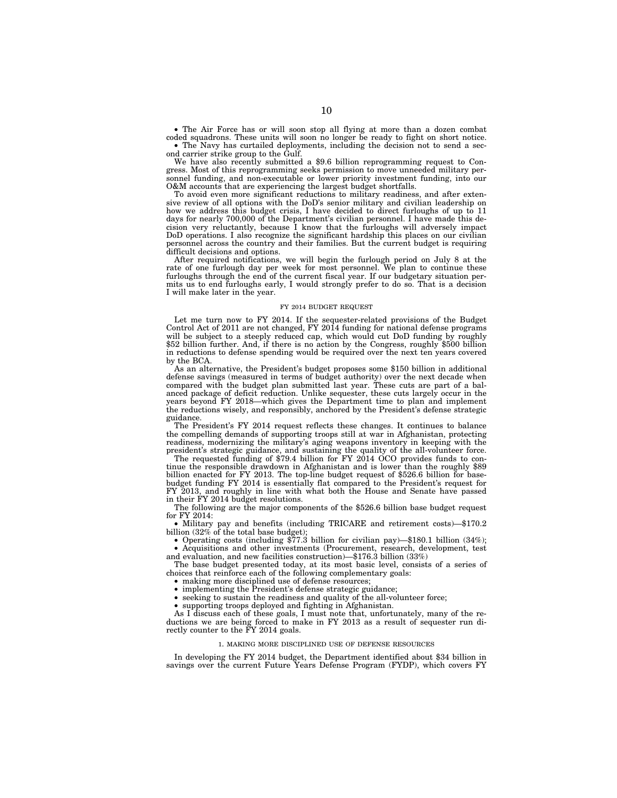• The Air Force has or will soon stop all flying at more than a dozen combat coded squadrons. These units will soon no longer be ready to fight on short notice.

• The Navy has curtailed deployments, including the decision not to send a second carrier strike group to the Gulf.

We have also recently submitted a \$9.6 billion reprogramming request to Congress. Most of this reprogramming seeks permission to move unneeded military personnel funding, and non-executable or lower priority investment funding, into our O&M accounts that are experiencing the largest budget shortfalls.

To avoid even more significant reductions to military readiness, and after extensive review of all options with the DoD's senior military and civilian leadership on how we address this budget crisis, I have decided to direct furloughs of up to 11 days for nearly 700,000 of the Department's civilian personnel. I have made this decision very reluctantly, because I know that the furloughs will adversely impact DoD operations. I also recognize the significant hardship this places on our civilian personnel across the country and their families. But the current budget is requiring difficult decisions and options.

After required notifications, we will begin the furlough period on July 8 at the rate of one furlough day per week for most personnel. We plan to continue these furloughs through the end of the current fiscal year. If our budgetary situation permits us to end furloughs early, I would strongly prefer to do so. That is a decision I will make later in the year.

#### FY 2014 BUDGET REQUEST

Let me turn now to FY 2014. If the sequester-related provisions of the Budget Control Act of 2011 are not changed, FY 2014 funding for national defense programs will be subject to a steeply reduced cap, which would cut DoD funding by roughly \$52 billion further. And, if there is no action by the Congress, roughly \$500 billion in reductions to defense spending would be required over the next ten years covered by the BCA.

As an alternative, the President's budget proposes some \$150 billion in additional defense savings (measured in terms of budget authority) over the next decade when compared with the budget plan submitted last year. These cuts are part of a balanced package of deficit reduction. Unlike sequester, these cuts largely occur in the years beyond FY 2018—which gives the Department time to plan and implement the reductions wisely, and responsibly, anchored by the President's defense strategic guidance.

The President's FY 2014 request reflects these changes. It continues to balance the compelling demands of supporting troops still at war in Afghanistan, protecting readiness, modernizing the military's aging weapons inventory in keeping with the president's strategic guidance, and sustaining the quality of the all-volunteer force.

The requested funding of \$79.4 billion for FY 2014 OCO provides funds to continue the responsible drawdown in Afghanistan and is lower than the roughly \$89 billion enacted for FY 2013. The top-line budget request of \$526.6 billion for basebudget funding FY 2014 is essentially flat compared to the President's request for FY 2013, and roughly in line with what both the House and Senate have passed in their FY 2014 budget resolutions.

The following are the major components of the \$526.6 billion base budget request for FY 2014:

• Military pay and benefits (including TRICARE and retirement costs)—\$170.2 billion (32% of the total base budget);

• Operating costs (including \$77.3 billion for civilian pay)—\$180.1 billion (34%); • Acquisitions and other investments (Procurement, research, development, test and evaluation, and new facilities construction)—\$176.3 billion (33%)

The base budget presented today, at its most basic level, consists of a series of choices that reinforce each of the following complementary goals:

• making more disciplined use of defense resources;

• implementing the President's defense strategic guidance;

• seeking to sustain the readiness and quality of the all-volunteer force;

• supporting troops deployed and fighting in Afghanistan.

As I discuss each of these goals, I must note that, unfortunately, many of the reductions we are being forced to make in FY 2013 as a result of sequester run directly counter to the FY 2014 goals.

# 1. MAKING MORE DISCIPLINED USE OF DEFENSE RESOURCES

In developing the FY 2014 budget, the Department identified about \$34 billion in savings over the current Future Years Defense Program (FYDP), which covers FY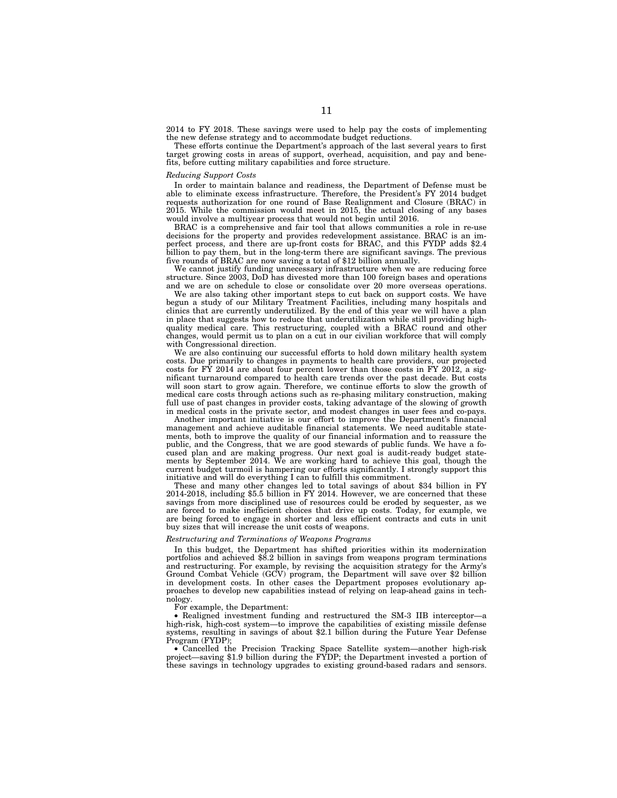2014 to FY 2018. These savings were used to help pay the costs of implementing the new defense strategy and to accommodate budget reductions.

These efforts continue the Department's approach of the last several years to first target growing costs in areas of support, overhead, acquisition, and pay and benefits, before cutting military capabilities and force structure.

# *Reducing Support Costs*

In order to maintain balance and readiness, the Department of Defense must be able to eliminate excess infrastructure. Therefore, the President's FY 2014 budget requests authorization for one round of Base Realignment and Closure (BRAC) in 2015. While the commission would meet in 2015, the actual closing of any bases would involve a multiyear process that would not begin until 2016.

BRAC is a comprehensive and fair tool that allows communities a role in re-use decisions for the property and provides redevelopment assistance. BRAC is an imperfect process, and there are up-front costs for BRAC, and this FYDP adds \$2.4 billion to pay them, but in the long-term there are significant savings. The previous five rounds of BRAC are now saving a total of \$12 billion annually.

We cannot justify funding unnecessary infrastructure when we are reducing force structure. Since 2003, DoD has divested more than 100 foreign bases and operations and we are on schedule to close or consolidate over 20 more overseas operations.

We are also taking other important steps to cut back on support costs. We have begun a study of our Military Treatment Facilities, including many hospitals and clinics that are currently underutilized. By the end of this year we will have a plan in place that suggests how to reduce that underutilization while still providing highquality medical care. This restructuring, coupled with a BRAC round and other changes, would permit us to plan on a cut in our civilian workforce that will comply with Congressional direction.

We are also continuing our successful efforts to hold down military health system costs. Due primarily to changes in payments to health care providers, our projected costs for FY 2014 are about four percent lower than those costs in FY 2012, a significant turnaround compared to health care trends over the past decade. But costs will soon start to grow again. Therefore, we continue efforts to slow the growth of medical care costs through actions such as re-phasing military construction, making full use of past changes in provider costs, taking advantage of the slowing of growth in medical costs in the private sector, and modest changes in user fees and co-pays.

Another important initiative is our effort to improve the Department's financial management and achieve auditable financial statements. We need auditable statements, both to improve the quality of our financial information and to reassure the public, and the Congress, that we are good stewards of public funds. We have a focused plan and are making progress. Our next goal is audit-ready budget statements by September 2014. We are working hard to achieve this goal, though the current budget turmoil is hampering our efforts significantly. I strongly support this initiative and will do everything I can to fulfill this commitment.

These and many other changes led to total savings of about \$34 billion in FY 2014-2018, including \$5.5 billion in FY 2014. However, we are concerned that these savings from more disciplined use of resources could be eroded by sequester, as we are forced to make inefficient choices that drive up costs. Today, for example, we are being forced to engage in shorter and less efficient contracts and cuts in unit buy sizes that will increase the unit costs of weapons.

#### *Restructuring and Terminations of Weapons Programs*

In this budget, the Department has shifted priorities within its modernization portfolios and achieved \$8.2 billion in savings from weapons program terminations and restructuring. For example, by revising the acquisition strategy for the Army's Ground Combat Vehicle (GCV) program, the Department will save over \$2 billion in development costs. In other cases the Department proposes evolutionary approaches to develop new capabilities instead of relying on leap-ahead gains in technology.

For example, the Department:

• Realigned investment funding and restructured the SM-3 IIB interceptor—a high-risk, high-cost system—to improve the capabilities of existing missile defense systems, resulting in savings of about \$2.1 billion during the Future Year Defense Program (FYDP);

• Cancelled the Precision Tracking Space Satellite system—another high-risk project—saving \$1.9 billion during the FYDP; the Department invested a portion of these savings in technology upgrades to existing ground-based radars and sensors.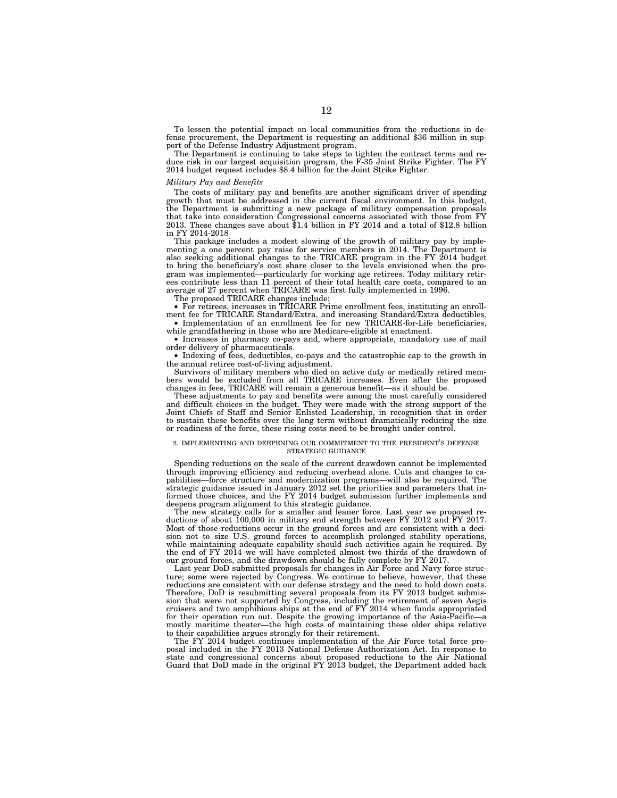To lessen the potential impact on local communities from the reductions in defense procurement, the Department is requesting an additional \$36 million in support of the Defense Industry Adjustment program.

The Department is continuing to take steps to tighten the contract terms and reduce risk in our largest acquisition program, the F-35 Joint Strike Fighter. The FY 2014 budget request includes \$8.4 billion for the Joint Strike Fighter.

# *Military Pay and Benefits*

The costs of military pay and benefits are another significant driver of spending growth that must be addressed in the current fiscal environment. In this budget, the Department is submitting a new package of military compensation proposals that take into consideration Congressional concerns associated with those from FY 2013. These changes save about \$1.4 billion in FY 2014 and a total of \$12.8 billion in FY 2014-2018

This package includes a modest slowing of the growth of military pay by implementing a one percent pay raise for service members in 2014. The Department is also seeking additional changes to the TRICARE program in the FY 2014 budget to bring the beneficiary's cost share closer to the levels envisioned when the program was implemented—particularly for working age retirees. Today military retirees contribute less than 11 percent of their total health care costs, compared to an average of 27 percent when TRICARE was first fully implemented in 1996.

The proposed TRICARE changes include:

• For retirees, increases in TRICARE Prime enrollment fees, instituting an enrollment fee for TRICARE Standard/Extra, and increasing Standard/Extra deductibles. • Implementation of an enrollment fee for new TRICARE-for-Life beneficiaries,

while grandfathering in those who are Medicare-eligible at enactment. • Increases in pharmacy co-pays and, where appropriate, mandatory use of mail order delivery of pharmaceuticals.

• Indexing of fees, deductibles, co-pays and the catastrophic cap to the growth in the annual retiree cost-of-living adjustment.

Survivors of military members who died on active duty or medically retired members would be excluded from all TRICARE increases. Even after the proposed changes in fees, TRICARE will remain a generous benefit—as it should be.

These adjustments to pay and benefits were among the most carefully considered and difficult choices in the budget. They were made with the strong support of the Joint Chiefs of Staff and Senior Enlisted Leadership, in recognition that in order to sustain these benefits over the long term without dramatically reducing the size or readiness of the force, these rising costs need to be brought under control.

# 2. IMPLEMENTING AND DEEPENING OUR COMMITMENT TO THE PRESIDENT'S DEFENSE STRATEGIC GUIDANCE

Spending reductions on the scale of the current drawdown cannot be implemented through improving efficiency and reducing overhead alone. Cuts and changes to capabilities—force structure and modernization programs—will also be required. The strategic guidance issued in January 2012 set the priorities and parameters that informed those choices, and the FY 2014 budget submission further implements and deepens program alignment to this strategic guidance.

The new strategy calls for a smaller and leaner force. Last year we proposed reductions of about 100,000 in military end strength between FY 2012 and FY 2017. Most of those reductions occur in the ground forces and are consistent with a decision not to size U.S. ground forces to accomplish prolonged stability operations, while maintaining adequate capability should such activities again be required. By the end of FY 2014 we will have completed almost two thirds of the drawdown of our ground forces, and the drawdown should be fully complete by FY 2017.

Last year DoD submitted proposals for changes in Air Force and Navy force structure; some were rejected by Congress. We continue to believe, however, that these reductions are consistent with our defense strategy and the need to hold down costs. Therefore, DoD is resubmitting several proposals from its FY 2013 budget submission that were not supported by Congress, including the retirement of seven Aegis cruisers and two amphibious ships at the end of FY 2014 when funds appropriated for their operation run out. Despite the growing importance of the Asia-Pacific—a mostly maritime theater—the high costs of maintaining these older ships relative to their capabilities argues strongly for their retirement.

The FY 2014 budget continues implementation of the Air Force total force proposal included in the FY 2013 National Defense Authorization Act. In response to state and congressional concerns about proposed reductions to the Air National Guard that DoD made in the original FY 2013 budget, the Department added back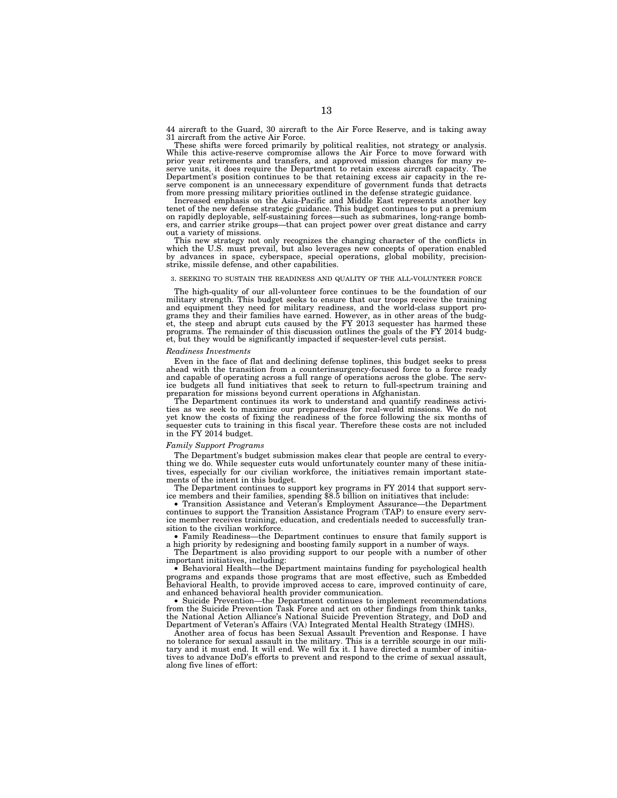44 aircraft to the Guard, 30 aircraft to the Air Force Reserve, and is taking away 31 aircraft from the active Air Force.

These shifts were forced primarily by political realities, not strategy or analysis. While this active-reserve compromise allows the Air Force to move forward with prior year retirements and transfers, and approved mission changes for many reserve units, it does require the Department to retain excess aircraft capacity. The Department's position continues to be that retaining excess air capacity in the reserve component is an unnecessary expenditure of government funds that detracts from more pressing military priorities outlined in the defense strategic guidance.

Increased emphasis on the Asia-Pacific and Middle East represents another key tenet of the new defense strategic guidance. This budget continues to put a premium on rapidly deployable, self-sustaining forces—such as submarines, long-range bombers, and carrier strike groups—that can project power over great distance and carry out a variety of missions.

This new strategy not only recognizes the changing character of the conflicts in which the U.S. must prevail, but also leverages new concepts of operation enabled by advances in space, cyberspace, special operations, global mobility, precisionstrike, missile defense, and other capabilities.

# 3. SEEKING TO SUSTAIN THE READINESS AND QUALITY OF THE ALL-VOLUNTEER FORCE

The high-quality of our all-volunteer force continues to be the foundation of our military strength. This budget seeks to ensure that our troops receive the training and equipment they need for military readiness, and the world-class support programs they and their families have earned. However, as in other areas of the budget, the steep and abrupt cuts caused by the FY 2013 sequester has harmed these programs. The remainder of this discussion outlines the goals of the FY 2014 budget, but they would be significantly impacted if sequester-level cuts persist.

# *Readiness Investments*

Even in the face of flat and declining defense toplines, this budget seeks to press ahead with the transition from a counterinsurgency-focused force to a force ready and capable of operating across a full range of operations across the globe. The serv-ice budgets all fund initiatives that seek to return to full-spectrum training and preparation for missions beyond current operations in Afghanistan.

The Department continues its work to understand and quantify readiness activities as we seek to maximize our preparedness for real-world missions. We do not yet know the costs of fixing the readiness of the force following the six months of sequester cuts to training in this fiscal year. Therefore these costs are not included in the FY 2014 budget.

#### *Family Support Programs*

The Department's budget submission makes clear that people are central to everything we do. While sequester cuts would unfortunately counter many of these initiatives, especially for our civilian workforce, the initiatives remain important statements of the intent in this budget.

The Department continues to support key programs in FY 2014 that support service members and their families, spending \$8.5 billion on initiatives that include:

• Transition Assistance and Veteran's Employment Assurance—the Department continues to support the Transition Assistance Program (TAP) to ensure every service member receives training, education, and credentials needed to successfully transition to the civilian workforce.

• Family Readiness—the Department continues to ensure that family support is a high priority by redesigning and boosting family support in a number of ways.

The Department is also providing support to our people with a number of other important initiatives, including:

• Behavioral Health—the Department maintains funding for psychological health programs and expands those programs that are most effective, such as Embedded Behavioral Health, to provide improved access to care, improved continuity of care, and enhanced behavioral health provider communication.

• Suicide Prevention—the Department continues to implement recommendations from the Suicide Prevention Task Force and act on other findings from think tanks, the National Action Alliance's National Suicide Prevention Strategy, and DoD and Department of Veteran's Affairs (VA) Integrated Mental Health Strategy (IMHS).

Another area of focus has been Sexual Assault Prevention and Response. I have no tolerance for sexual assault in the military. This is a terrible scourge in our military and it must end. It will end. We will fix it. I have directed a number of initiatives to advance DoD's efforts to prevent and respond to the crime of sexual assault, along five lines of effort: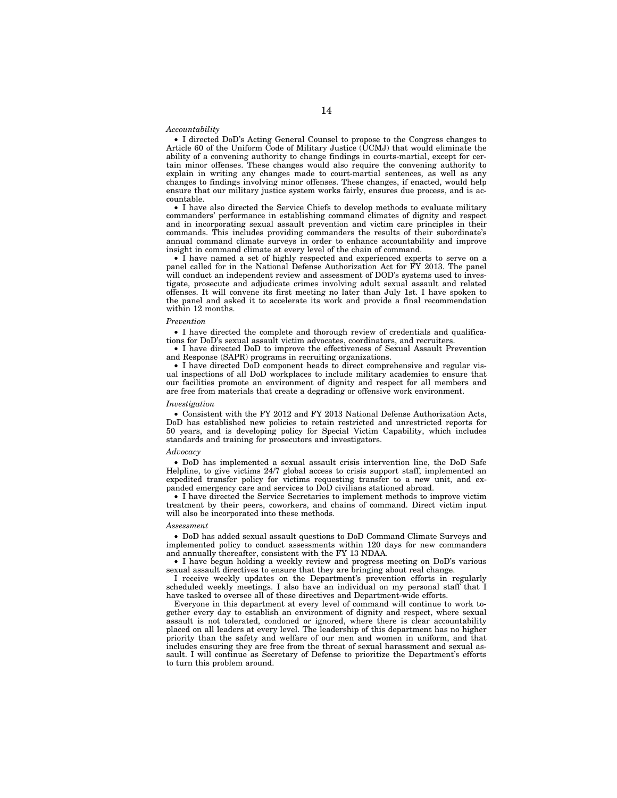#### *Accountability*

• I directed DoD's Acting General Counsel to propose to the Congress changes to Article 60 of the Uniform Code of Military Justice (UCMJ) that would eliminate the ability of a convening authority to change findings in courts-martial, except for certain minor offenses. These changes would also require the convening authority to explain in writing any changes made to court-martial sentences, as well as any changes to findings involving minor offenses. These changes, if enacted, would help ensure that our military justice system works fairly, ensures due process, and is accountable.

• I have also directed the Service Chiefs to develop methods to evaluate military commanders' performance in establishing command climates of dignity and respect and in incorporating sexual assault prevention and victim care principles in their commands. This includes providing commanders the results of their subordinate's annual command climate surveys in order to enhance accountability and improve insight in command climate at every level of the chain of command.

• I have named a set of highly respected and experienced experts to serve on a panel called for in the National Defense Authorization Act for FY 2013. The panel will conduct an independent review and assessment of DOD's systems used to investigate, prosecute and adjudicate crimes involving adult sexual assault and related offenses. It will convene its first meeting no later than July 1st. I have spoken to the panel and asked it to accelerate its work and provide a final recommendation within 12 months.

# *Prevention*

• I have directed the complete and thorough review of credentials and qualifications for DoD's sexual assault victim advocates, coordinators, and recruiters.

• I have directed DoD to improve the effectiveness of Sexual Assault Prevention and Response (SAPR) programs in recruiting organizations.

• I have directed DoD component heads to direct comprehensive and regular visual inspections of all DoD workplaces to include military academies to ensure that our facilities promote an environment of dignity and respect for all members and are free from materials that create a degrading or offensive work environment.

#### *Investigation*

• Consistent with the FY 2012 and FY 2013 National Defense Authorization Acts, DoD has established new policies to retain restricted and unrestricted reports for 50 years, and is developing policy for Special Victim Capability, which includes standards and training for prosecutors and investigators.

#### *Advocacy*

• DoD has implemented a sexual assault crisis intervention line, the DoD Safe Helpline, to give victims 24/7 global access to crisis support staff, implemented an expedited transfer policy for victims requesting transfer to a new unit, and expanded emergency care and services to DoD civilians stationed abroad.

• I have directed the Service Secretaries to implement methods to improve victim treatment by their peers, coworkers, and chains of command. Direct victim input will also be incorporated into these methods.

#### *Assessment*

• DoD has added sexual assault questions to DoD Command Climate Surveys and implemented policy to conduct assessments within 120 days for new commanders and annually thereafter, consistent with the FY 13 NDAA.

• I have begun holding a weekly review and progress meeting on DoD's various sexual assault directives to ensure that they are bringing about real change.

I receive weekly updates on the Department's prevention efforts in regularly scheduled weekly meetings. I also have an individual on my personal staff that I have tasked to oversee all of these directives and Department-wide efforts.

Everyone in this department at every level of command will continue to work together every day to establish an environment of dignity and respect, where sexual assault is not tolerated, condoned or ignored, where there is clear accountability placed on all leaders at every level. The leadership of this department has no higher priority than the safety and welfare of our men and women in uniform, and that includes ensuring they are free from the threat of sexual harassment and sexual assault. I will continue as Secretary of Defense to prioritize the Department's efforts to turn this problem around.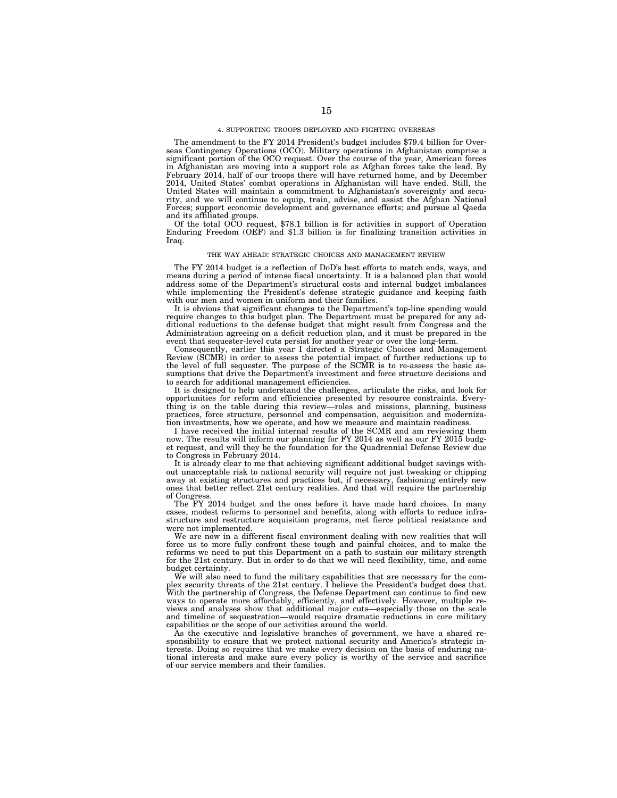#### 4. SUPPORTING TROOPS DEPLOYED AND FIGHTING OVERSEAS

The amendment to the FY 2014 President's budget includes \$79.4 billion for Overseas Contingency Operations (OCO). Military operations in Afghanistan comprise a significant portion of the OCO request. Over the course of the year, American forces in Afghanistan are moving into a support role as Afghan forces take the lead. By February 2014, half of our troops there will have returned home, and by December 2014, United States' combat operations in Afghanistan will have ended. Still, the United States will maintain a commitment to Afghanistan's sovereignty and security, and we will continue to equip, train, advise, and assist the Afghan National Forces; support economic development and governance efforts; and pursue al Qaeda and its affiliated groups.

Of the total OCO request, \$78.1 billion is for activities in support of Operation Enduring Freedom (OEF) and \$1.3 billion is for finalizing transition activities in Iraq.

# THE WAY AHEAD: STRATEGIC CHOICES AND MANAGEMENT REVIEW

The FY 2014 budget is a reflection of DoD's best efforts to match ends, ways, and means during a period of intense fiscal uncertainty. It is a balanced plan that would address some of the Department's structural costs and internal budget imbalances while implementing the President's defense strategic guidance and keeping faith with our men and women in uniform and their families.

It is obvious that significant changes to the Department's top-line spending would require changes to this budget plan. The Department must be prepared for any additional reductions to the defense budget that might result from Congress and the Administration agreeing on a deficit reduction plan, and it must be prepared in the event that sequester-level cuts persist for another year or over the long-term.

Consequently, earlier this year I directed a Strategic Choices and Management Review (SCMR) in order to assess the potential impact of further reductions up to the level of full sequester. The purpose of the SCMR is to re-assess the basic assumptions that drive the Department's investment and force structure decisions and to search for additional management efficiencies.

It is designed to help understand the challenges, articulate the risks, and look for opportunities for reform and efficiencies presented by resource constraints. Everything is on the table during this review—roles and missions, planning, business practices, force structure, personnel and compensation, acquisition and modernization investments, how we operate, and how we measure and maintain readiness.

I have received the initial internal results of the SCMR and am reviewing them now. The results will inform our planning for FY 2014 as well as our FY 2015 budget request, and will they be the foundation for the Quadrennial Defense Review due to Congress in February 2014.

It is already clear to me that achieving significant additional budget savings without unacceptable risk to national security will require not just tweaking or chipping away at existing structures and practices but, if necessary, fashioning entirely new ones that better reflect 21st century realities. And that will require the partnership of Congress.

The FY 2014 budget and the ones before it have made hard choices. In many cases, modest reforms to personnel and benefits, along with efforts to reduce infrastructure and restructure acquisition programs, met fierce political resistance and were not implemented.

We are now in a different fiscal environment dealing with new realities that will force us to more fully confront these tough and painful choices, and to make the reforms we need to put this Department on a path to sustain our military strength for the 21st century. But in order to do that we will need flexibility, time, and some budget certainty.

We will also need to fund the military capabilities that are necessary for the complex security threats of the 21st century. I believe the President's budget does that. With the partnership of Congress, the Defense Department can continue to find new ways to operate more affordably, efficiently, and effectively. However, multiple reviews and analyses show that additional major cuts—especially those on the scale and timeline of sequestration—would require dramatic reductions in core military capabilities or the scope of our activities around the world.

As the executive and legislative branches of government, we have a shared responsibility to ensure that we protect national security and America's strategic interests. Doing so requires that we make every decision on the basis of enduring national interests and make sure every policy is worthy of the service and sacrifice of our service members and their families.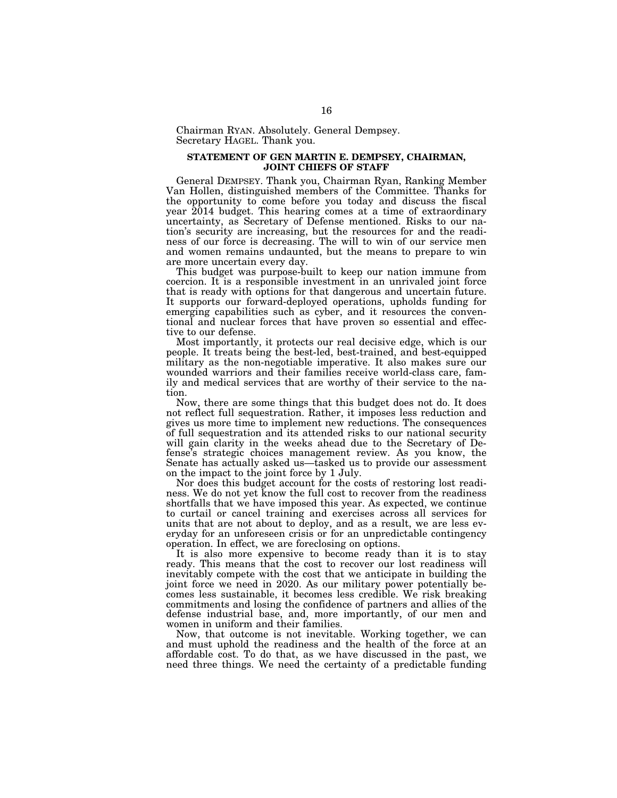Chairman RYAN. Absolutely. General Dempsey. Secretary HAGEL. Thank you.

# **STATEMENT OF GEN MARTIN E. DEMPSEY, CHAIRMAN, JOINT CHIEFS OF STAFF**

General DEMPSEY. Thank you, Chairman Ryan, Ranking Member Van Hollen, distinguished members of the Committee. Thanks for the opportunity to come before you today and discuss the fiscal year  $2014$  budget. This hearing comes at a time of extraordinary uncertainty, as Secretary of Defense mentioned. Risks to our nation's security are increasing, but the resources for and the readiness of our force is decreasing. The will to win of our service men and women remains undaunted, but the means to prepare to win are more uncertain every day.

This budget was purpose-built to keep our nation immune from coercion. It is a responsible investment in an unrivaled joint force that is ready with options for that dangerous and uncertain future. It supports our forward-deployed operations, upholds funding for emerging capabilities such as cyber, and it resources the conventional and nuclear forces that have proven so essential and effective to our defense.

Most importantly, it protects our real decisive edge, which is our people. It treats being the best-led, best-trained, and best-equipped military as the non-negotiable imperative. It also makes sure our wounded warriors and their families receive world-class care, family and medical services that are worthy of their service to the nation.

Now, there are some things that this budget does not do. It does not reflect full sequestration. Rather, it imposes less reduction and gives us more time to implement new reductions. The consequences of full sequestration and its attended risks to our national security will gain clarity in the weeks ahead due to the Secretary of Defense's strategic choices management review. As you know, the Senate has actually asked us—tasked us to provide our assessment on the impact to the joint force by 1 July.

Nor does this budget account for the costs of restoring lost readiness. We do not yet know the full cost to recover from the readiness shortfalls that we have imposed this year. As expected, we continue to curtail or cancel training and exercises across all services for units that are not about to deploy, and as a result, we are less everyday for an unforeseen crisis or for an unpredictable contingency operation. In effect, we are foreclosing on options.

It is also more expensive to become ready than it is to stay ready. This means that the cost to recover our lost readiness will inevitably compete with the cost that we anticipate in building the joint force we need in 2020. As our military power potentially becomes less sustainable, it becomes less credible. We risk breaking commitments and losing the confidence of partners and allies of the defense industrial base, and, more importantly, of our men and women in uniform and their families.

Now, that outcome is not inevitable. Working together, we can and must uphold the readiness and the health of the force at an affordable cost. To do that, as we have discussed in the past, we need three things. We need the certainty of a predictable funding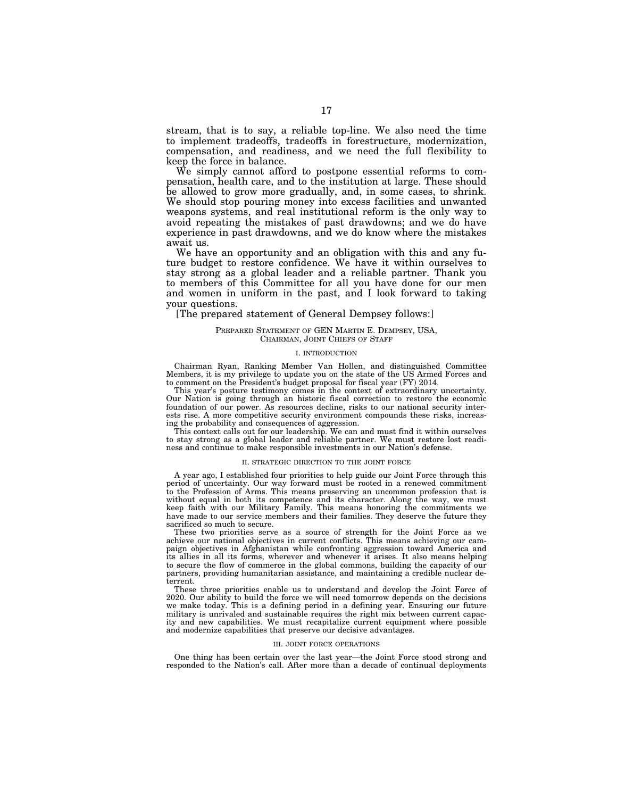stream, that is to say, a reliable top-line. We also need the time to implement tradeoffs, tradeoffs in forestructure, modernization, compensation, and readiness, and we need the full flexibility to keep the force in balance.

We simply cannot afford to postpone essential reforms to compensation, health care, and to the institution at large. These should be allowed to grow more gradually, and, in some cases, to shrink. We should stop pouring money into excess facilities and unwanted weapons systems, and real institutional reform is the only way to avoid repeating the mistakes of past drawdowns; and we do have experience in past drawdowns, and we do know where the mistakes await us.

We have an opportunity and an obligation with this and any future budget to restore confidence. We have it within ourselves to stay strong as a global leader and a reliable partner. Thank you to members of this Committee for all you have done for our men and women in uniform in the past, and I look forward to taking your questions.

# [The prepared statement of General Dempsey follows:]

# PREPARED STATEMENT OF GEN MARTIN E. DEMPSEY, USA, CHAIRMAN, JOINT CHIEFS OF STAFF

# I. INTRODUCTION

Chairman Ryan, Ranking Member Van Hollen, and distinguished Committee Members, it is my privilege to update you on the state of the US Armed Forces and to comment on the President's budget proposal for fiscal year (FY) 2014.

This year's posture testimony comes in the context of extraordinary uncertainty. Our Nation is going through an historic fiscal correction to restore the economic foundation of our power. As resources decline, risks to our national security interests rise. A more competitive security environment compounds these risks, increasing the probability and consequences of aggression.

This context calls out for our leadership. We can and must find it within ourselves to stay strong as a global leader and reliable partner. We must restore lost readiness and continue to make responsible investments in our Nation's defense.

#### II. STRATEGIC DIRECTION TO THE JOINT FORCE

A year ago, I established four priorities to help guide our Joint Force through this period of uncertainty. Our way forward must be rooted in a renewed commitment to the Profession of Arms. This means preserving an uncommon profession that is without equal in both its competence and its character. Along the way, we must keep faith with our Military Family. This means honoring the commitments we have made to our service members and their families. They deserve the future they sacrificed so much to secure.

These two priorities serve as a source of strength for the Joint Force as we achieve our national objectives in current conflicts. This means achieving our campaign objectives in Afghanistan while confronting aggression toward America and its allies in all its forms, wherever and whenever it arises. It also means helping to secure the flow of commerce in the global commons, building the capacity of our partners, providing humanitarian assistance, and maintaining a credible nuclear deterrent.

These three priorities enable us to understand and develop the Joint Force of 2020. Our ability to build the force we will need tomorrow depends on the decisions we make today. This is a defining period in a defining year. Ensuring our future military is unrivaled and sustainable requires the right mix between current capacity and new capabilities. We must recapitalize current equipment where possible and modernize capabilities that preserve our decisive advantages.

#### III. JOINT FORCE OPERATIONS

One thing has been certain over the last year—the Joint Force stood strong and responded to the Nation's call. After more than a decade of continual deployments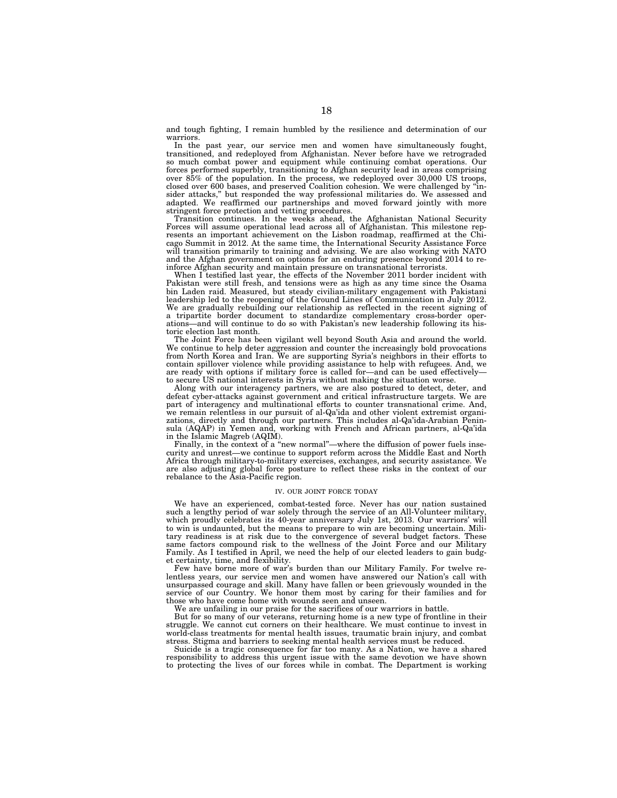and tough fighting, I remain humbled by the resilience and determination of our warriors.

In the past year, our service men and women have simultaneously fought, transitioned, and redeployed from Afghanistan. Never before have we retrograded so much combat power and equipment while continuing combat operations. Our forces performed superbly, transitioning to Afghan security lead in areas comprising over 85% of the population. In the process, we redeployed over 30,000 US troops, closed over 600 bases, and preserved Coalition cohesion. We were challenged by ''insider attacks," but responded the way professional militaries do. We assessed and adapted. We reaffirmed our partnerships and moved forward jointly with more stringent force protection and vetting procedures.

Transition continues. In the weeks ahead, the Afghanistan National Security Forces will assume operational lead across all of Afghanistan. This milestone represents an important achievement on the Lisbon roadmap, reaffirmed at the Chicago Summit in 2012. At the same time, the International Security Assistance Force will transition primarily to training and advising. We are also working with NATO and the Afghan government on options for an enduring presence beyond 2014 to reinforce Afghan security and maintain pressure on transnational terrorists.

When I testified last year, the effects of the November 2011 border incident with Pakistan were still fresh, and tensions were as high as any time since the Osama bin Laden raid. Measured, but steady civilian-military engagement with Pakistani leadership led to the reopening of the Ground Lines of Communication in July 2012. We are gradually rebuilding our relationship as reflected in the recent signing of a tripartite border document to standardize complementary cross-border operations—and will continue to do so with Pakistan's new leadership following its historic election last month.

The Joint Force has been vigilant well beyond South Asia and around the world. We continue to help deter aggression and counter the increasingly bold provocations from North Korea and Iran. We are supporting Syria's neighbors in their efforts to contain spillover violence while providing assistance to help with refugees. And, we are ready with options if military force is called for—and can be used effectively to secure US national interests in Syria without making the situation worse.

Along with our interagency partners, we are also postured to detect, deter, and defeat cyber-attacks against government and critical infrastructure targets. We are part of interagency and multinational efforts to counter transnational crime. And, we remain relentless in our pursuit of al-Qa'ida and other violent extremist organizations, directly and through our partners. This includes al-Qa'ida-Arabian Peninsula (AQAP) in Yemen and, working with French and African partners, al-Qa'ida in the Islamic Magreb (AQIM).

Finally, in the context of a "new normal"—where the diffusion of power fuels insecurity and unrest—we continue to support reform across the Middle East and North Africa through military-to-military exercises, exchanges, and security assistance. We are also adjusting global force posture to reflect these risks in the context of our rebalance to the Asia-Pacific region.

#### IV. OUR JOINT FORCE TODAY

We have an experienced, combat-tested force. Never has our nation sustained such a lengthy period of war solely through the service of an All-Volunteer military, which proudly celebrates its 40-year anniversary July 1st, 2013. Our warriors' will to win is undaunted, but the means to prepare to win are becoming uncertain. Military readiness is at risk due to the convergence of several budget factors. These same factors compound risk to the wellness of the Joint Force and our Military Family. As I testified in April, we need the help of our elected leaders to gain budget certainty, time, and flexibility.

Few have borne more of war's burden than our Military Family. For twelve relentless years, our service men and women have answered our Nation's call with unsurpassed courage and skill. Many have fallen or been grievously wounded in the service of our Country. We honor them most by caring for their families and for those who have come home with wounds seen and unseen.

We are unfailing in our praise for the sacrifices of our warriors in battle.

But for so many of our veterans, returning home is a new type of frontline in their struggle. We cannot cut corners on their healthcare. We must continue to invest in world-class treatments for mental health issues, traumatic brain injury, and combat stress. Stigma and barriers to seeking mental health services must be reduced.

Suicide is a tragic consequence for far too many. As a Nation, we have a shared responsibility to address this urgent issue with the same devotion we have shown to protecting the lives of our forces while in combat. The Department is working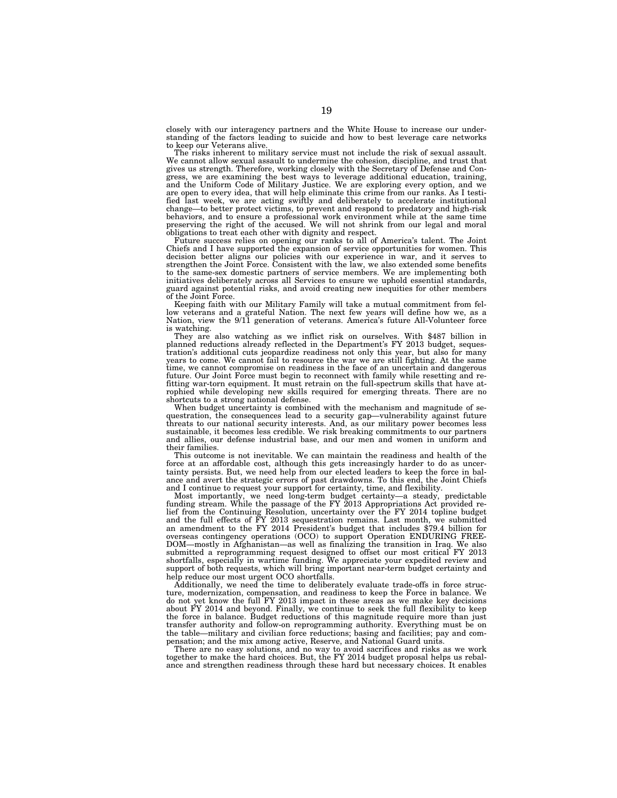closely with our interagency partners and the White House to increase our understanding of the factors leading to suicide and how to best leverage care networks to keep our Veterans alive.

The risks inherent to military service must not include the risk of sexual assault. We cannot allow sexual assault to undermine the cohesion, discipline, and trust that gives us strength. Therefore, working closely with the Secretary of Defense and Congress, we are examining the best ways to leverage additional education, training, and the Uniform Code of Military Justice. We are exploring every option, and we are open to every idea, that will help eliminate this crime from our ranks. As I testified last week, we are acting swiftly and deliberately to accelerate institutional change—to better protect victims, to prevent and respond to predatory and high-risk behaviors, and to ensure a professional work environment while at the same time preserving the right of the accused. We will not shrink from our legal and moral obligations to treat each other with dignity and respect.

Future success relies on opening our ranks to all of America's talent. The Joint Chiefs and I have supported the expansion of service opportunities for women. This decision better aligns our policies with our experience in war, and it serves to strengthen the Joint Force. Consistent with the law, we also extended some benefits to the same-sex domestic partners of service members. We are implementing both initiatives deliberately across all Services to ensure we uphold essential standards, guard against potential risks, and avoid creating new inequities for other members of the Joint Force.

Keeping faith with our Military Family will take a mutual commitment from fellow veterans and a grateful Nation. The next few years will define how we, as a Nation, view the 9/11 generation of veterans. America's future All-Volunteer force

is watching. They are also watching as we inflict risk on ourselves. With \$487 billion in planned reductions already reflected in the Department's FY 2013 budget, sequestration's additional cuts jeopardize readiness not only this year, but also for many years to come. We cannot fail to resource the war we are still fighting. At the same time, we cannot compromise on readiness in the face of an uncertain and dangerous future. Our Joint Force must begin to reconnect with family while resetting and refitting war-torn equipment. It must retrain on the full-spectrum skills that have at-rophied while developing new skills required for emerging threats. There are no shortcuts to a strong national defense.

When budget uncertainty is combined with the mechanism and magnitude of sequestration, the consequences lead to a security gap—vulnerability against future threats to our national security interests. And, as our military power becomes less sustainable, it becomes less credible. We risk breaking commitments to our partners and allies, our defense industrial base, and our men and women in uniform and their families.

This outcome is not inevitable. We can maintain the readiness and health of the force at an affordable cost, although this gets increasingly harder to do as uncertainty persists. But, we need help from our elected leaders to keep the force in balance and avert the strategic errors of past drawdowns. To this end, the Joint Chiefs and I continue to request your support for certainty, time, and flexibility.

Most importantly, we need long-term budget certainty—a steady, predictable funding stream. While the passage of the FY 2013 Appropriations Act provided relief from the Continuing Resolution, uncertainty over the FY 2014 topline budget and the full effects of FY 2013 sequestration remains. Last month, we submitted an amendment to the FY 2014 President's budget that includes \$79.4 billion for overseas contingency operations (OCO) to support Operation ENDURING FREE-DOM—mostly in Afghanistan—as well as finalizing the transition in Iraq. We also submitted a reprogramming request designed to offset our most critical FY 2013 shortfalls, especially in wartime funding. We appreciate your expedited review and support of both requests, which will bring important near-term budget certainty and help reduce our most urgent OCO shortfalls.

Additionally, we need the time to deliberately evaluate trade-offs in force structure, modernization, compensation, and readiness to keep the Force in balance. We do not yet know the full FY 2013 impact in these areas as we make key decisions about FY 2014 and beyond. Finally, we continue to seek the full flexibility to keep the force in balance. Budget reductions of this magnitude require more than just transfer authority and follow-on reprogramming authority. Everything must be on the table—military and civilian force reductions; basing and facilities; pay and compensation; and the mix among active, Reserve, and National Guard units.

There are no easy solutions, and no way to avoid sacrifices and risks as we work together to make the hard choices. But, the FY 2014 budget proposal helps us rebalance and strengthen readiness through these hard but necessary choices. It enables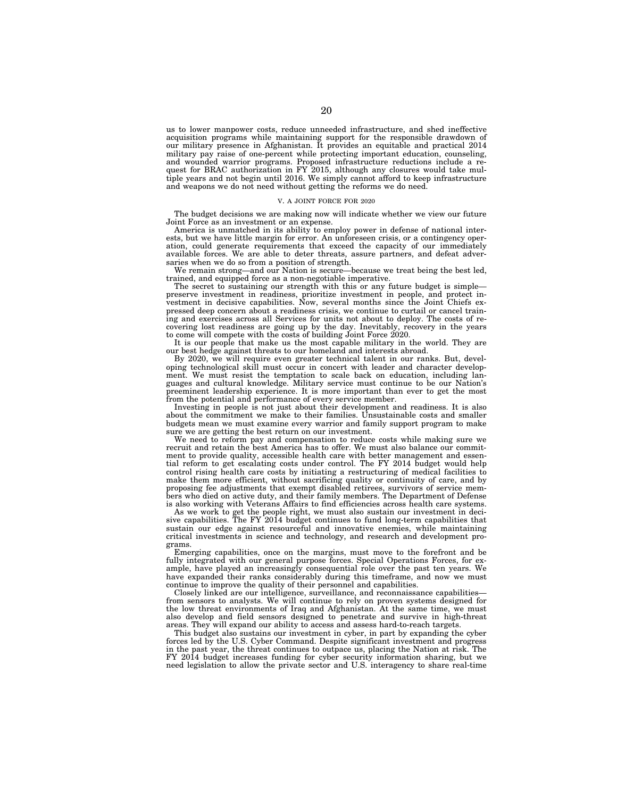us to lower manpower costs, reduce unneeded infrastructure, and shed ineffective acquisition programs while maintaining support for the responsible drawdown of our military presence in Afghanistan. It provides an equitable and practical 2014 military pay raise of one-percent while protecting important education, counseling, and wounded warrior programs. Proposed infrastructure reductions include a request for BRAC authorization in FY 2015, although any closures would take multiple years and not begin until 2016. We simply cannot afford to keep infrastructure and weapons we do not need without getting the reforms we do need.

#### V. A JOINT FORCE FOR 2020

The budget decisions we are making now will indicate whether we view our future Joint Force as an investment or an expense.

America is unmatched in its ability to employ power in defense of national interests, but we have little margin for error. An unforeseen crisis, or a contingency operation, could generate requirements that exceed the capacity of our immediately available forces. We are able to deter threats, assure partners, and defeat adversaries when we do so from a position of strength.

We remain strong—and our Nation is secure—because we treat being the best led, trained, and equipped force as a non-negotiable imperative.

The secret to sustaining our strength with this or any future budget is simplepreserve investment in readiness, prioritize investment in people, and protect investment in decisive capabilities. Now, several months since the Joint Chiefs expressed deep concern about a readiness crisis, we continue to curtail or cancel training and exercises across all Services for units not about to deploy. The costs of recovering lost readiness are going up by the day. Inevitably, recovery in the years to come will compete with the costs of building Joint Force 2020.

It is our people that make us the most capable military in the world. They are our best hedge against threats to our homeland and interests abroad.

By 2020, we will require even greater technical talent in our ranks. But, developing technological skill must occur in concert with leader and character development. We must resist the temptation to scale back on education, including languages and cultural knowledge. Military service must continue to be our Nation's preeminent leadership experience. It is more important than ever to get the most from the potential and performance of every service member.

Investing in people is not just about their development and readiness. It is also about the commitment we make to their families. Unsustainable costs and smaller budgets mean we must examine every warrior and family support program to make sure we are getting the best return on our investment.

We need to reform pay and compensation to reduce costs while making sure we recruit and retain the best America has to offer. We must also balance our commitment to provide quality, accessible health care with better management and essential reform to get escalating costs under control. The FY 2014 budget would help control rising health care costs by initiating a restructuring of medical facilities to make them more efficient, without sacrificing quality or continuity of care, and by proposing fee adjustments that exempt disabled retirees, survivors of service members who died on active duty, and their family members. The Department of Defense is also working with Veterans Affairs to find efficiencies across health care systems.

As we work to get the people right, we must also sustain our investment in decisive capabilities. The FY 2014 budget continues to fund long-term capabilities that sustain our edge against resourceful and innovative enemies, while maintaining critical investments in science and technology, and research and development programs.

Emerging capabilities, once on the margins, must move to the forefront and be fully integrated with our general purpose forces. Special Operations Forces, for example, have played an increasingly consequential role over the past ten years. We have expanded their ranks considerably during this timeframe, and now we must continue to improve the quality of their personnel and capabilities.

Closely linked are our intelligence, surveillance, and reconnaissance capabilities from sensors to analysts. We will continue to rely on proven systems designed for the low threat environments of Iraq and Afghanistan. At the same time, we must also develop and field sensors designed to penetrate and survive in high-threat areas. They will expand our ability to access and assess hard-to-reach targets.

This budget also sustains our investment in cyber, in part by expanding the cyber forces led by the U.S. Cyber Command. Despite significant investment and progress in the past year, the threat continues to outpace us, placing the Nation at risk. The FY 2014 budget increases funding for cyber security information sharing, but we need legislation to allow the private sector and U.S. interagency to share real-time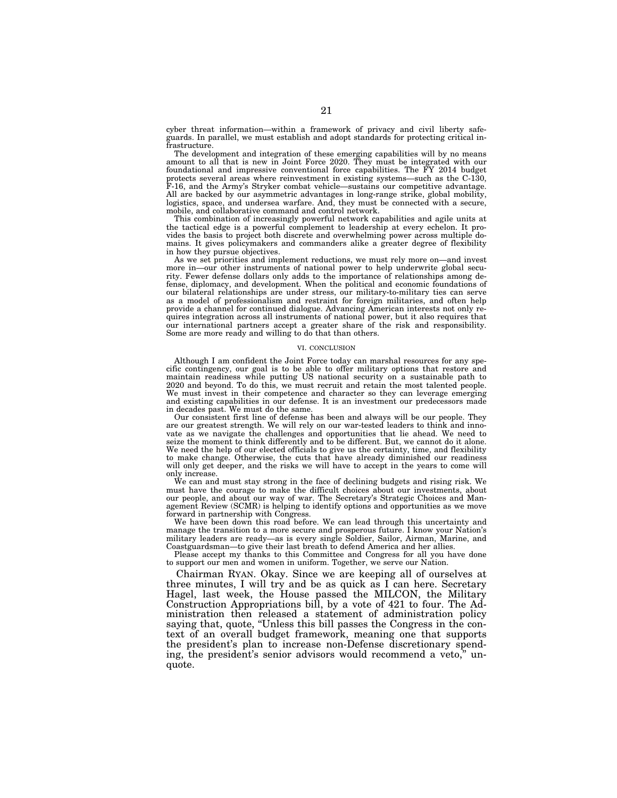cyber threat information—within a framework of privacy and civil liberty safeguards. In parallel, we must establish and adopt standards for protecting critical infrastructure.

The development and integration of these emerging capabilities will by no means amount to all that is new in Joint Force 2020. They must be integrated with our foundational and impressive conventional force capabilities. The FY 2014 budget protects several areas where reinvestment in existing systems—such as the C-130, F-16, and the Army's Stryker combat vehicle—sustains our competitive advantage. All are backed by our asymmetric advantages in long-range strike, global mobility, logistics, space, and undersea warfare. And, they must be connected with a secure, mobile, and collaborative command and control network.

This combination of increasingly powerful network capabilities and agile units at the tactical edge is a powerful complement to leadership at every echelon. It provides the basis to project both discrete and overwhelming power across multiple domains. It gives policymakers and commanders alike a greater degree of flexibility in how they pursue objectives.

As we set priorities and implement reductions, we must rely more on—and invest more in—our other instruments of national power to help underwrite global security. Fewer defense dollars only adds to the importance of relationships among defense, diplomacy, and development. When the political and economic foundations of our bilateral relationships are under stress, our military-to-military ties can serve as a model of professionalism and restraint for foreign militaries, and often help provide a channel for continued dialogue. Advancing American interests not only requires integration across all instruments of national power, but it also requires that our international partners accept a greater share of the risk and responsibility. Some are more ready and willing to do that than others.

#### VI. CONCLUSION

Although I am confident the Joint Force today can marshal resources for any specific contingency, our goal is to be able to offer military options that restore and maintain readiness while putting US national security on a sustainable path to 2020 and beyond. To do this, we must recruit and retain the most talented people. We must invest in their competence and character so they can leverage emerging and existing capabilities in our defense. It is an investment our predecessors made in decades past. We must do the same.

Our consistent first line of defense has been and always will be our people. They are our greatest strength. We will rely on our war-tested leaders to think and innovate as we navigate the challenges and opportunities that lie ahead. We need to seize the moment to think differently and to be different. But, we cannot do it alone. We need the help of our elected officials to give us the certainty, time, and flexibility to make change. Otherwise, the cuts that have already diminished our readiness will only get deeper, and the risks we will have to accept in the years to come will only increase.

We can and must stay strong in the face of declining budgets and rising risk. We must have the courage to make the difficult choices about our investments, about our people, and about our way of war. The Secretary's Strategic Choices and Management Review (SCMR) is helping to identify options and opportunities as we move forward in partnership with Congress.

We have been down this road before. We can lead through this uncertainty and manage the transition to a more secure and prosperous future. I know your Nation's military leaders are ready—as is every single Soldier, Sailor, Airman, Marine, and Coastguardsman—to give their last breath to defend America and her allies.

Please accept my thanks to this Committee and Congress for all you have done to support our men and women in uniform. Together, we serve our Nation.

Chairman RYAN. Okay. Since we are keeping all of ourselves at three minutes, I will try and be as quick as I can here. Secretary Hagel, last week, the House passed the MILCON, the Military Construction Appropriations bill, by a vote of 421 to four. The Administration then released a statement of administration policy saying that, quote, "Unless this bill passes the Congress in the context of an overall budget framework, meaning one that supports the president's plan to increase non-Defense discretionary spending, the president's senior advisors would recommend a veto,'' unquote.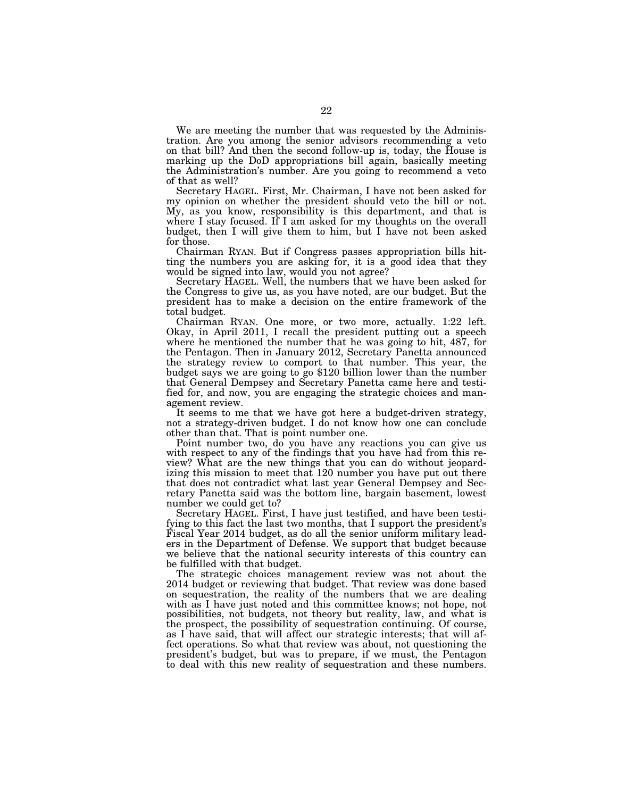We are meeting the number that was requested by the Administration. Are you among the senior advisors recommending a veto on that bill? And then the second follow-up is, today, the House is marking up the DoD appropriations bill again, basically meeting the Administration's number. Are you going to recommend a veto of that as well?

Secretary HAGEL. First, Mr. Chairman, I have not been asked for my opinion on whether the president should veto the bill or not. My, as you know, responsibility is this department, and that is where I stay focused. If I am asked for my thoughts on the overall budget, then I will give them to him, but I have not been asked for those.

Chairman RYAN. But if Congress passes appropriation bills hitting the numbers you are asking for, it is a good idea that they would be signed into law, would you not agree?

Secretary HAGEL. Well, the numbers that we have been asked for the Congress to give us, as you have noted, are our budget. But the president has to make a decision on the entire framework of the total budget.

Chairman RYAN. One more, or two more, actually. 1:22 left. Okay, in April 2011, I recall the president putting out a speech where he mentioned the number that he was going to hit, 487, for the Pentagon. Then in January 2012, Secretary Panetta announced the strategy review to comport to that number. This year, the budget says we are going to go \$120 billion lower than the number that General Dempsey and Secretary Panetta came here and testified for, and now, you are engaging the strategic choices and management review.

It seems to me that we have got here a budget-driven strategy, not a strategy-driven budget. I do not know how one can conclude other than that. That is point number one.

Point number two, do you have any reactions you can give us with respect to any of the findings that you have had from this review? What are the new things that you can do without jeopardizing this mission to meet that 120 number you have put out there that does not contradict what last year General Dempsey and Secretary Panetta said was the bottom line, bargain basement, lowest number we could get to?

Secretary HAGEL. First, I have just testified, and have been testifying to this fact the last two months, that I support the president's Fiscal Year 2014 budget, as do all the senior uniform military leaders in the Department of Defense. We support that budget because we believe that the national security interests of this country can be fulfilled with that budget.

The strategic choices management review was not about the 2014 budget or reviewing that budget. That review was done based on sequestration, the reality of the numbers that we are dealing with as I have just noted and this committee knows; not hope, not possibilities, not budgets, not theory but reality, law, and what is the prospect, the possibility of sequestration continuing. Of course, as I have said, that will affect our strategic interests; that will affect operations. So what that review was about, not questioning the president's budget, but was to prepare, if we must, the Pentagon to deal with this new reality of sequestration and these numbers.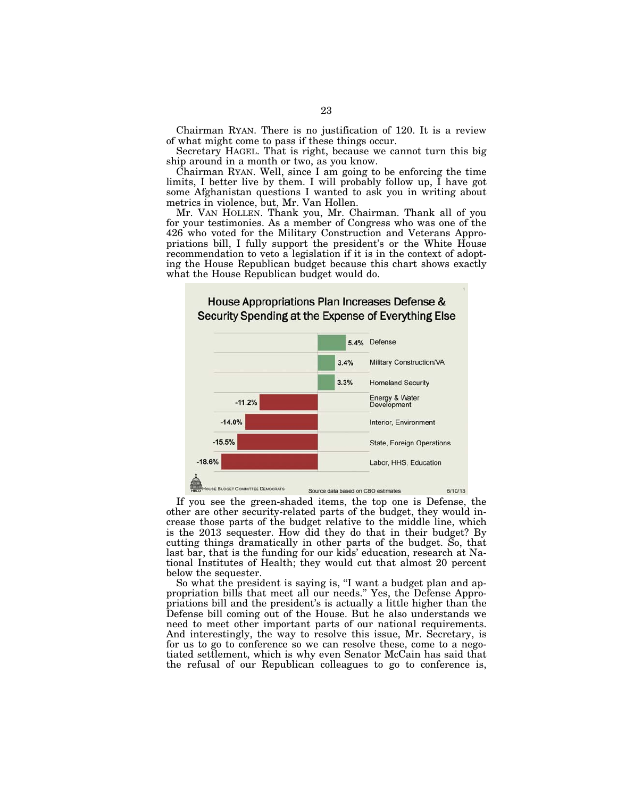Chairman RYAN. There is no justification of 120. It is a review of what might come to pass if these things occur.

Secretary HAGEL. That is right, because we cannot turn this big ship around in a month or two, as you know.

Chairman RYAN. Well, since I am going to be enforcing the time limits, I better live by them. I will probably follow up, I have got some Afghanistan questions I wanted to ask you in writing about metrics in violence, but, Mr. Van Hollen.

Mr. VAN HOLLEN. Thank you, Mr. Chairman. Thank all of you for your testimonies. As a member of Congress who was one of the 426 who voted for the Military Construction and Veterans Appropriations bill, I fully support the president's or the White House recommendation to veto a legislation if it is in the context of adopting the House Republican budget because this chart shows exactly what the House Republican budget would do.



If you see the green-shaded items, the top one is Defense, the other are other security-related parts of the budget, they would increase those parts of the budget relative to the middle line, which is the 2013 sequester. How did they do that in their budget? By cutting things dramatically in other parts of the budget. So, that last bar, that is the funding for our kids' education, research at National Institutes of Health; they would cut that almost 20 percent below the sequester.

So what the president is saying is, "I want a budget plan and appropriation bills that meet all our needs.'' Yes, the Defense Appropriations bill and the president's is actually a little higher than the Defense bill coming out of the House. But he also understands we need to meet other important parts of our national requirements. And interestingly, the way to resolve this issue, Mr. Secretary, is for us to go to conference so we can resolve these, come to a negotiated settlement, which is why even Senator McCain has said that the refusal of our Republican colleagues to go to conference is,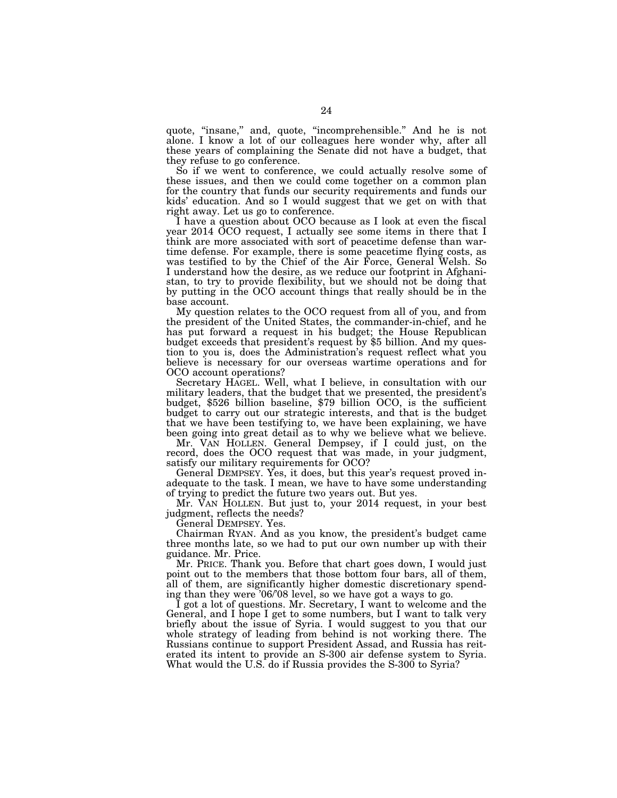quote, ''insane,'' and, quote, ''incomprehensible.'' And he is not alone. I know a lot of our colleagues here wonder why, after all these years of complaining the Senate did not have a budget, that they refuse to go conference.

So if we went to conference, we could actually resolve some of these issues, and then we could come together on a common plan for the country that funds our security requirements and funds our kids' education. And so I would suggest that we get on with that right away. Let us go to conference.

I have a question about OCO because as I look at even the fiscal year 2014 OCO request, I actually see some items in there that I think are more associated with sort of peacetime defense than wartime defense. For example, there is some peacetime flying costs, as was testified to by the Chief of the Air Force, General Welsh. So I understand how the desire, as we reduce our footprint in Afghanistan, to try to provide flexibility, but we should not be doing that by putting in the OCO account things that really should be in the base account.

My question relates to the OCO request from all of you, and from the president of the United States, the commander-in-chief, and he has put forward a request in his budget; the House Republican budget exceeds that president's request by \$5 billion. And my question to you is, does the Administration's request reflect what you believe is necessary for our overseas wartime operations and for OCO account operations?

Secretary HAGEL. Well, what I believe, in consultation with our military leaders, that the budget that we presented, the president's budget, \$526 billion baseline, \$79 billion OCO, is the sufficient budget to carry out our strategic interests, and that is the budget that we have been testifying to, we have been explaining, we have been going into great detail as to why we believe what we believe.

Mr. VAN HOLLEN. General Dempsey, if I could just, on the record, does the OCO request that was made, in your judgment, satisfy our military requirements for OCO?

General DEMPSEY. Yes, it does, but this year's request proved inadequate to the task. I mean, we have to have some understanding of trying to predict the future two years out. But yes.

Mr. VAN HOLLEN. But just to, your 2014 request, in your best judgment, reflects the needs?

General DEMPSEY. Yes.

Chairman RYAN. And as you know, the president's budget came three months late, so we had to put our own number up with their guidance. Mr. Price.

Mr. PRICE. Thank you. Before that chart goes down, I would just point out to the members that those bottom four bars, all of them, all of them, are significantly higher domestic discretionary spending than they were '06/'08 level, so we have got a ways to go.

I got a lot of questions. Mr. Secretary, I want to welcome and the General, and I hope I get to some numbers, but I want to talk very briefly about the issue of Syria. I would suggest to you that our whole strategy of leading from behind is not working there. The Russians continue to support President Assad, and Russia has reiterated its intent to provide an S-300 air defense system to Syria. What would the U.S. do if Russia provides the S-300 to Syria?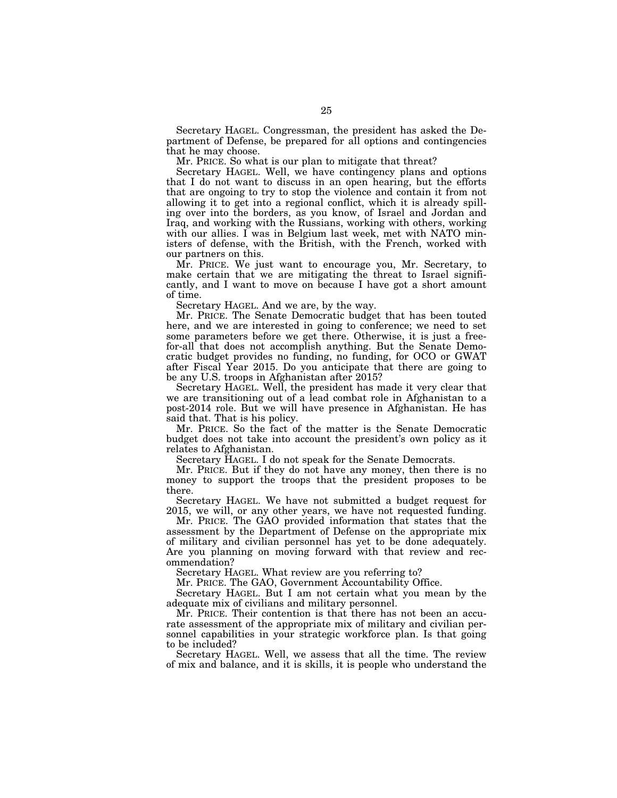Secretary HAGEL. Congressman, the president has asked the Department of Defense, be prepared for all options and contingencies that he may choose.

Mr. PRICE. So what is our plan to mitigate that threat?

Secretary HAGEL. Well, we have contingency plans and options that I do not want to discuss in an open hearing, but the efforts that are ongoing to try to stop the violence and contain it from not allowing it to get into a regional conflict, which it is already spilling over into the borders, as you know, of Israel and Jordan and Iraq, and working with the Russians, working with others, working with our allies. I was in Belgium last week, met with NATO ministers of defense, with the British, with the French, worked with our partners on this.

Mr. PRICE. We just want to encourage you, Mr. Secretary, to make certain that we are mitigating the threat to Israel significantly, and I want to move on because I have got a short amount of time.

Secretary HAGEL. And we are, by the way.

Mr. PRICE. The Senate Democratic budget that has been touted here, and we are interested in going to conference; we need to set some parameters before we get there. Otherwise, it is just a freefor-all that does not accomplish anything. But the Senate Democratic budget provides no funding, no funding, for OCO or GWAT after Fiscal Year 2015. Do you anticipate that there are going to be any U.S. troops in Afghanistan after 2015?

Secretary HAGEL. Well, the president has made it very clear that we are transitioning out of a lead combat role in Afghanistan to a post-2014 role. But we will have presence in Afghanistan. He has said that. That is his policy.

Mr. PRICE. So the fact of the matter is the Senate Democratic budget does not take into account the president's own policy as it relates to Afghanistan.

Secretary HAGEL. I do not speak for the Senate Democrats.

Mr. PRICE. But if they do not have any money, then there is no money to support the troops that the president proposes to be there.

Secretary HAGEL. We have not submitted a budget request for 2015, we will, or any other years, we have not requested funding.

Mr. PRICE. The GAO provided information that states that the assessment by the Department of Defense on the appropriate mix of military and civilian personnel has yet to be done adequately. Are you planning on moving forward with that review and recommendation?

Secretary HAGEL. What review are you referring to?

Mr. PRICE. The GAO, Government Accountability Office.

Secretary HAGEL. But I am not certain what you mean by the adequate mix of civilians and military personnel.

Mr. PRICE. Their contention is that there has not been an accurate assessment of the appropriate mix of military and civilian personnel capabilities in your strategic workforce plan. Is that going to be included?

Secretary HAGEL. Well, we assess that all the time. The review of mix and balance, and it is skills, it is people who understand the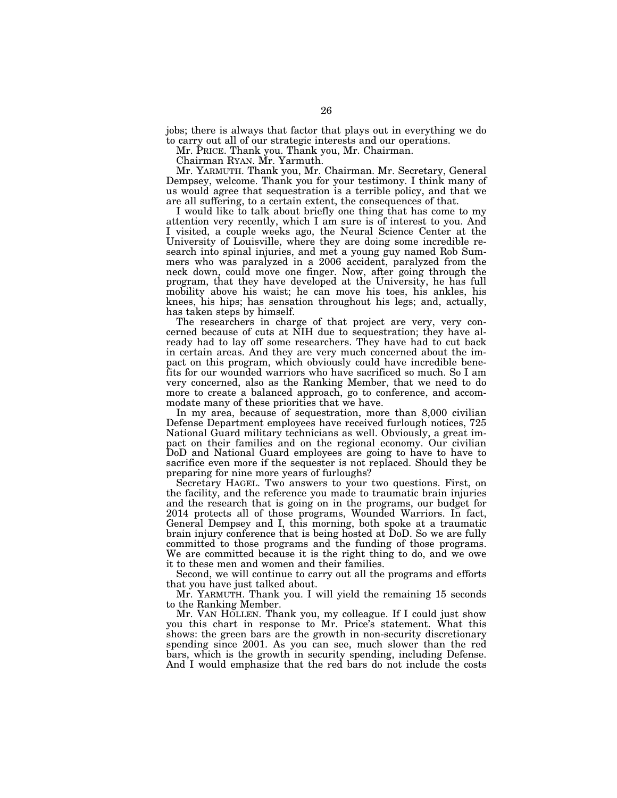jobs; there is always that factor that plays out in everything we do to carry out all of our strategic interests and our operations.

Mr. PRICE. Thank you. Thank you, Mr. Chairman.

Chairman RYAN. Mr. Yarmuth.

Mr. YARMUTH. Thank you, Mr. Chairman. Mr. Secretary, General Dempsey, welcome. Thank you for your testimony. I think many of us would agree that sequestration is a terrible policy, and that we are all suffering, to a certain extent, the consequences of that.

I would like to talk about briefly one thing that has come to my attention very recently, which I am sure is of interest to you. And I visited, a couple weeks ago, the Neural Science Center at the University of Louisville, where they are doing some incredible research into spinal injuries, and met a young guy named Rob Summers who was paralyzed in a 2006 accident, paralyzed from the neck down, could move one finger. Now, after going through the program, that they have developed at the University, he has full mobility above his waist; he can move his toes, his ankles, his knees, his hips; has sensation throughout his legs; and, actually, has taken steps by himself.

The researchers in charge of that project are very, very concerned because of cuts at NIH due to sequestration; they have already had to lay off some researchers. They have had to cut back in certain areas. And they are very much concerned about the impact on this program, which obviously could have incredible benefits for our wounded warriors who have sacrificed so much. So I am very concerned, also as the Ranking Member, that we need to do more to create a balanced approach, go to conference, and accommodate many of these priorities that we have.

In my area, because of sequestration, more than 8,000 civilian Defense Department employees have received furlough notices, 725 National Guard military technicians as well. Obviously, a great impact on their families and on the regional economy. Our civilian DoD and National Guard employees are going to have to have to sacrifice even more if the sequester is not replaced. Should they be preparing for nine more years of furloughs?

Secretary HAGEL. Two answers to your two questions. First, on the facility, and the reference you made to traumatic brain injuries and the research that is going on in the programs, our budget for 2014 protects all of those programs, Wounded Warriors. In fact, General Dempsey and I, this morning, both spoke at a traumatic brain injury conference that is being hosted at DoD. So we are fully committed to those programs and the funding of those programs. We are committed because it is the right thing to do, and we owe it to these men and women and their families.

Second, we will continue to carry out all the programs and efforts that you have just talked about.

Mr. YARMUTH. Thank you. I will yield the remaining 15 seconds to the Ranking Member.

Mr. VAN HOLLEN. Thank you, my colleague. If I could just show you this chart in response to Mr. Price's statement. What this shows: the green bars are the growth in non-security discretionary spending since 2001. As you can see, much slower than the red bars, which is the growth in security spending, including Defense. And I would emphasize that the red bars do not include the costs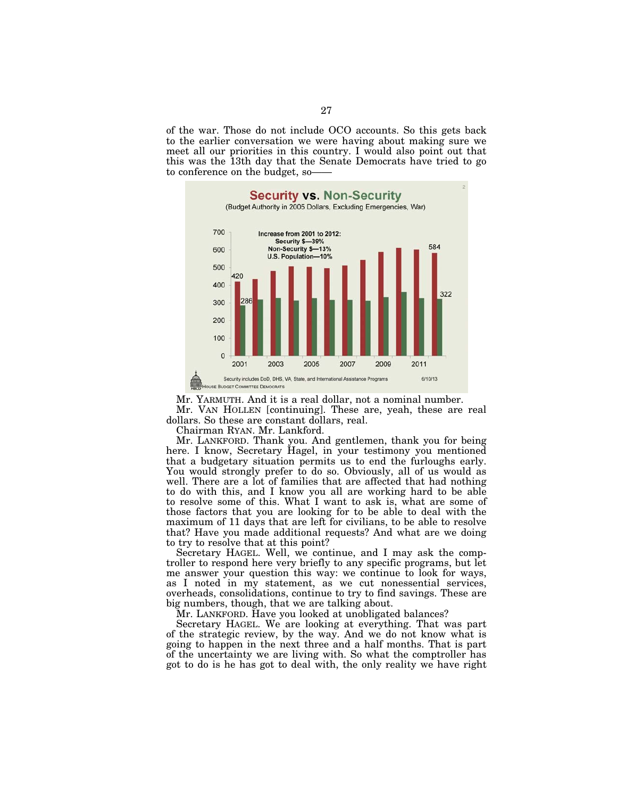of the war. Those do not include OCO accounts. So this gets back to the earlier conversation we were having about making sure we meet all our priorities in this country. I would also point out that this was the 13th day that the Senate Democrats have tried to go to conference on the budget, so——



Mr. YARMUTH. And it is a real dollar, not a nominal number. Mr. VAN HOLLEN [continuing]. These are, yeah, these are real dollars. So these are constant dollars, real.

Chairman RYAN. Mr. Lankford.

Mr. LANKFORD. Thank you. And gentlemen, thank you for being here. I know, Secretary Hagel, in your testimony you mentioned that a budgetary situation permits us to end the furloughs early. You would strongly prefer to do so. Obviously, all of us would as well. There are a lot of families that are affected that had nothing to do with this, and I know you all are working hard to be able to resolve some of this. What I want to ask is, what are some of those factors that you are looking for to be able to deal with the maximum of 11 days that are left for civilians, to be able to resolve that? Have you made additional requests? And what are we doing to try to resolve that at this point?

Secretary HAGEL. Well, we continue, and I may ask the comptroller to respond here very briefly to any specific programs, but let me answer your question this way: we continue to look for ways, as I noted in my statement, as we cut nonessential services, overheads, consolidations, continue to try to find savings. These are big numbers, though, that we are talking about.

Mr. LANKFORD. Have you looked at unobligated balances?

Secretary HAGEL. We are looking at everything. That was part of the strategic review, by the way. And we do not know what is going to happen in the next three and a half months. That is part of the uncertainty we are living with. So what the comptroller has got to do is he has got to deal with, the only reality we have right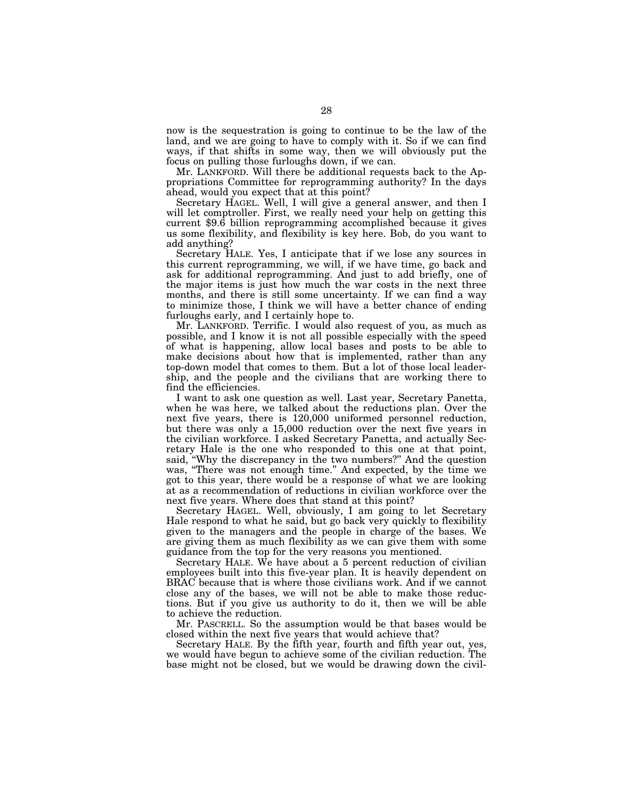now is the sequestration is going to continue to be the law of the land, and we are going to have to comply with it. So if we can find ways, if that shifts in some way, then we will obviously put the focus on pulling those furloughs down, if we can.

Mr. LANKFORD. Will there be additional requests back to the Appropriations Committee for reprogramming authority? In the days ahead, would you expect that at this point?

Secretary HAGEL. Well, I will give a general answer, and then I will let comptroller. First, we really need your help on getting this current \$9.6 billion reprogramming accomplished because it gives us some flexibility, and flexibility is key here. Bob, do you want to add anything?

Secretary HALE. Yes, I anticipate that if we lose any sources in this current reprogramming, we will, if we have time, go back and ask for additional reprogramming. And just to add briefly, one of the major items is just how much the war costs in the next three months, and there is still some uncertainty. If we can find a way to minimize those, I think we will have a better chance of ending furloughs early, and I certainly hope to.

Mr. LANKFORD. Terrific. I would also request of you, as much as possible, and I know it is not all possible especially with the speed of what is happening, allow local bases and posts to be able to make decisions about how that is implemented, rather than any top-down model that comes to them. But a lot of those local leadership, and the people and the civilians that are working there to find the efficiencies.

I want to ask one question as well. Last year, Secretary Panetta, when he was here, we talked about the reductions plan. Over the next five years, there is 120,000 uniformed personnel reduction, but there was only a 15,000 reduction over the next five years in the civilian workforce. I asked Secretary Panetta, and actually Secretary Hale is the one who responded to this one at that point, said, ''Why the discrepancy in the two numbers?'' And the question was, ''There was not enough time.'' And expected, by the time we got to this year, there would be a response of what we are looking at as a recommendation of reductions in civilian workforce over the next five years. Where does that stand at this point?

Secretary HAGEL. Well, obviously, I am going to let Secretary Hale respond to what he said, but go back very quickly to flexibility given to the managers and the people in charge of the bases. We are giving them as much flexibility as we can give them with some guidance from the top for the very reasons you mentioned.

Secretary HALE. We have about a 5 percent reduction of civilian employees built into this five-year plan. It is heavily dependent on BRAC because that is where those civilians work. And if we cannot close any of the bases, we will not be able to make those reductions. But if you give us authority to do it, then we will be able to achieve the reduction.

Mr. PASCRELL. So the assumption would be that bases would be closed within the next five years that would achieve that?

Secretary HALE. By the fifth year, fourth and fifth year out, yes, we would have begun to achieve some of the civilian reduction. The base might not be closed, but we would be drawing down the civil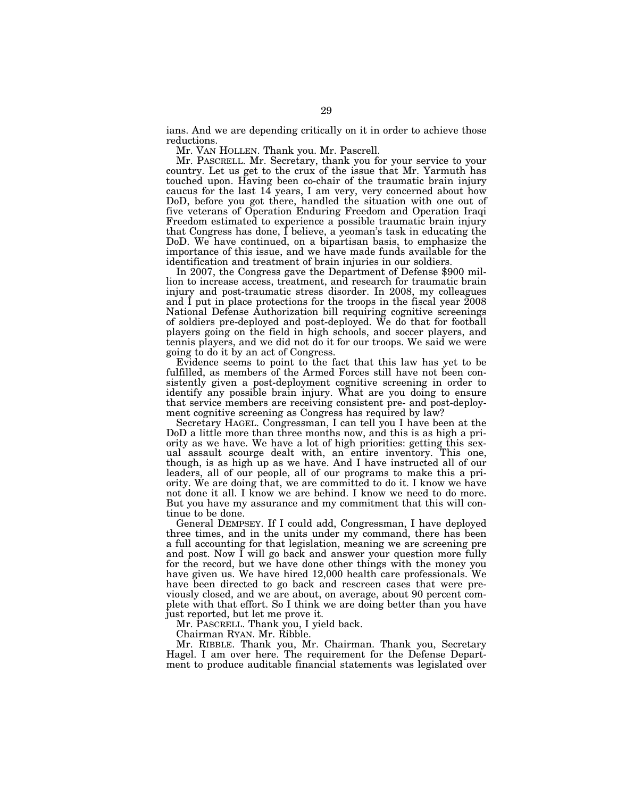ians. And we are depending critically on it in order to achieve those reductions.

Mr. VAN HOLLEN. Thank you. Mr. Pascrell.

Mr. PASCRELL. Mr. Secretary, thank you for your service to your country. Let us get to the crux of the issue that Mr. Yarmuth has touched upon. Having been co-chair of the traumatic brain injury caucus for the last 14 years, I am very, very concerned about how DoD, before you got there, handled the situation with one out of five veterans of Operation Enduring Freedom and Operation Iraqi Freedom estimated to experience a possible traumatic brain injury that Congress has done, I believe, a yeoman's task in educating the DoD. We have continued, on a bipartisan basis, to emphasize the importance of this issue, and we have made funds available for the identification and treatment of brain injuries in our soldiers.

In 2007, the Congress gave the Department of Defense \$900 million to increase access, treatment, and research for traumatic brain injury and post-traumatic stress disorder. In 2008, my colleagues and  $\tilde{I}$  put in place protections for the troops in the fiscal year  $\tilde{2008}$ National Defense Authorization bill requiring cognitive screenings of soldiers pre-deployed and post-deployed. We do that for football players going on the field in high schools, and soccer players, and tennis players, and we did not do it for our troops. We said we were going to do it by an act of Congress.

Evidence seems to point to the fact that this law has yet to be fulfilled, as members of the Armed Forces still have not been consistently given a post-deployment cognitive screening in order to identify any possible brain injury. What are you doing to ensure that service members are receiving consistent pre- and post-deployment cognitive screening as Congress has required by law?

Secretary HAGEL. Congressman, I can tell you I have been at the DoD a little more than three months now, and this is as high a priority as we have. We have a lot of high priorities: getting this sexual assault scourge dealt with, an entire inventory. This one, though, is as high up as we have. And I have instructed all of our leaders, all of our people, all of our programs to make this a priority. We are doing that, we are committed to do it. I know we have not done it all. I know we are behind. I know we need to do more. But you have my assurance and my commitment that this will continue to be done.

General DEMPSEY. If I could add, Congressman, I have deployed three times, and in the units under my command, there has been a full accounting for that legislation, meaning we are screening pre and post. Now I will go back and answer your question more fully for the record, but we have done other things with the money you have given us. We have hired 12,000 health care professionals. We have been directed to go back and rescreen cases that were previously closed, and we are about, on average, about 90 percent complete with that effort. So I think we are doing better than you have just reported, but let me prove it.

Mr. PASCRELL. Thank you, I yield back.

Chairman RYAN. Mr. Ribble.

Mr. RIBBLE. Thank you, Mr. Chairman. Thank you, Secretary Hagel. I am over here. The requirement for the Defense Department to produce auditable financial statements was legislated over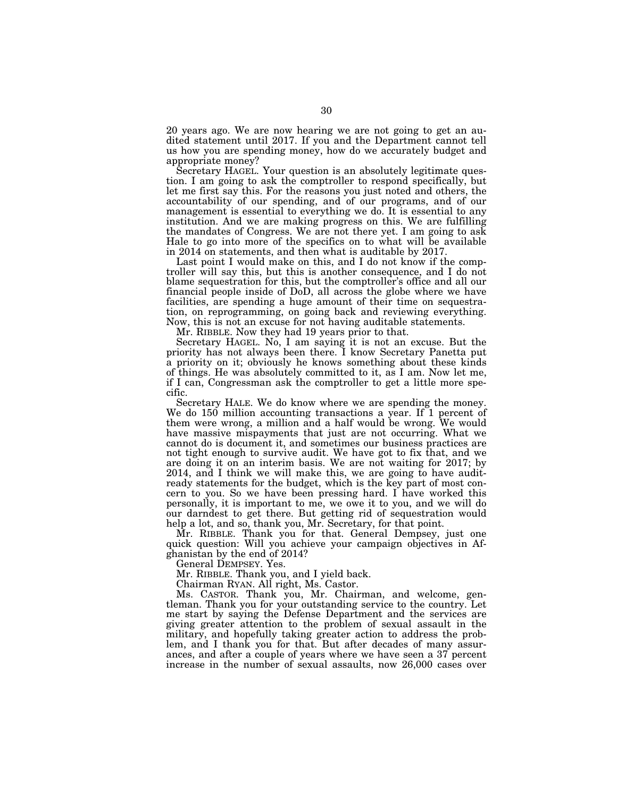20 years ago. We are now hearing we are not going to get an audited statement until 2017. If you and the Department cannot tell us how you are spending money, how do we accurately budget and appropriate money?

Secretary HAGEL. Your question is an absolutely legitimate question. I am going to ask the comptroller to respond specifically, but let me first say this. For the reasons you just noted and others, the accountability of our spending, and of our programs, and of our management is essential to everything we do. It is essential to any institution. And we are making progress on this. We are fulfilling the mandates of Congress. We are not there yet. I am going to ask Hale to go into more of the specifics on to what will be available in 2014 on statements, and then what is auditable by 2017.

Last point I would make on this, and I do not know if the comptroller will say this, but this is another consequence, and I do not blame sequestration for this, but the comptroller's office and all our financial people inside of DoD, all across the globe where we have facilities, are spending a huge amount of their time on sequestration, on reprogramming, on going back and reviewing everything. Now, this is not an excuse for not having auditable statements.

Mr. RIBBLE. Now they had 19 years prior to that.

Secretary HAGEL. No, I am saying it is not an excuse. But the priority has not always been there. I know Secretary Panetta put a priority on it; obviously he knows something about these kinds of things. He was absolutely committed to it, as I am. Now let me, if I can, Congressman ask the comptroller to get a little more specific.

Secretary HALE. We do know where we are spending the money. We do 150 million accounting transactions a year. If 1 percent of them were wrong, a million and a half would be wrong. We would have massive mispayments that just are not occurring. What we cannot do is document it, and sometimes our business practices are not tight enough to survive audit. We have got to fix that, and we are doing it on an interim basis. We are not waiting for 2017; by 2014, and I think we will make this, we are going to have auditready statements for the budget, which is the key part of most concern to you. So we have been pressing hard. I have worked this personally, it is important to me, we owe it to you, and we will do our darndest to get there. But getting rid of sequestration would help a lot, and so, thank you, Mr. Secretary, for that point.

Mr. RIBBLE. Thank you for that. General Dempsey, just one quick question: Will you achieve your campaign objectives in Afghanistan by the end of 2014?

General DEMPSEY. Yes.

Mr. RIBBLE. Thank you, and I yield back.

Chairman RYAN. All right, Ms. Castor.

Ms. CASTOR. Thank you, Mr. Chairman, and welcome, gentleman. Thank you for your outstanding service to the country. Let me start by saying the Defense Department and the services are giving greater attention to the problem of sexual assault in the military, and hopefully taking greater action to address the problem, and I thank you for that. But after decades of many assurances, and after a couple of years where we have seen a 37 percent increase in the number of sexual assaults, now 26,000 cases over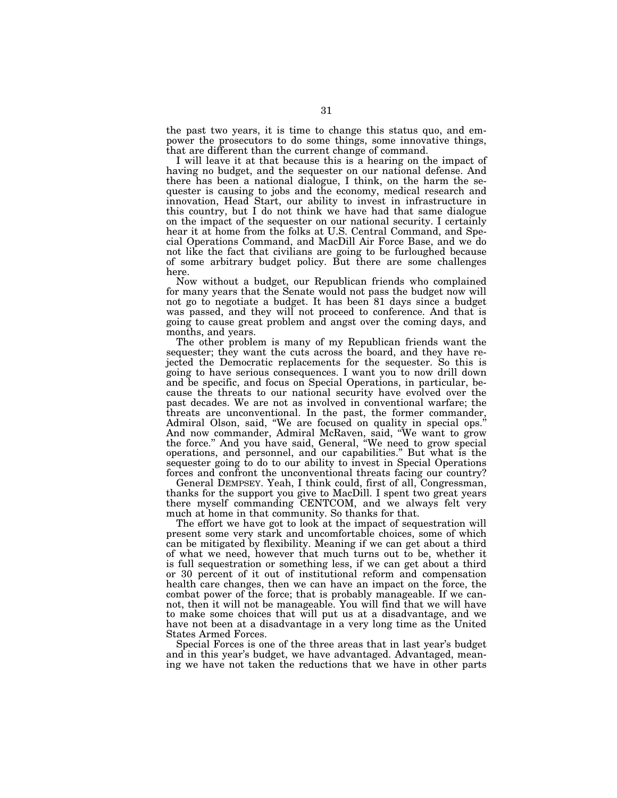the past two years, it is time to change this status quo, and empower the prosecutors to do some things, some innovative things, that are different than the current change of command.

I will leave it at that because this is a hearing on the impact of having no budget, and the sequester on our national defense. And there has been a national dialogue, I think, on the harm the sequester is causing to jobs and the economy, medical research and innovation, Head Start, our ability to invest in infrastructure in this country, but I do not think we have had that same dialogue on the impact of the sequester on our national security. I certainly hear it at home from the folks at U.S. Central Command, and Special Operations Command, and MacDill Air Force Base, and we do not like the fact that civilians are going to be furloughed because of some arbitrary budget policy. But there are some challenges here.

Now without a budget, our Republican friends who complained for many years that the Senate would not pass the budget now will not go to negotiate a budget. It has been 81 days since a budget was passed, and they will not proceed to conference. And that is going to cause great problem and angst over the coming days, and months, and years.

The other problem is many of my Republican friends want the sequester; they want the cuts across the board, and they have rejected the Democratic replacements for the sequester. So this is going to have serious consequences. I want you to now drill down and be specific, and focus on Special Operations, in particular, because the threats to our national security have evolved over the past decades. We are not as involved in conventional warfare; the threats are unconventional. In the past, the former commander, Admiral Olson, said, ''We are focused on quality in special ops.'' And now commander, Admiral McRaven, said, ''We want to grow the force.'' And you have said, General, ''We need to grow special operations, and personnel, and our capabilities.'' But what is the sequester going to do to our ability to invest in Special Operations forces and confront the unconventional threats facing our country?

General DEMPSEY. Yeah, I think could, first of all, Congressman, thanks for the support you give to MacDill. I spent two great years there myself commanding CENTCOM, and we always felt very much at home in that community. So thanks for that.

The effort we have got to look at the impact of sequestration will present some very stark and uncomfortable choices, some of which can be mitigated by flexibility. Meaning if we can get about a third of what we need, however that much turns out to be, whether it is full sequestration or something less, if we can get about a third or 30 percent of it out of institutional reform and compensation health care changes, then we can have an impact on the force, the combat power of the force; that is probably manageable. If we cannot, then it will not be manageable. You will find that we will have to make some choices that will put us at a disadvantage, and we have not been at a disadvantage in a very long time as the United States Armed Forces.

Special Forces is one of the three areas that in last year's budget and in this year's budget, we have advantaged. Advantaged, meaning we have not taken the reductions that we have in other parts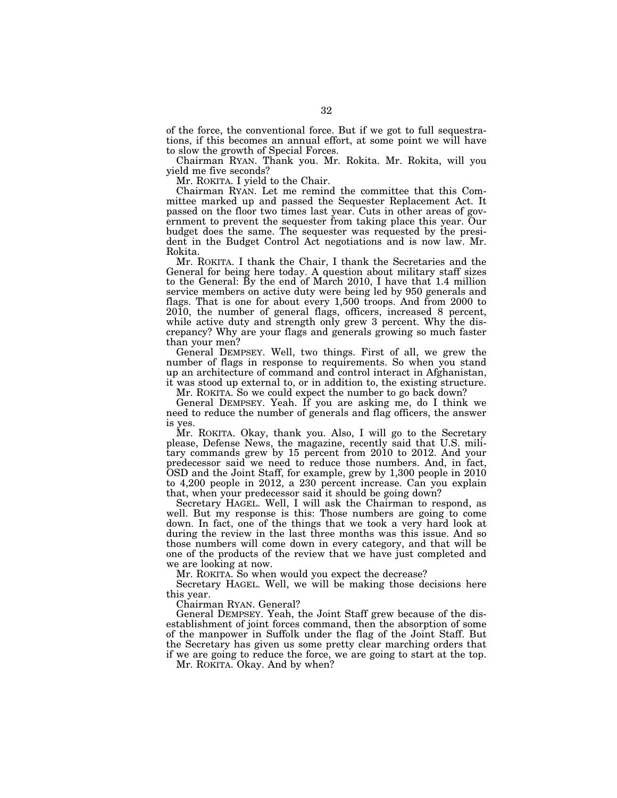of the force, the conventional force. But if we got to full sequestrations, if this becomes an annual effort, at some point we will have to slow the growth of Special Forces.

Chairman RYAN. Thank you. Mr. Rokita. Mr. Rokita, will you yield me five seconds?

Mr. ROKITA. I yield to the Chair.

Chairman RYAN. Let me remind the committee that this Committee marked up and passed the Sequester Replacement Act. It passed on the floor two times last year. Cuts in other areas of government to prevent the sequester from taking place this year. Our budget does the same. The sequester was requested by the president in the Budget Control Act negotiations and is now law. Mr. Rokita.

Mr. ROKITA. I thank the Chair, I thank the Secretaries and the General for being here today. A question about military staff sizes to the General: By the end of March 2010, I have that 1.4 million service members on active duty were being led by 950 generals and flags. That is one for about every 1,500 troops. And from 2000 to 2010, the number of general flags, officers, increased 8 percent, while active duty and strength only grew 3 percent. Why the discrepancy? Why are your flags and generals growing so much faster than your men?

General DEMPSEY. Well, two things. First of all, we grew the number of flags in response to requirements. So when you stand up an architecture of command and control interact in Afghanistan, it was stood up external to, or in addition to, the existing structure.

Mr. ROKITA. So we could expect the number to go back down?

General DEMPSEY. Yeah. If you are asking me, do I think we need to reduce the number of generals and flag officers, the answer is yes.

Mr. ROKITA. Okay, thank you. Also, I will go to the Secretary please, Defense News, the magazine, recently said that U.S. military commands grew by 15 percent from 2010 to 2012. And your predecessor said we need to reduce those numbers. And, in fact, OSD and the Joint Staff, for example, grew by 1,300 people in 2010 to 4,200 people in 2012, a 230 percent increase. Can you explain that, when your predecessor said it should be going down?

Secretary HAGEL. Well, I will ask the Chairman to respond, as well. But my response is this: Those numbers are going to come down. In fact, one of the things that we took a very hard look at during the review in the last three months was this issue. And so those numbers will come down in every category, and that will be one of the products of the review that we have just completed and we are looking at now.

Mr. ROKITA. So when would you expect the decrease?

Secretary HAGEL. Well, we will be making those decisions here this year.

Chairman RYAN. General?

General DEMPSEY. Yeah, the Joint Staff grew because of the disestablishment of joint forces command, then the absorption of some of the manpower in Suffolk under the flag of the Joint Staff. But the Secretary has given us some pretty clear marching orders that if we are going to reduce the force, we are going to start at the top.

Mr. ROKITA. Okay. And by when?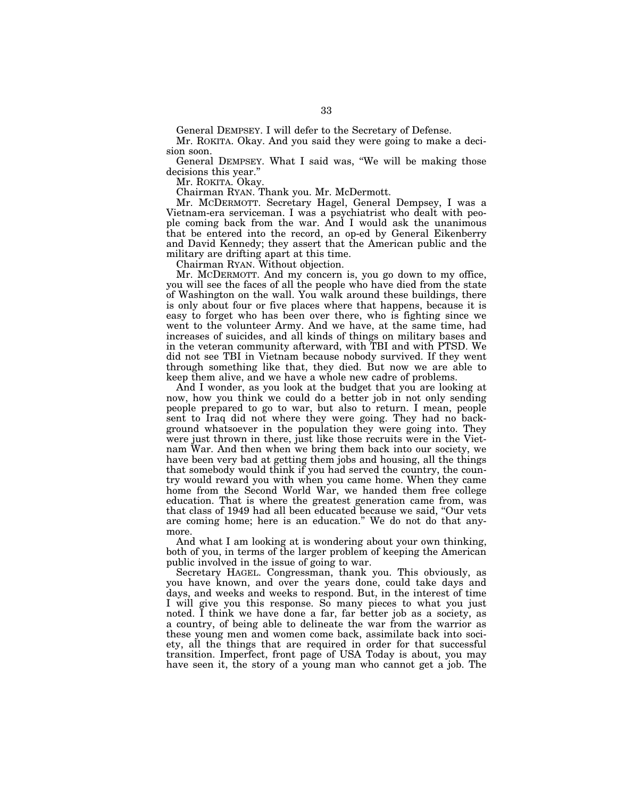General DEMPSEY. I will defer to the Secretary of Defense.

Mr. ROKITA. Okay. And you said they were going to make a decision soon.

General DEMPSEY. What I said was, ''We will be making those decisions this year.''

Mr. ROKITA. Okay.

Chairman RYAN. Thank you. Mr. McDermott.

Mr. MCDERMOTT. Secretary Hagel, General Dempsey, I was a Vietnam-era serviceman. I was a psychiatrist who dealt with people coming back from the war. And I would ask the unanimous that be entered into the record, an op-ed by General Eikenberry and David Kennedy; they assert that the American public and the military are drifting apart at this time.

Chairman RYAN. Without objection.

Mr. MCDERMOTT. And my concern is, you go down to my office, you will see the faces of all the people who have died from the state of Washington on the wall. You walk around these buildings, there is only about four or five places where that happens, because it is easy to forget who has been over there, who is fighting since we went to the volunteer Army. And we have, at the same time, had increases of suicides, and all kinds of things on military bases and in the veteran community afterward, with TBI and with PTSD. We did not see TBI in Vietnam because nobody survived. If they went through something like that, they died. But now we are able to keep them alive, and we have a whole new cadre of problems.

And I wonder, as you look at the budget that you are looking at now, how you think we could do a better job in not only sending people prepared to go to war, but also to return. I mean, people sent to Iraq did not where they were going. They had no background whatsoever in the population they were going into. They were just thrown in there, just like those recruits were in the Vietnam War. And then when we bring them back into our society, we have been very bad at getting them jobs and housing, all the things that somebody would think if you had served the country, the country would reward you with when you came home. When they came home from the Second World War, we handed them free college education. That is where the greatest generation came from, was that class of 1949 had all been educated because we said, ''Our vets are coming home; here is an education.'' We do not do that anymore.

And what I am looking at is wondering about your own thinking, both of you, in terms of the larger problem of keeping the American public involved in the issue of going to war.

Secretary HAGEL. Congressman, thank you. This obviously, as you have known, and over the years done, could take days and days, and weeks and weeks to respond. But, in the interest of time I will give you this response. So many pieces to what you just noted. I think we have done a far, far better job as a society, as a country, of being able to delineate the war from the warrior as these young men and women come back, assimilate back into society, all the things that are required in order for that successful transition. Imperfect, front page of USA Today is about, you may have seen it, the story of a young man who cannot get a job. The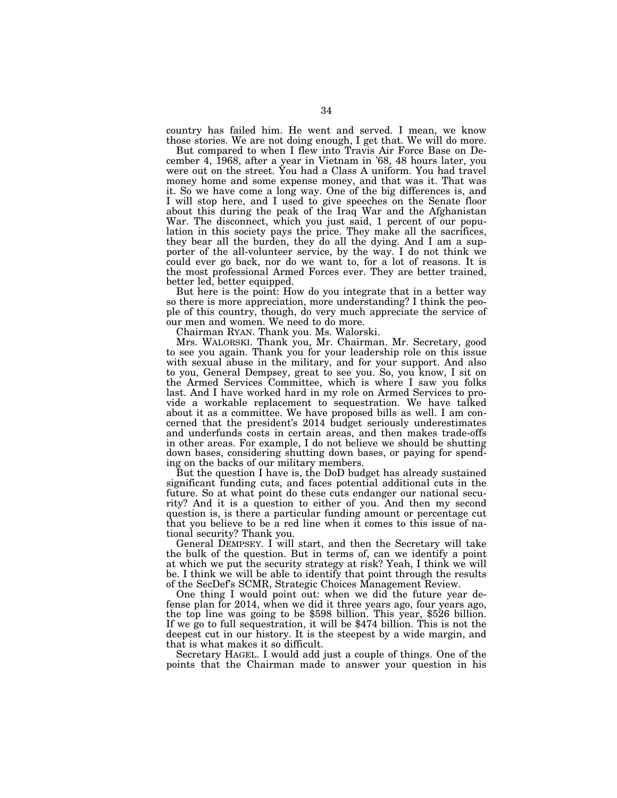country has failed him. He went and served. I mean, we know those stories. We are not doing enough, I get that. We will do more.

But compared to when I flew into Travis Air Force Base on December 4, 1968, after a year in Vietnam in '68, 48 hours later, you were out on the street. You had a Class A uniform. You had travel money home and some expense money, and that was it. That was it. So we have come a long way. One of the big differences is, and I will stop here, and I used to give speeches on the Senate floor about this during the peak of the Iraq War and the Afghanistan War. The disconnect, which you just said, 1 percent of our population in this society pays the price. They make all the sacrifices, they bear all the burden, they do all the dying. And I am a supporter of the all-volunteer service, by the way. I do not think we could ever go back, nor do we want to, for a lot of reasons. It is the most professional Armed Forces ever. They are better trained, better led, better equipped.

But here is the point: How do you integrate that in a better way so there is more appreciation, more understanding? I think the people of this country, though, do very much appreciate the service of our men and women. We need to do more.

Chairman RYAN. Thank you. Ms. Walorski.

Mrs. WALORSKI. Thank you, Mr. Chairman. Mr. Secretary, good to see you again. Thank you for your leadership role on this issue with sexual abuse in the military, and for your support. And also to you, General Dempsey, great to see you. So, you know, I sit on the Armed Services Committee, which is where I saw you folks last. And I have worked hard in my role on Armed Services to provide a workable replacement to sequestration. We have talked about it as a committee. We have proposed bills as well. I am concerned that the president's 2014 budget seriously underestimates and underfunds costs in certain areas, and then makes trade-offs in other areas. For example, I do not believe we should be shutting down bases, considering shutting down bases, or paying for spending on the backs of our military members.

But the question I have is, the DoD budget has already sustained significant funding cuts, and faces potential additional cuts in the future. So at what point do these cuts endanger our national security? And it is a question to either of you. And then my second question is, is there a particular funding amount or percentage cut that you believe to be a red line when it comes to this issue of national security? Thank you.

General DEMPSEY. I will start, and then the Secretary will take the bulk of the question. But in terms of, can we identify a point at which we put the security strategy at risk? Yeah, I think we will be. I think we will be able to identify that point through the results of the SecDef's SCMR, Strategic Choices Management Review.

One thing I would point out: when we did the future year defense plan for 2014, when we did it three years ago, four years ago, the top line was going to be \$598 billion. This year, \$526 billion. If we go to full sequestration, it will be \$474 billion. This is not the deepest cut in our history. It is the steepest by a wide margin, and that is what makes it so difficult.

Secretary HAGEL. I would add just a couple of things. One of the points that the Chairman made to answer your question in his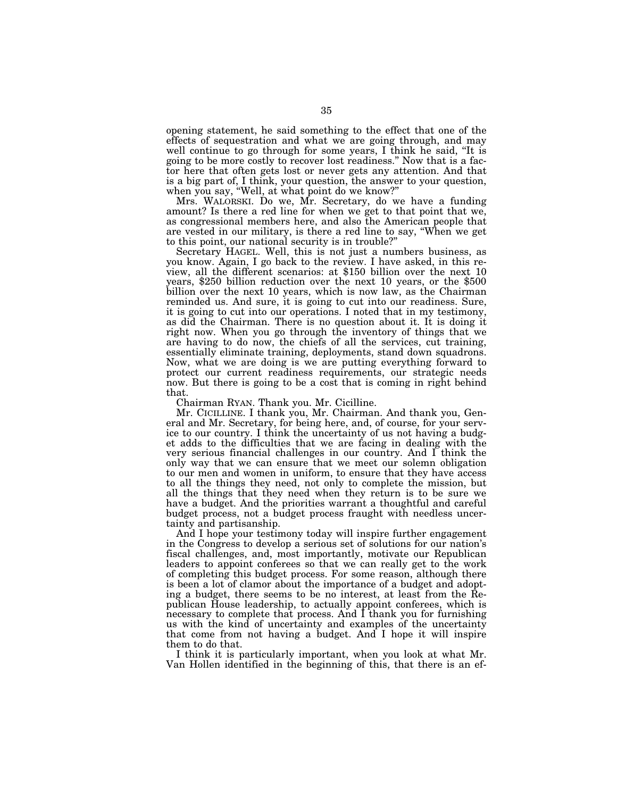opening statement, he said something to the effect that one of the effects of sequestration and what we are going through, and may well continue to go through for some years, I think he said, "It is going to be more costly to recover lost readiness.'' Now that is a factor here that often gets lost or never gets any attention. And that is a big part of, I think, your question, the answer to your question, when you say, ''Well, at what point do we know?''

Mrs. WALORSKI. Do we, Mr. Secretary, do we have a funding amount? Is there a red line for when we get to that point that we, as congressional members here, and also the American people that are vested in our military, is there a red line to say, ''When we get to this point, our national security is in trouble?''

Secretary HAGEL. Well, this is not just a numbers business, as you know. Again, I go back to the review. I have asked, in this review, all the different scenarios: at \$150 billion over the next 10 years, \$250 billion reduction over the next 10 years, or the \$500 billion over the next 10 years, which is now law, as the Chairman reminded us. And sure, it is going to cut into our readiness. Sure, it is going to cut into our operations. I noted that in my testimony, as did the Chairman. There is no question about it. It is doing it right now. When you go through the inventory of things that we are having to do now, the chiefs of all the services, cut training, essentially eliminate training, deployments, stand down squadrons. Now, what we are doing is we are putting everything forward to protect our current readiness requirements, our strategic needs now. But there is going to be a cost that is coming in right behind that.

Chairman RYAN. Thank you. Mr. Cicilline.

Mr. CICILLINE. I thank you, Mr. Chairman. And thank you, General and Mr. Secretary, for being here, and, of course, for your service to our country. I think the uncertainty of us not having a budget adds to the difficulties that we are facing in dealing with the very serious financial challenges in our country. And I think the only way that we can ensure that we meet our solemn obligation to our men and women in uniform, to ensure that they have access to all the things they need, not only to complete the mission, but all the things that they need when they return is to be sure we have a budget. And the priorities warrant a thoughtful and careful budget process, not a budget process fraught with needless uncertainty and partisanship.

And I hope your testimony today will inspire further engagement in the Congress to develop a serious set of solutions for our nation's fiscal challenges, and, most importantly, motivate our Republican leaders to appoint conferees so that we can really get to the work of completing this budget process. For some reason, although there is been a lot of clamor about the importance of a budget and adopting a budget, there seems to be no interest, at least from the Republican House leadership, to actually appoint conferees, which is necessary to complete that process. And I thank you for furnishing us with the kind of uncertainty and examples of the uncertainty that come from not having a budget. And I hope it will inspire them to do that.

I think it is particularly important, when you look at what Mr. Van Hollen identified in the beginning of this, that there is an ef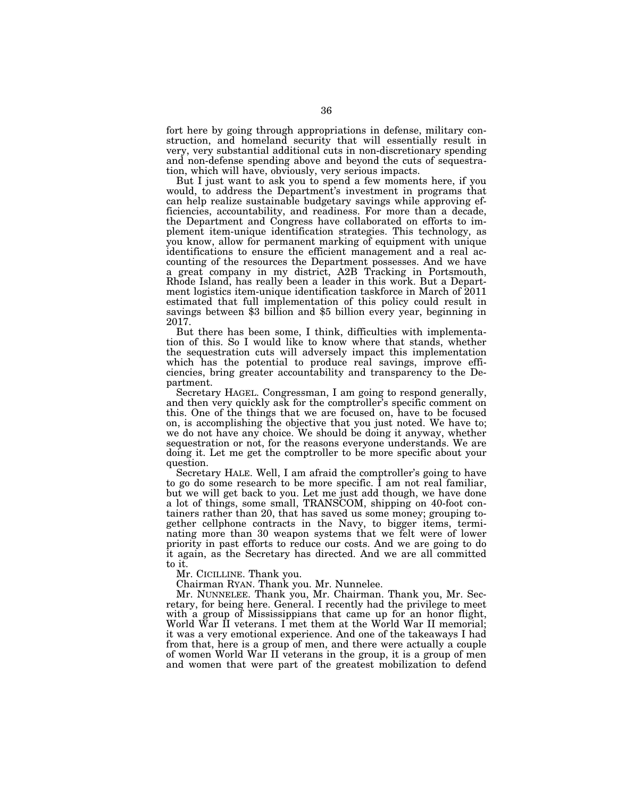fort here by going through appropriations in defense, military construction, and homeland security that will essentially result in very, very substantial additional cuts in non-discretionary spending and non-defense spending above and beyond the cuts of sequestration, which will have, obviously, very serious impacts.

But I just want to ask you to spend a few moments here, if you would, to address the Department's investment in programs that can help realize sustainable budgetary savings while approving efficiencies, accountability, and readiness. For more than a decade, the Department and Congress have collaborated on efforts to implement item-unique identification strategies. This technology, as you know, allow for permanent marking of equipment with unique identifications to ensure the efficient management and a real accounting of the resources the Department possesses. And we have a great company in my district, A2B Tracking in Portsmouth, Rhode Island, has really been a leader in this work. But a Department logistics item-unique identification taskforce in March of 2011 estimated that full implementation of this policy could result in savings between \$3 billion and \$5 billion every year, beginning in 2017.

But there has been some, I think, difficulties with implementation of this. So I would like to know where that stands, whether the sequestration cuts will adversely impact this implementation which has the potential to produce real savings, improve efficiencies, bring greater accountability and transparency to the Department.

Secretary HAGEL. Congressman, I am going to respond generally, and then very quickly ask for the comptroller's specific comment on this. One of the things that we are focused on, have to be focused on, is accomplishing the objective that you just noted. We have to; we do not have any choice. We should be doing it anyway, whether sequestration or not, for the reasons everyone understands. We are doing it. Let me get the comptroller to be more specific about your question.

Secretary HALE. Well, I am afraid the comptroller's going to have to go do some research to be more specific. I am not real familiar, but we will get back to you. Let me just add though, we have done a lot of things, some small, TRANSCOM, shipping on 40-foot containers rather than 20, that has saved us some money; grouping together cellphone contracts in the Navy, to bigger items, terminating more than 30 weapon systems that we felt were of lower priority in past efforts to reduce our costs. And we are going to do it again, as the Secretary has directed. And we are all committed to it.

Mr. CICILLINE. Thank you.

Chairman RYAN. Thank you. Mr. Nunnelee.

Mr. NUNNELEE. Thank you, Mr. Chairman. Thank you, Mr. Secretary, for being here. General. I recently had the privilege to meet with a group of Mississippians that came up for an honor flight, World War II veterans. I met them at the World War II memorial; it was a very emotional experience. And one of the takeaways I had from that, here is a group of men, and there were actually a couple of women World War II veterans in the group, it is a group of men and women that were part of the greatest mobilization to defend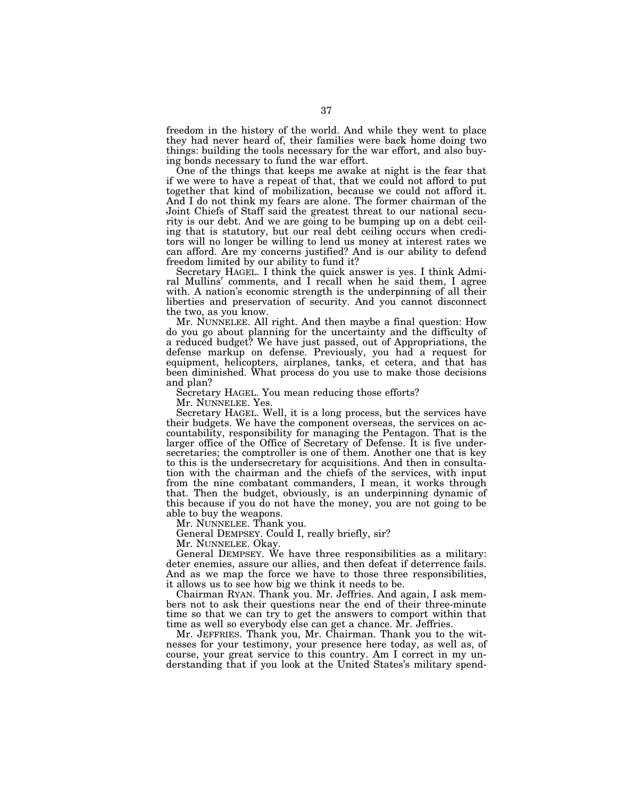freedom in the history of the world. And while they went to place they had never heard of, their families were back home doing two things: building the tools necessary for the war effort, and also buying bonds necessary to fund the war effort.

One of the things that keeps me awake at night is the fear that if we were to have a repeat of that, that we could not afford to put together that kind of mobilization, because we could not afford it. And I do not think my fears are alone. The former chairman of the Joint Chiefs of Staff said the greatest threat to our national security is our debt. And we are going to be bumping up on a debt ceiling that is statutory, but our real debt ceiling occurs when creditors will no longer be willing to lend us money at interest rates we can afford. Are my concerns justified? And is our ability to defend freedom limited by our ability to fund it?

Secretary HAGEL. I think the quick answer is yes. I think Admiral Mullins' comments, and I recall when he said them, I agree with. A nation's economic strength is the underpinning of all their liberties and preservation of security. And you cannot disconnect the two, as you know.

Mr. NUNNELEE. All right. And then maybe a final question: How do you go about planning for the uncertainty and the difficulty of a reduced budget? We have just passed, out of Appropriations, the defense markup on defense. Previously, you had a request for equipment, helicopters, airplanes, tanks, et cetera, and that has been diminished. What process do you use to make those decisions and plan?

Secretary HAGEL. You mean reducing those efforts?

Mr. NUNNELEE. Yes.

Secretary HAGEL. Well, it is a long process, but the services have their budgets. We have the component overseas, the services on accountability, responsibility for managing the Pentagon. That is the larger office of the Office of Secretary of Defense. It is five undersecretaries; the comptroller is one of them. Another one that is key to this is the undersecretary for acquisitions. And then in consultation with the chairman and the chiefs of the services, with input from the nine combatant commanders, I mean, it works through that. Then the budget, obviously, is an underpinning dynamic of this because if you do not have the money, you are not going to be able to buy the weapons.

Mr. NUNNELEE. Thank you.

General DEMPSEY. Could I, really briefly, sir?

Mr. NUNNELEE. Okay.

General DEMPSEY. We have three responsibilities as a military: deter enemies, assure our allies, and then defeat if deterrence fails. And as we map the force we have to those three responsibilities, it allows us to see how big we think it needs to be.

Chairman RYAN. Thank you. Mr. Jeffries. And again, I ask members not to ask their questions near the end of their three-minute time so that we can try to get the answers to comport within that time as well so everybody else can get a chance. Mr. Jeffries.

Mr. JEFFRIES. Thank you, Mr. Chairman. Thank you to the witnesses for your testimony, your presence here today, as well as, of course, your great service to this country. Am I correct in my understanding that if you look at the United States's military spend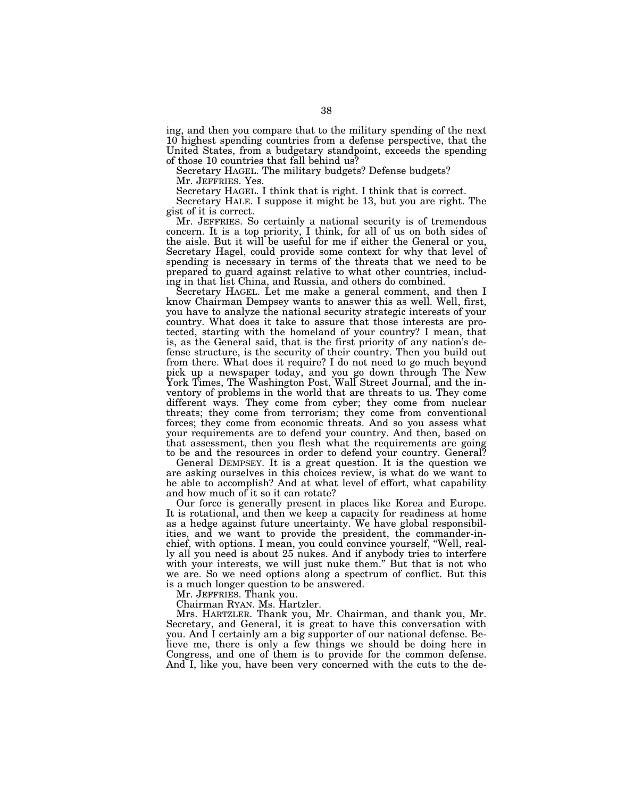ing, and then you compare that to the military spending of the next 10 highest spending countries from a defense perspective, that the United States, from a budgetary standpoint, exceeds the spending of those 10 countries that fall behind us?

Secretary HAGEL. The military budgets? Defense budgets? Mr. JEFFRIES. Yes.

Secretary HAGEL. I think that is right. I think that is correct.

Secretary HALE. I suppose it might be 13, but you are right. The gist of it is correct.

Mr. JEFFRIES. So certainly a national security is of tremendous concern. It is a top priority, I think, for all of us on both sides of the aisle. But it will be useful for me if either the General or you, Secretary Hagel, could provide some context for why that level of spending is necessary in terms of the threats that we need to be prepared to guard against relative to what other countries, including in that list China, and Russia, and others do combined.

Secretary HAGEL. Let me make a general comment, and then I know Chairman Dempsey wants to answer this as well. Well, first, you have to analyze the national security strategic interests of your country. What does it take to assure that those interests are protected, starting with the homeland of your country? I mean, that is, as the General said, that is the first priority of any nation's defense structure, is the security of their country. Then you build out from there. What does it require? I do not need to go much beyond pick up a newspaper today, and you go down through The New York Times, The Washington Post, Wall Street Journal, and the inventory of problems in the world that are threats to us. They come different ways. They come from cyber; they come from nuclear threats; they come from terrorism; they come from conventional forces; they come from economic threats. And so you assess what your requirements are to defend your country. And then, based on that assessment, then you flesh what the requirements are going to be and the resources in order to defend your country. General?

General DEMPSEY. It is a great question. It is the question we are asking ourselves in this choices review, is what do we want to be able to accomplish? And at what level of effort, what capability and how much of it so it can rotate?

Our force is generally present in places like Korea and Europe. It is rotational, and then we keep a capacity for readiness at home as a hedge against future uncertainty. We have global responsibilities, and we want to provide the president, the commander-inchief, with options. I mean, you could convince yourself, ''Well, really all you need is about 25 nukes. And if anybody tries to interfere with your interests, we will just nuke them.'' But that is not who we are. So we need options along a spectrum of conflict. But this is a much longer question to be answered.

Mr. JEFFRIES. Thank you.

Chairman RYAN. Ms. Hartzler.

Mrs. HARTZLER. Thank you, Mr. Chairman, and thank you, Mr. Secretary, and General, it is great to have this conversation with you. And I certainly am a big supporter of our national defense. Believe me, there is only a few things we should be doing here in Congress, and one of them is to provide for the common defense. And I, like you, have been very concerned with the cuts to the de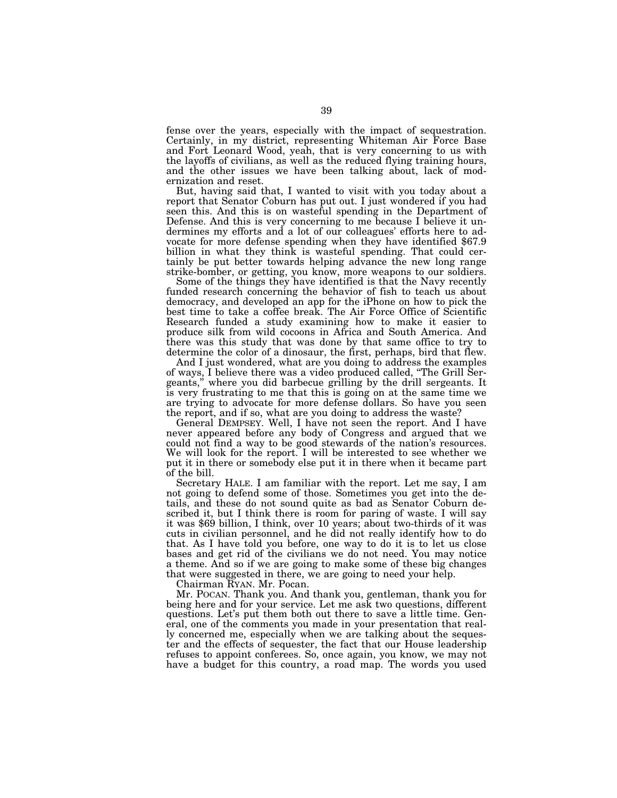fense over the years, especially with the impact of sequestration. Certainly, in my district, representing Whiteman Air Force Base and Fort Leonard Wood, yeah, that is very concerning to us with the layoffs of civilians, as well as the reduced flying training hours, and the other issues we have been talking about, lack of modernization and reset.

But, having said that, I wanted to visit with you today about a report that Senator Coburn has put out. I just wondered if you had seen this. And this is on wasteful spending in the Department of Defense. And this is very concerning to me because I believe it undermines my efforts and a lot of our colleagues' efforts here to advocate for more defense spending when they have identified \$67.9 billion in what they think is wasteful spending. That could certainly be put better towards helping advance the new long range strike-bomber, or getting, you know, more weapons to our soldiers.

Some of the things they have identified is that the Navy recently funded research concerning the behavior of fish to teach us about democracy, and developed an app for the iPhone on how to pick the best time to take a coffee break. The Air Force Office of Scientific Research funded a study examining how to make it easier to produce silk from wild cocoons in Africa and South America. And there was this study that was done by that same office to try to determine the color of a dinosaur, the first, perhaps, bird that flew.

And I just wondered, what are you doing to address the examples of ways, I believe there was a video produced called, ''The Grill Sergeants,'' where you did barbecue grilling by the drill sergeants. It is very frustrating to me that this is going on at the same time we are trying to advocate for more defense dollars. So have you seen the report, and if so, what are you doing to address the waste?

General DEMPSEY. Well, I have not seen the report. And I have never appeared before any body of Congress and argued that we could not find a way to be good stewards of the nation's resources. We will look for the report. I will be interested to see whether we put it in there or somebody else put it in there when it became part of the bill.

Secretary HALE. I am familiar with the report. Let me say, I am not going to defend some of those. Sometimes you get into the details, and these do not sound quite as bad as Senator Coburn described it, but I think there is room for paring of waste. I will say it was \$69 billion, I think, over 10 years; about two-thirds of it was cuts in civilian personnel, and he did not really identify how to do that. As I have told you before, one way to do it is to let us close bases and get rid of the civilians we do not need. You may notice a theme. And so if we are going to make some of these big changes that were suggested in there, we are going to need your help.

Chairman RYAN. Mr. Pocan.

Mr. POCAN. Thank you. And thank you, gentleman, thank you for being here and for your service. Let me ask two questions, different questions. Let's put them both out there to save a little time. General, one of the comments you made in your presentation that really concerned me, especially when we are talking about the sequester and the effects of sequester, the fact that our House leadership refuses to appoint conferees. So, once again, you know, we may not have a budget for this country, a road map. The words you used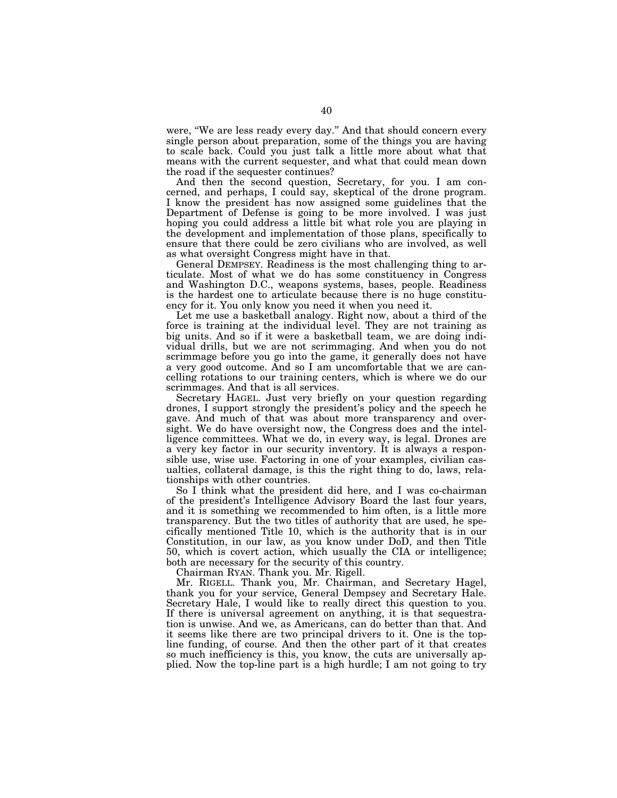were, "We are less ready every day." And that should concern every single person about preparation, some of the things you are having to scale back. Could you just talk a little more about what that means with the current sequester, and what that could mean down the road if the sequester continues?

And then the second question, Secretary, for you. I am concerned, and perhaps, I could say, skeptical of the drone program. I know the president has now assigned some guidelines that the Department of Defense is going to be more involved. I was just hoping you could address a little bit what role you are playing in the development and implementation of those plans, specifically to ensure that there could be zero civilians who are involved, as well as what oversight Congress might have in that.

General DEMPSEY. Readiness is the most challenging thing to articulate. Most of what we do has some constituency in Congress and Washington D.C., weapons systems, bases, people. Readiness is the hardest one to articulate because there is no huge constituency for it. You only know you need it when you need it.

Let me use a basketball analogy. Right now, about a third of the force is training at the individual level. They are not training as big units. And so if it were a basketball team, we are doing individual drills, but we are not scrimmaging. And when you do not scrimmage before you go into the game, it generally does not have a very good outcome. And so I am uncomfortable that we are cancelling rotations to our training centers, which is where we do our scrimmages. And that is all services.

Secretary HAGEL. Just very briefly on your question regarding drones, I support strongly the president's policy and the speech he gave. And much of that was about more transparency and oversight. We do have oversight now, the Congress does and the intelligence committees. What we do, in every way, is legal. Drones are a very key factor in our security inventory. It is always a responsible use, wise use. Factoring in one of your examples, civilian casualties, collateral damage, is this the right thing to do, laws, relationships with other countries.

So I think what the president did here, and I was co-chairman of the president's Intelligence Advisory Board the last four years, and it is something we recommended to him often, is a little more transparency. But the two titles of authority that are used, he specifically mentioned Title 10, which is the authority that is in our Constitution, in our law, as you know under DoD, and then Title 50, which is covert action, which usually the CIA or intelligence; both are necessary for the security of this country.

Chairman RYAN. Thank you. Mr. Rigell.

Mr. RIGELL. Thank you, Mr. Chairman, and Secretary Hagel, thank you for your service, General Dempsey and Secretary Hale. Secretary Hale, I would like to really direct this question to you. If there is universal agreement on anything, it is that sequestration is unwise. And we, as Americans, can do better than that. And it seems like there are two principal drivers to it. One is the topline funding, of course. And then the other part of it that creates so much inefficiency is this, you know, the cuts are universally applied. Now the top-line part is a high hurdle; I am not going to try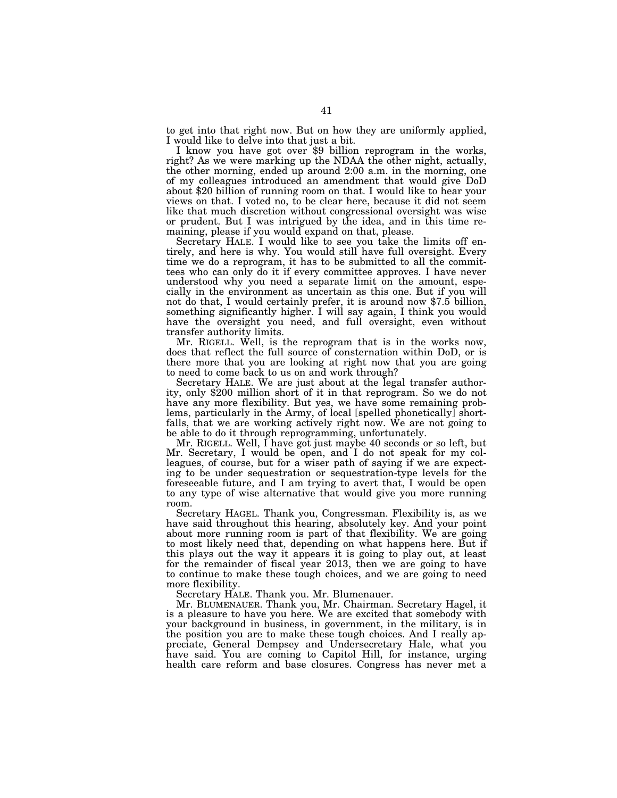to get into that right now. But on how they are uniformly applied, I would like to delve into that just a bit.

I know you have got over \$9 billion reprogram in the works, right? As we were marking up the NDAA the other night, actually, the other morning, ended up around 2:00 a.m. in the morning, one of my colleagues introduced an amendment that would give DoD about \$20 billion of running room on that. I would like to hear your views on that. I voted no, to be clear here, because it did not seem like that much discretion without congressional oversight was wise or prudent. But I was intrigued by the idea, and in this time remaining, please if you would expand on that, please.

Secretary HALE. I would like to see you take the limits off entirely, and here is why. You would still have full oversight. Every time we do a reprogram, it has to be submitted to all the committees who can only do it if every committee approves. I have never understood why you need a separate limit on the amount, especially in the environment as uncertain as this one. But if you will not do that, I would certainly prefer, it is around now \$7.5 billion, something significantly higher. I will say again, I think you would have the oversight you need, and full oversight, even without transfer authority limits.

Mr. RIGELL. Well, is the reprogram that is in the works now, does that reflect the full source of consternation within DoD, or is there more that you are looking at right now that you are going to need to come back to us on and work through?

Secretary HALE. We are just about at the legal transfer authority, only \$200 million short of it in that reprogram. So we do not have any more flexibility. But yes, we have some remaining problems, particularly in the Army, of local [spelled phonetically] shortfalls, that we are working actively right now. We are not going to be able to do it through reprogramming, unfortunately.

Mr. RIGELL. Well, I have got just maybe 40 seconds or so left, but Mr. Secretary, I would be open, and I do not speak for my colleagues, of course, but for a wiser path of saying if we are expecting to be under sequestration or sequestration-type levels for the foreseeable future, and I am trying to avert that, I would be open to any type of wise alternative that would give you more running room.

Secretary HAGEL. Thank you, Congressman. Flexibility is, as we have said throughout this hearing, absolutely key. And your point about more running room is part of that flexibility. We are going to most likely need that, depending on what happens here. But if this plays out the way it appears it is going to play out, at least for the remainder of fiscal year 2013, then we are going to have to continue to make these tough choices, and we are going to need more flexibility.

Secretary HALE. Thank you. Mr. Blumenauer.

Mr. BLUMENAUER. Thank you, Mr. Chairman. Secretary Hagel, it is a pleasure to have you here. We are excited that somebody with your background in business, in government, in the military, is in the position you are to make these tough choices. And I really appreciate, General Dempsey and Undersecretary Hale, what you have said. You are coming to Capitol Hill, for instance, urging health care reform and base closures. Congress has never met a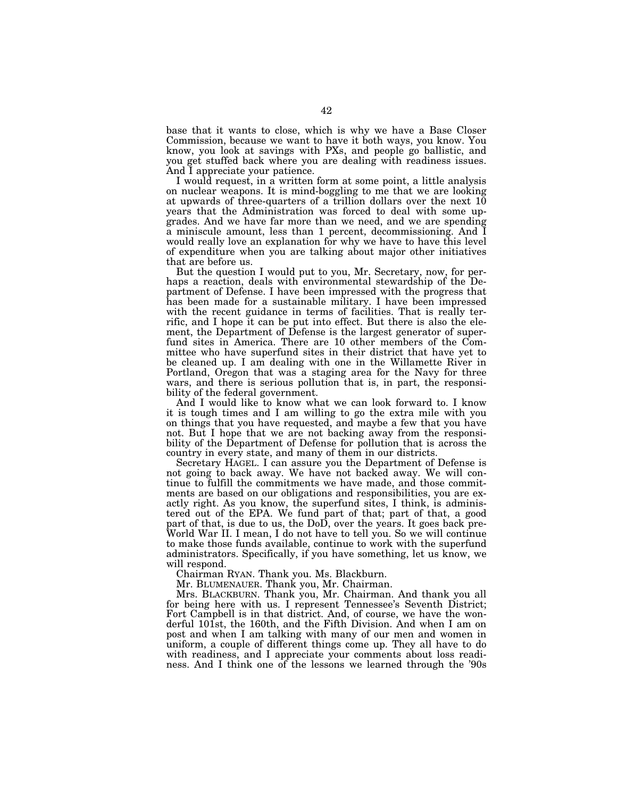base that it wants to close, which is why we have a Base Closer Commission, because we want to have it both ways, you know. You know, you look at savings with PXs, and people go ballistic, and you get stuffed back where you are dealing with readiness issues. And I appreciate your patience.

I would request, in a written form at some point, a little analysis on nuclear weapons. It is mind-boggling to me that we are looking at upwards of three-quarters of a trillion dollars over the next 10 years that the Administration was forced to deal with some upgrades. And we have far more than we need, and we are spending a miniscule amount, less than 1 percent, decommissioning. And I would really love an explanation for why we have to have this level of expenditure when you are talking about major other initiatives that are before us.

But the question I would put to you, Mr. Secretary, now, for perhaps a reaction, deals with environmental stewardship of the Department of Defense. I have been impressed with the progress that has been made for a sustainable military. I have been impressed with the recent guidance in terms of facilities. That is really terrific, and I hope it can be put into effect. But there is also the element, the Department of Defense is the largest generator of superfund sites in America. There are 10 other members of the Committee who have superfund sites in their district that have yet to be cleaned up. I am dealing with one in the Willamette River in Portland, Oregon that was a staging area for the Navy for three wars, and there is serious pollution that is, in part, the responsibility of the federal government.

And I would like to know what we can look forward to. I know it is tough times and I am willing to go the extra mile with you on things that you have requested, and maybe a few that you have not. But I hope that we are not backing away from the responsibility of the Department of Defense for pollution that is across the country in every state, and many of them in our districts.

Secretary HAGEL. I can assure you the Department of Defense is not going to back away. We have not backed away. We will continue to fulfill the commitments we have made, and those commitments are based on our obligations and responsibilities, you are exactly right. As you know, the superfund sites, I think, is administered out of the EPA. We fund part of that; part of that, a good part of that, is due to us, the DoD, over the years. It goes back pre-World War II. I mean, I do not have to tell you. So we will continue to make those funds available, continue to work with the superfund administrators. Specifically, if you have something, let us know, we will respond.

Chairman RYAN. Thank you. Ms. Blackburn.

Mr. BLUMENAUER. Thank you, Mr. Chairman.

Mrs. BLACKBURN. Thank you, Mr. Chairman. And thank you all for being here with us. I represent Tennessee's Seventh District; Fort Campbell is in that district. And, of course, we have the wonderful 101st, the 160th, and the Fifth Division. And when I am on post and when I am talking with many of our men and women in uniform, a couple of different things come up. They all have to do with readiness, and I appreciate your comments about loss readiness. And I think one of the lessons we learned through the '90s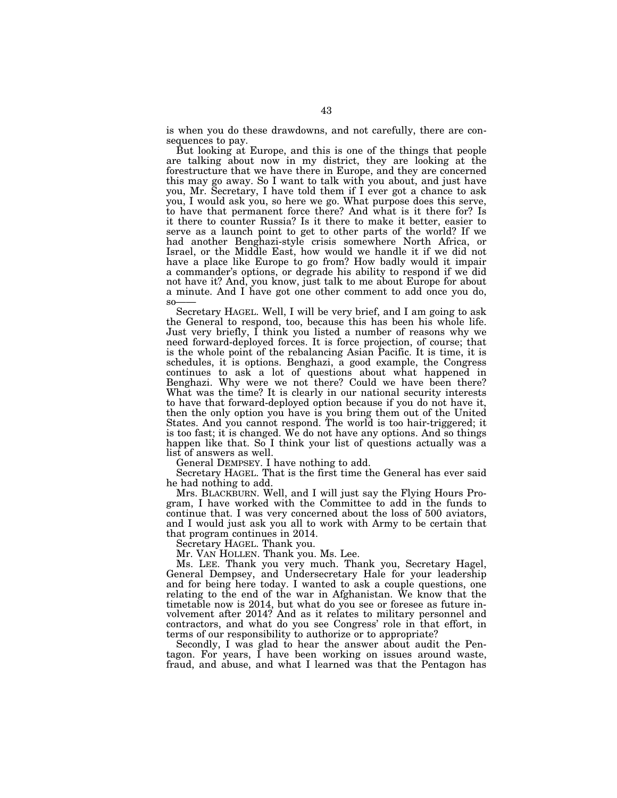is when you do these drawdowns, and not carefully, there are consequences to pay.

But looking at Europe, and this is one of the things that people are talking about now in my district, they are looking at the forestructure that we have there in Europe, and they are concerned this may go away. So I want to talk with you about, and just have you, Mr. Secretary, I have told them if I ever got a chance to ask you, I would ask you, so here we go. What purpose does this serve, to have that permanent force there? And what is it there for? Is it there to counter Russia? Is it there to make it better, easier to serve as a launch point to get to other parts of the world? If we had another Benghazi-style crisis somewhere North Africa, or Israel, or the Middle East, how would we handle it if we did not have a place like Europe to go from? How badly would it impair a commander's options, or degrade his ability to respond if we did not have it? And, you know, just talk to me about Europe for about a minute. And I have got one other comment to add once you do,  $SO$ 

Secretary HAGEL. Well, I will be very brief, and I am going to ask the General to respond, too, because this has been his whole life. Just very briefly, I think you listed a number of reasons why we need forward-deployed forces. It is force projection, of course; that is the whole point of the rebalancing Asian Pacific. It is time, it is schedules, it is options. Benghazi, a good example, the Congress continues to ask a lot of questions about what happened in Benghazi. Why were we not there? Could we have been there? What was the time? It is clearly in our national security interests to have that forward-deployed option because if you do not have it, then the only option you have is you bring them out of the United States. And you cannot respond. The world is too hair-triggered; it is too fast; it is changed. We do not have any options. And so things happen like that. So I think your list of questions actually was a list of answers as well.

General DEMPSEY. I have nothing to add.

Secretary HAGEL. That is the first time the General has ever said he had nothing to add.

Mrs. BLACKBURN. Well, and I will just say the Flying Hours Program, I have worked with the Committee to add in the funds to continue that. I was very concerned about the loss of 500 aviators, and I would just ask you all to work with Army to be certain that that program continues in 2014.

Secretary HAGEL. Thank you.

Mr. VAN HOLLEN. Thank you. Ms. Lee.

Ms. LEE. Thank you very much. Thank you, Secretary Hagel, General Dempsey, and Undersecretary Hale for your leadership and for being here today. I wanted to ask a couple questions, one relating to the end of the war in Afghanistan. We know that the timetable now is 2014, but what do you see or foresee as future involvement after 2014? And as it relates to military personnel and contractors, and what do you see Congress' role in that effort, in terms of our responsibility to authorize or to appropriate?

Secondly, I was glad to hear the answer about audit the Pentagon. For years, I have been working on issues around waste, fraud, and abuse, and what I learned was that the Pentagon has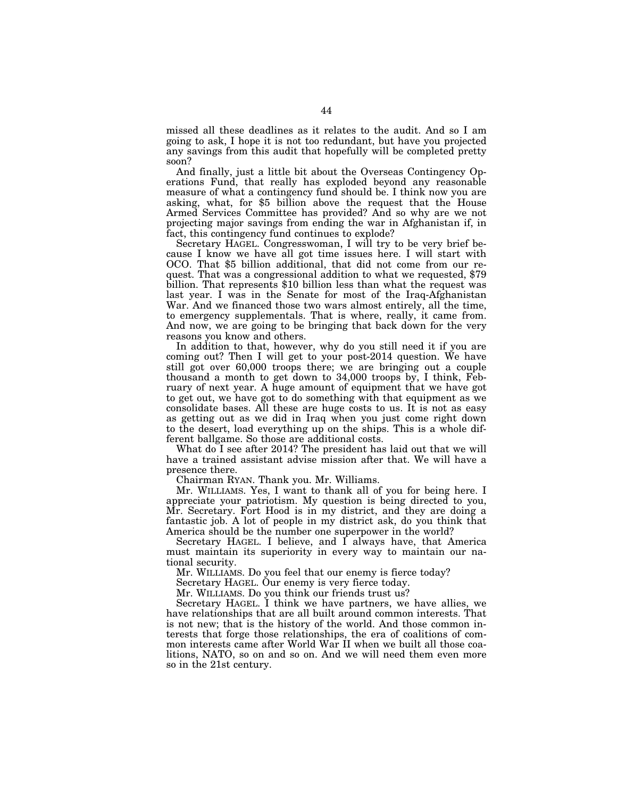missed all these deadlines as it relates to the audit. And so I am going to ask, I hope it is not too redundant, but have you projected any savings from this audit that hopefully will be completed pretty soon?

And finally, just a little bit about the Overseas Contingency Operations Fund, that really has exploded beyond any reasonable measure of what a contingency fund should be. I think now you are asking, what, for \$5 billion above the request that the House Armed Services Committee has provided? And so why are we not projecting major savings from ending the war in Afghanistan if, in fact, this contingency fund continues to explode?

Secretary HAGEL. Congresswoman, I will try to be very brief because I know we have all got time issues here. I will start with OCO. That \$5 billion additional, that did not come from our request. That was a congressional addition to what we requested, \$79 billion. That represents \$10 billion less than what the request was last year. I was in the Senate for most of the Iraq-Afghanistan War. And we financed those two wars almost entirely, all the time, to emergency supplementals. That is where, really, it came from. And now, we are going to be bringing that back down for the very reasons you know and others.

In addition to that, however, why do you still need it if you are coming out? Then I will get to your post-2014 question. We have still got over 60,000 troops there; we are bringing out a couple thousand a month to get down to 34,000 troops by, I think, February of next year. A huge amount of equipment that we have got to get out, we have got to do something with that equipment as we consolidate bases. All these are huge costs to us. It is not as easy as getting out as we did in Iraq when you just come right down to the desert, load everything up on the ships. This is a whole different ballgame. So those are additional costs.

What do I see after 2014? The president has laid out that we will have a trained assistant advise mission after that. We will have a presence there.

Chairman RYAN. Thank you. Mr. Williams.

Mr. WILLIAMS. Yes, I want to thank all of you for being here. I appreciate your patriotism. My question is being directed to you, Mr. Secretary. Fort Hood is in my district, and they are doing a fantastic job. A lot of people in my district ask, do you think that America should be the number one superpower in the world?

Secretary HAGEL. I believe, and I always have, that America must maintain its superiority in every way to maintain our national security.

Mr. WILLIAMS. Do you feel that our enemy is fierce today?

Secretary HAGEL. Our enemy is very fierce today.

Mr. WILLIAMS. Do you think our friends trust us?

Secretary HAGEL. I think we have partners, we have allies, we have relationships that are all built around common interests. That is not new; that is the history of the world. And those common interests that forge those relationships, the era of coalitions of common interests came after World War II when we built all those coalitions, NATO, so on and so on. And we will need them even more so in the 21st century.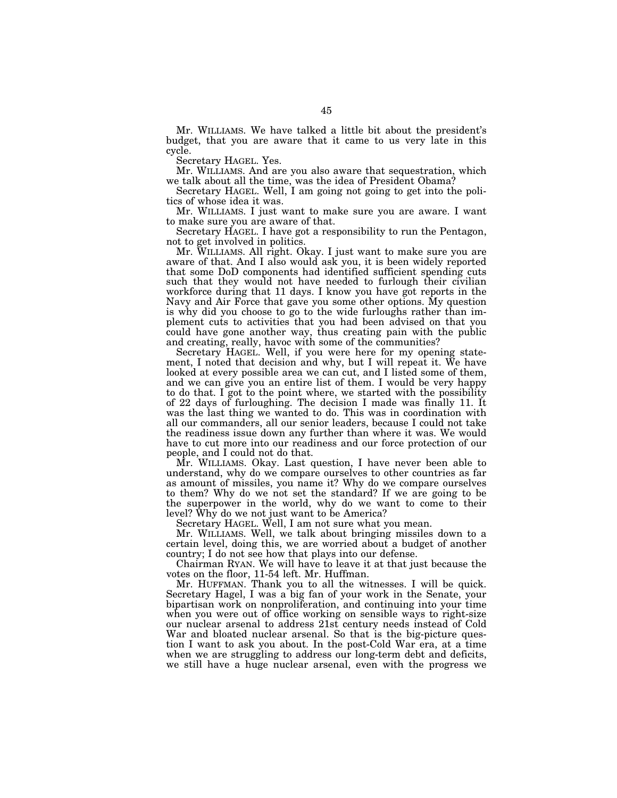Mr. WILLIAMS. We have talked a little bit about the president's budget, that you are aware that it came to us very late in this cycle.

Secretary HAGEL. Yes.

Mr. WILLIAMS. And are you also aware that sequestration, which we talk about all the time, was the idea of President Obama?

Secretary HAGEL. Well, I am going not going to get into the politics of whose idea it was.

Mr. WILLIAMS. I just want to make sure you are aware. I want to make sure you are aware of that.

Secretary HAGEL. I have got a responsibility to run the Pentagon, not to get involved in politics.

Mr. WILLIAMS. All right. Okay. I just want to make sure you are aware of that. And I also would ask you, it is been widely reported that some DoD components had identified sufficient spending cuts such that they would not have needed to furlough their civilian workforce during that 11 days. I know you have got reports in the Navy and Air Force that gave you some other options. My question is why did you choose to go to the wide furloughs rather than implement cuts to activities that you had been advised on that you could have gone another way, thus creating pain with the public and creating, really, havoc with some of the communities?

Secretary HAGEL. Well, if you were here for my opening statement, I noted that decision and why, but I will repeat it. We have looked at every possible area we can cut, and I listed some of them, and we can give you an entire list of them. I would be very happy to do that. I got to the point where, we started with the possibility of 22 days of furloughing. The decision I made was finally 11. It was the last thing we wanted to do. This was in coordination with all our commanders, all our senior leaders, because I could not take the readiness issue down any further than where it was. We would have to cut more into our readiness and our force protection of our people, and I could not do that.

Mr. WILLIAMS. Okay. Last question, I have never been able to understand, why do we compare ourselves to other countries as far as amount of missiles, you name it? Why do we compare ourselves to them? Why do we not set the standard? If we are going to be the superpower in the world, why do we want to come to their level? Why do we not just want to be America?

Secretary HAGEL. Well, I am not sure what you mean.

Mr. WILLIAMS. Well, we talk about bringing missiles down to a certain level, doing this, we are worried about a budget of another country; I do not see how that plays into our defense.

Chairman RYAN. We will have to leave it at that just because the votes on the floor, 11-54 left. Mr. Huffman.

Mr. HUFFMAN. Thank you to all the witnesses. I will be quick. Secretary Hagel, I was a big fan of your work in the Senate, your bipartisan work on nonproliferation, and continuing into your time when you were out of office working on sensible ways to right-size our nuclear arsenal to address 21st century needs instead of Cold War and bloated nuclear arsenal. So that is the big-picture question I want to ask you about. In the post-Cold War era, at a time when we are struggling to address our long-term debt and deficits, we still have a huge nuclear arsenal, even with the progress we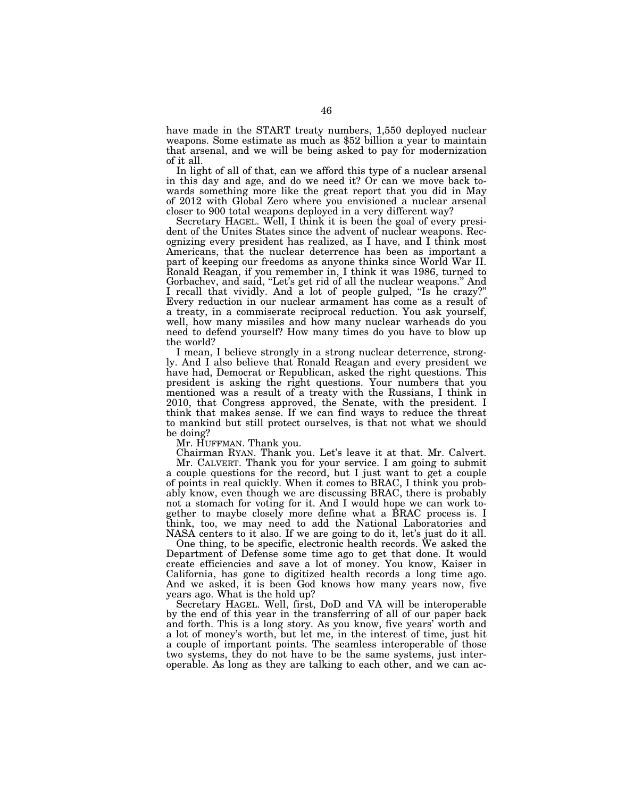have made in the START treaty numbers, 1,550 deployed nuclear weapons. Some estimate as much as \$52 billion a year to maintain that arsenal, and we will be being asked to pay for modernization of it all.

In light of all of that, can we afford this type of a nuclear arsenal in this day and age, and do we need it? Or can we move back towards something more like the great report that you did in May of 2012 with Global Zero where you envisioned a nuclear arsenal closer to 900 total weapons deployed in a very different way?

Secretary HAGEL. Well, I think it is been the goal of every president of the Unites States since the advent of nuclear weapons. Recognizing every president has realized, as I have, and I think most Americans, that the nuclear deterrence has been as important a part of keeping our freedoms as anyone thinks since World War II. Ronald Reagan, if you remember in, I think it was 1986, turned to Gorbachev, and said, ''Let's get rid of all the nuclear weapons.'' And I recall that vividly. And a lot of people gulped, ''Is he crazy?'' Every reduction in our nuclear armament has come as a result of a treaty, in a commiserate reciprocal reduction. You ask yourself, well, how many missiles and how many nuclear warheads do you need to defend yourself? How many times do you have to blow up the world?

I mean, I believe strongly in a strong nuclear deterrence, strongly. And I also believe that Ronald Reagan and every president we have had, Democrat or Republican, asked the right questions. This president is asking the right questions. Your numbers that you mentioned was a result of a treaty with the Russians, I think in 2010, that Congress approved, the Senate, with the president. I think that makes sense. If we can find ways to reduce the threat to mankind but still protect ourselves, is that not what we should be doing?

Mr. HUFFMAN. Thank you.

Chairman RYAN. Thank you. Let's leave it at that. Mr. Calvert. Mr. CALVERT. Thank you for your service. I am going to submit a couple questions for the record, but I just want to get a couple

of points in real quickly. When it comes to BRAC, I think you probably know, even though we are discussing BRAC, there is probably not a stomach for voting for it. And I would hope we can work together to maybe closely more define what a BRAC process is. I think, too, we may need to add the National Laboratories and NASA centers to it also. If we are going to do it, let's just do it all.

One thing, to be specific, electronic health records. We asked the Department of Defense some time ago to get that done. It would create efficiencies and save a lot of money. You know, Kaiser in California, has gone to digitized health records a long time ago. And we asked, it is been God knows how many years now, five years ago. What is the hold up?

Secretary HAGEL. Well, first, DoD and VA will be interoperable by the end of this year in the transferring of all of our paper back and forth. This is a long story. As you know, five years' worth and a lot of money's worth, but let me, in the interest of time, just hit a couple of important points. The seamless interoperable of those two systems, they do not have to be the same systems, just interoperable. As long as they are talking to each other, and we can ac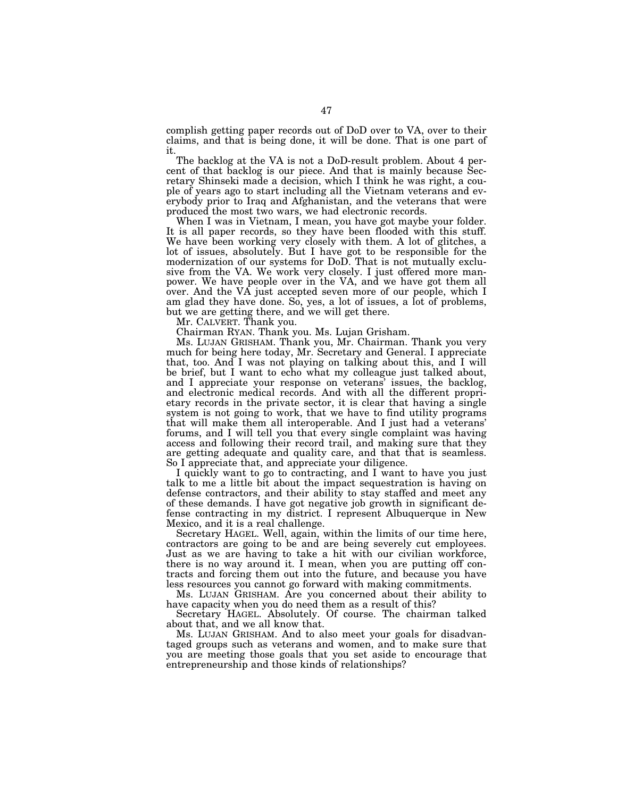complish getting paper records out of DoD over to VA, over to their claims, and that is being done, it will be done. That is one part of it.

The backlog at the VA is not a DoD-result problem. About 4 percent of that backlog is our piece. And that is mainly because Secretary Shinseki made a decision, which I think he was right, a couple of years ago to start including all the Vietnam veterans and everybody prior to Iraq and Afghanistan, and the veterans that were produced the most two wars, we had electronic records.

When I was in Vietnam, I mean, you have got maybe your folder. It is all paper records, so they have been flooded with this stuff. We have been working very closely with them. A lot of glitches, a lot of issues, absolutely. But I have got to be responsible for the modernization of our systems for DoD. That is not mutually exclusive from the VA. We work very closely. I just offered more manpower. We have people over in the VA, and we have got them all over. And the VA just accepted seven more of our people, which I am glad they have done. So, yes, a lot of issues, a lot of problems, but we are getting there, and we will get there.

Mr. CALVERT. Thank you.

Chairman RYAN. Thank you. Ms. Lujan Grisham.

Ms. LUJAN GRISHAM. Thank you, Mr. Chairman. Thank you very much for being here today, Mr. Secretary and General. I appreciate that, too. And I was not playing on talking about this, and I will be brief, but I want to echo what my colleague just talked about, and I appreciate your response on veterans' issues, the backlog, and electronic medical records. And with all the different proprietary records in the private sector, it is clear that having a single system is not going to work, that we have to find utility programs that will make them all interoperable. And I just had a veterans' forums, and I will tell you that every single complaint was having access and following their record trail, and making sure that they are getting adequate and quality care, and that that is seamless. So I appreciate that, and appreciate your diligence.

I quickly want to go to contracting, and I want to have you just talk to me a little bit about the impact sequestration is having on defense contractors, and their ability to stay staffed and meet any of these demands. I have got negative job growth in significant defense contracting in my district. I represent Albuquerque in New Mexico, and it is a real challenge.

Secretary HAGEL. Well, again, within the limits of our time here, contractors are going to be and are being severely cut employees. Just as we are having to take a hit with our civilian workforce, there is no way around it. I mean, when you are putting off contracts and forcing them out into the future, and because you have less resources you cannot go forward with making commitments.

Ms. LUJAN GRISHAM. Are you concerned about their ability to have capacity when you do need them as a result of this?

Secretary HAGEL. Absolutely. Of course. The chairman talked about that, and we all know that.

Ms. LUJAN GRISHAM. And to also meet your goals for disadvantaged groups such as veterans and women, and to make sure that you are meeting those goals that you set aside to encourage that entrepreneurship and those kinds of relationships?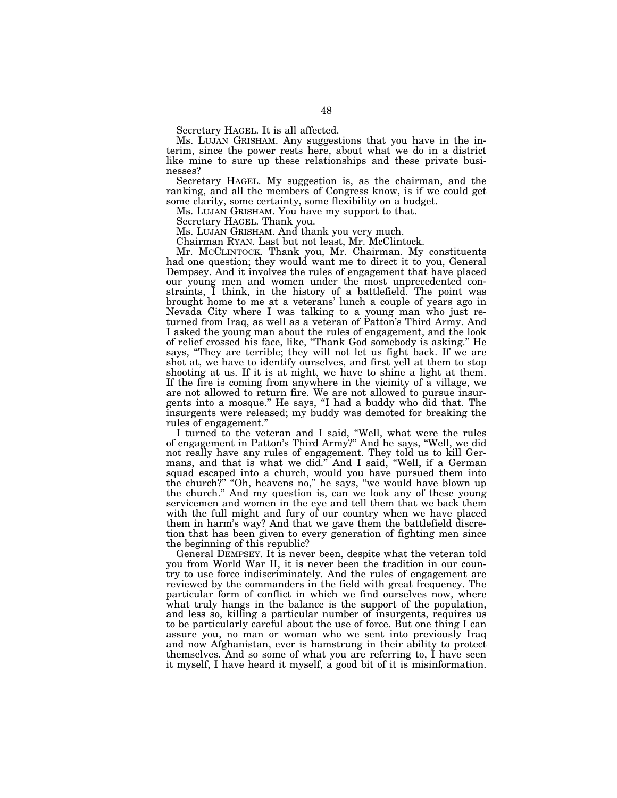Secretary HAGEL. It is all affected.

Ms. LUJAN GRISHAM. Any suggestions that you have in the interim, since the power rests here, about what we do in a district like mine to sure up these relationships and these private businesses?

Secretary HAGEL. My suggestion is, as the chairman, and the ranking, and all the members of Congress know, is if we could get some clarity, some certainty, some flexibility on a budget.

Ms. LUJAN GRISHAM. You have my support to that.

Secretary HAGEL. Thank you.

Ms. LUJAN GRISHAM. And thank you very much.

Chairman RYAN. Last but not least, Mr. McClintock.

Mr. MCCLINTOCK. Thank you, Mr. Chairman. My constituents had one question; they would want me to direct it to you, General Dempsey. And it involves the rules of engagement that have placed our young men and women under the most unprecedented constraints, I think, in the history of a battlefield. The point was brought home to me at a veterans' lunch a couple of years ago in Nevada City where I was talking to a young man who just returned from Iraq, as well as a veteran of Patton's Third Army. And I asked the young man about the rules of engagement, and the look of relief crossed his face, like, ''Thank God somebody is asking.'' He says, ''They are terrible; they will not let us fight back. If we are shot at, we have to identify ourselves, and first yell at them to stop shooting at us. If it is at night, we have to shine a light at them. If the fire is coming from anywhere in the vicinity of a village, we are not allowed to return fire. We are not allowed to pursue insurgents into a mosque." He says, "I had a buddy who did that. The insurgents were released; my buddy was demoted for breaking the rules of engagement.''

I turned to the veteran and I said, "Well, what were the rules of engagement in Patton's Third Army?'' And he says, ''Well, we did not really have any rules of engagement. They told us to kill Germans, and that is what we did.'' And I said, ''Well, if a German squad escaped into a church, would you have pursued them into the church?'' ''Oh, heavens no,'' he says, ''we would have blown up the church.'' And my question is, can we look any of these young servicemen and women in the eye and tell them that we back them with the full might and fury of our country when we have placed them in harm's way? And that we gave them the battlefield discretion that has been given to every generation of fighting men since the beginning of this republic?

General DEMPSEY. It is never been, despite what the veteran told you from World War II, it is never been the tradition in our country to use force indiscriminately. And the rules of engagement are reviewed by the commanders in the field with great frequency. The particular form of conflict in which we find ourselves now, where what truly hangs in the balance is the support of the population, and less so, killing a particular number of insurgents, requires us to be particularly careful about the use of force. But one thing I can assure you, no man or woman who we sent into previously Iraq and now Afghanistan, ever is hamstrung in their ability to protect themselves. And so some of what you are referring to, I have seen it myself, I have heard it myself, a good bit of it is misinformation.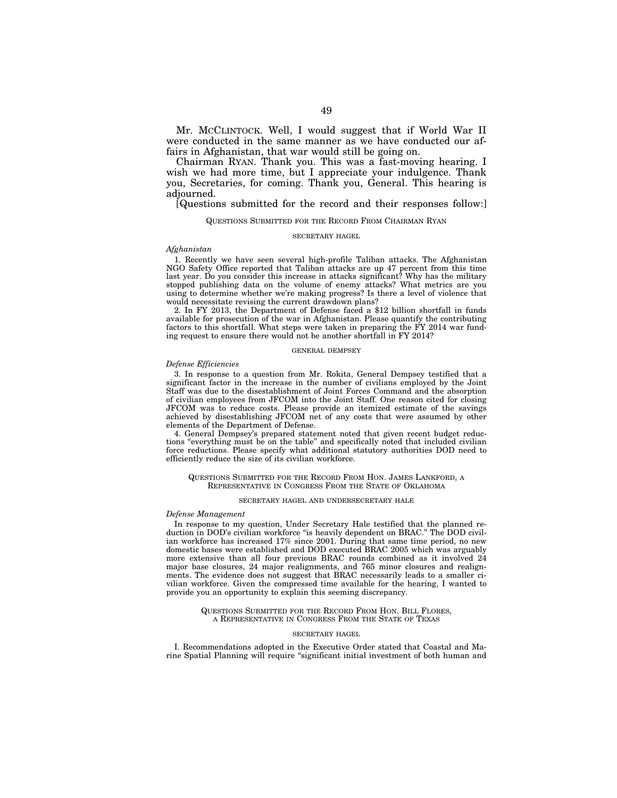Mr. MCCLINTOCK. Well, I would suggest that if World War II were conducted in the same manner as we have conducted our affairs in Afghanistan, that war would still be going on.

Chairman RYAN. Thank you. This was a fast-moving hearing. I wish we had more time, but I appreciate your indulgence. Thank you, Secretaries, for coming. Thank you, General. This hearing is adjourned.

[Questions submitted for the record and their responses follow:]

# QUESTIONS SUBMITTED FOR THE RECORD FROM CHAIRMAN RYAN

# SECRETARY HAGEL

# *Afghanistan*

1. Recently we have seen several high-profile Taliban attacks. The Afghanistan NGO Safety Office reported that Taliban attacks are up 47 percent from this time last year. Do you consider this increase in attacks significant? Why has the military stopped publishing data on the volume of enemy attacks? What metrics are you using to determine whether we're making progress? Is there a level of violence that would necessitate revising the current drawdown plans?

2. In FY 2013, the Department of Defense faced a \$12 billion shortfall in funds available for prosecution of the war in Afghanistan. Please quantify the contributing factors to this shortfall. What steps were taken in preparing the FY 2014 war funding request to ensure there would not be another shortfall in FY 2014?

# GENERAL DEMPSEY

# *Defense Efficiencies*

3. In response to a question from Mr. Rokita, General Dempsey testified that a significant factor in the increase in the number of civilians employed by the Joint Staff was due to the disestablishment of Joint Forces Command and the absorption of civilian employees from JFCOM into the Joint Staff. One reason cited for closing JFCOM was to reduce costs. Please provide an itemized estimate of the savings achieved by disestablishing JFCOM net of any costs that were assumed by other elements of the Department of Defense.

4. General Dempsey's prepared statement noted that given recent budget reductions ''everything must be on the table'' and specifically noted that included civilian force reductions. Please specify what additional statutory authorities DOD need to efficiently reduce the size of its civilian workforce.

# QUESTIONS SUBMITTED FOR THE RECORD FROM HON. JAMES LANKFORD, A REPRESENTATIVE IN CONGRESS FROM THE STATE OF OKLAHOMA

# SECRETARY HAGEL AND UNDERSECRETARY HALE

# *Defense Management*

In response to my question, Under Secretary Hale testified that the planned reduction in DOD's civilian workforce "is heavily dependent on BRAC." The DOD civilian workforce has increased 17% since 2001. During that same time period, no new domestic bases were established and DOD executed BRAC 2005 which was arguably more extensive than all four previous BRAC rounds combined as it involved 24 major base closures, 24 major realignments, and 765 minor closures and realignments. The evidence does not suggest that BRAC necessarily leads to a smaller civilian workforce. Given the compressed time available for the hearing, I wanted to provide you an opportunity to explain this seeming discrepancy.

> QUESTIONS SUBMITTED FOR THE RECORD FROM HON. BILL FLORES, A REPRESENTATIVE IN CONGRESS FROM THE STATE OF TEXAS

# SECRETARY HAGEL

I. Recommendations adopted in the Executive Order stated that Coastal and Marine Spatial Planning will require "significant initial investment of both human and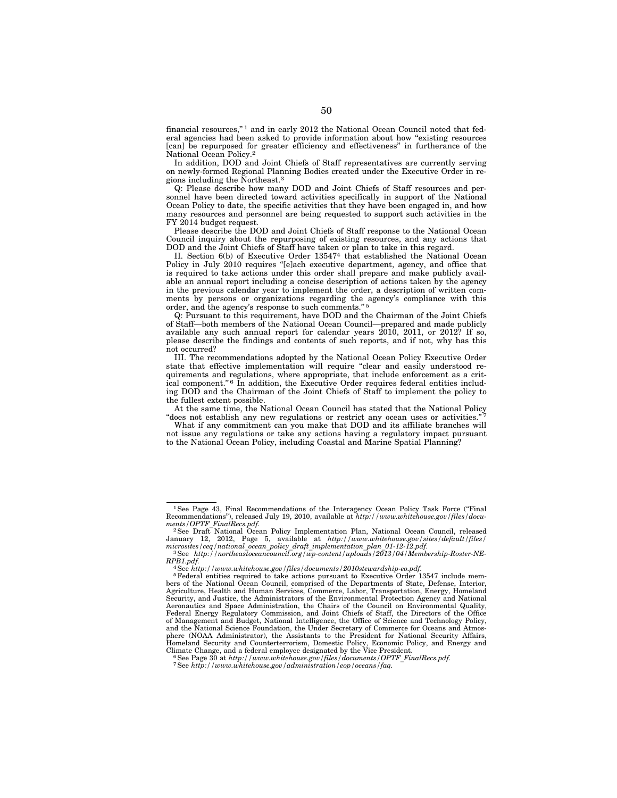financial resources,'' 1 and in early 2012 the National Ocean Council noted that federal agencies had been asked to provide information about how "existing resources [can] be repurposed for greater efficiency and effectiveness" in furtherance of the National Ocean Policy.2

In addition, DOD and Joint Chiefs of Staff representatives are currently serving on newly-formed Regional Planning Bodies created under the Executive Order in regions including the Northeast.3

Q: Please describe how many DOD and Joint Chiefs of Staff resources and personnel have been directed toward activities specifically in support of the National Ocean Policy to date, the specific activities that they have been engaged in, and how many resources and personnel are being requested to support such activities in the FY 2014 budget request.

Please describe the DOD and Joint Chiefs of Staff response to the National Ocean Council inquiry about the repurposing of existing resources, and any actions that DOD and the Joint Chiefs of Staff have taken or plan to take in this regard.

II. Section 6(b) of Executive Order 135474 that established the National Ocean Policy in July 2010 requires "[e]ach executive department, agency, and office that is required to take actions under this order shall prepare and make publicly available an annual report including a concise description of actions taken by the agency in the previous calendar year to implement the order, a description of written comments by persons or organizations regarding the agency's compliance with this order, and the agency's response to such comments."<sup>5</sup>

Q: Pursuant to this requirement, have DOD and the Chairman of the Joint Chiefs of Staff—both members of the National Ocean Council—prepared and made publicly available any such annual report for calendar years 2010, 2011, or 2012? If so, please describe the findings and contents of such reports, and if not, why has this not occurred?

III. The recommendations adopted by the National Ocean Policy Executive Order state that effective implementation will require "clear and easily understood requirements and regulations, where appropriate, that include enforcement as a critical component."<sup>6</sup> In addition, the Executive Order requires federal entities including DOD and the Chairman of the Joint Chiefs of Staff to implement the policy to the fullest extent possible.

At the same time, the National Ocean Council has stated that the National Policy "does not establish any new regulations or restrict any ocean uses or activities."

What if any commitment can you make that DOD and its affiliate branches will not issue any regulations or take any actions having a regulatory impact pursuant to the National Ocean Policy, including Coastal and Marine Spatial Planning?

<sup>&</sup>lt;sup>1</sup>See Page 43, Final Recommendations of the Interagency Ocean Policy Task Force ("Final Recommendations"), released July 19, 2010, available at *http://www.whitehouse.gov/files/docu-*<br>ments/OPTF\_FinalRecs.pdf.

<sup>&</sup>lt;sup>2</sup>See Draft National Ocean Policy Implementation Plan, National Ocean Council, released January 12, 2012, Page 5, available at *http://www.whitehouse.gov/sites/default/files/* 

<sup>&</sup>lt;sup>3</sup> See *http://northeastoceancouncil.org/wp-content/uploads/2013/04/Membership-Roster-NE-RPB1.pdf.* 

RPB1.pdf.<br><sup>4</sup> See http://www.whitehouse.gov/files/documents/2010stewardship-eo.pdf.<br><sup>5</sup> Federal entities required to take actions pursuant to Executive Order 13547 include mem-<br>bers of the National Ocean Council, comprised Agriculture, Health and Human Services, Commerce, Labor, Transportation, Energy, Homeland Security, and Justice, the Administrators of the Environmental Protection Agency and National Aeronautics and Space Administration, the Chairs of the Council on Environmental Quality, Federal Energy Regulatory Commission, and Joint Chiefs of Staff, the Directors of the Office of Management and Budget, National Intelligence, the Office of Science and Technology Policy, and the National Science Foundation, the Under Secretary of Commerce for Oceans and Atmos-phere (NOAA Administrator), the Assistants to the President for National Security Affairs, Homeland Security and Counterterrorism, Domestic Policy, Economic Policy, and Energy and Climate Change, and a federal employee designated by the Vice President.

<sup>&</sup>lt;sup>6</sup>See Page 30 at  $http://www.whitehouse.gov/files/documents/OPTF_FinalRecs.pdf.$ <br><sup>7</sup>See http://www.whitehouse.gov/administration/eop/oceans/faq.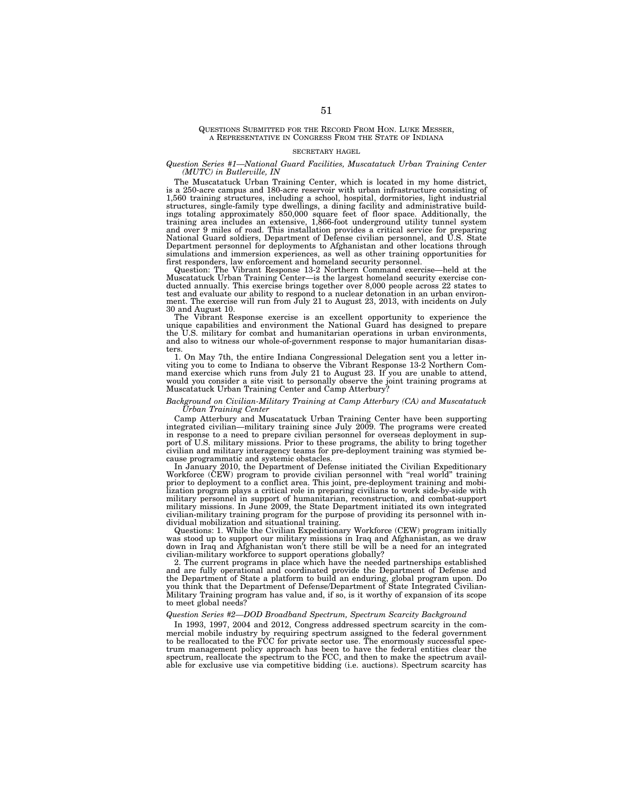# QUESTIONS SUBMITTED FOR THE RECORD FROM HON. LUKE MESSER, A REPRESENTATIVE IN CONGRESS FROM THE STATE OF INDIANA

#### SECRETARY HAGEL

# *Question Series #1—National Guard Facilities, Muscatatuck Urban Training Center (MUTC) in Butlerville, IN*

The Muscatatuck Urban Training Center, which is located in my home district, is a 250-acre campus and 180-acre reservoir with urban infrastructure consisting of 1,560 training structures, including a school, hospital, dormitories, light industrial structures, single-family type dwellings, a dining facility and administrative buildings totaling approximately 850,000 square feet of floor space. Additionally, the training area includes an extensive, 1,866-foot underground utility tunnel system and over 9 miles of road. This installation provides a cri Department personnel for deployments to Afghanistan and other locations through simulations and immersion experiences, as well as other training opportunities for first responders, law enforcement and homeland security personnel.

Question: The Vibrant Response 13-2 Northern Command exercise—held at the Muscatatuck Urban Training Center—is the largest homeland security exercise conducted annually. This exercise brings together over 8,000 people across 22 states to test and evaluate our ability to respond to a nuclear detonation in an urban environ-ment. The exercise will run from July 21 to August 23, 2013, with incidents on July 30 and August 10.

The Vibrant Response exercise is an excellent opportunity to experience the unique capabilities and environment the National Guard has designed to prepare the U.S. military for combat and humanitarian operations in urban environments, and also to witness our whole-of-government response to major humanitarian disasters.

1. On May 7th, the entire Indiana Congressional Delegation sent you a letter inviting you to come to Indiana to observe the Vibrant Response 13-2 Northern Com-mand exercise which runs from July 21 to August 23. If you are unable to attend, would you consider a site visit to personally observe the joint training programs at Muscatatuck Urban Training Center and Camp Atterbury?

# *Background on Civilian-Military Training at Camp Atterbury (CA) and Muscatatuck Urban Training Center*

Camp Atterbury and Muscatatuck Urban Training Center have been supporting integrated civilian—military training since July 2009. The programs were created in response to a need to prepare civilian personnel for overseas deployment in support of U.S. military missions. Prior to these programs, the ability to bring together civilian and military interagency teams for pre-deployment training was stymied because programmatic and systemic obstacles.

In January 2010, the Department of Defense initiated the Civilian Expeditionary Workforce (CEW) program to provide civilian personnel with ''real world'' training prior to deployment to a conflict area. This joint, pre-deployment training and mobilization program plays a critical role in preparing civilians to work side-by-side with military personnel in support of humanitarian, reconstruction, and combat-support military missions. In June 2009, the State Department initiated its own integrated civilian-military training program for the purpose of providing its personnel with individual mobilization and situational training.

Questions: 1. While the Civilian Expeditionary Workforce (CEW) program initially was stood up to support our military missions in Iraq and Afghanistan, as we draw down in Iraq and Afghanistan won't there still be will be a need for an integrated civilian-military workforce to support operations globally?

2. The current programs in place which have the needed partnerships established and are fully operational and coordinated provide the Department of Defense and the Department of State a platform to build an enduring, global program upon. Do you think that the Department of Defense/Department of State Integrated Civilian-Military Training program has value and, if so, is it worthy of expansion of its scope to meet global needs?

# *Question Series #2—DOD Broadband Spectrum, Spectrum Scarcity Background*

In 1993, 1997, 2004 and 2012, Congress addressed spectrum scarcity in the commercial mobile industry by requiring spectrum assigned to the federal government to be reallocated to the FCC for private sector use. The enormously successful spectrum management policy approach has been to have the federal entities clear the spectrum, reallocate the spectrum to the FCC, and then to make the spectrum available for exclusive use via competitive bidding (i.e. auctions). Spectrum scarcity has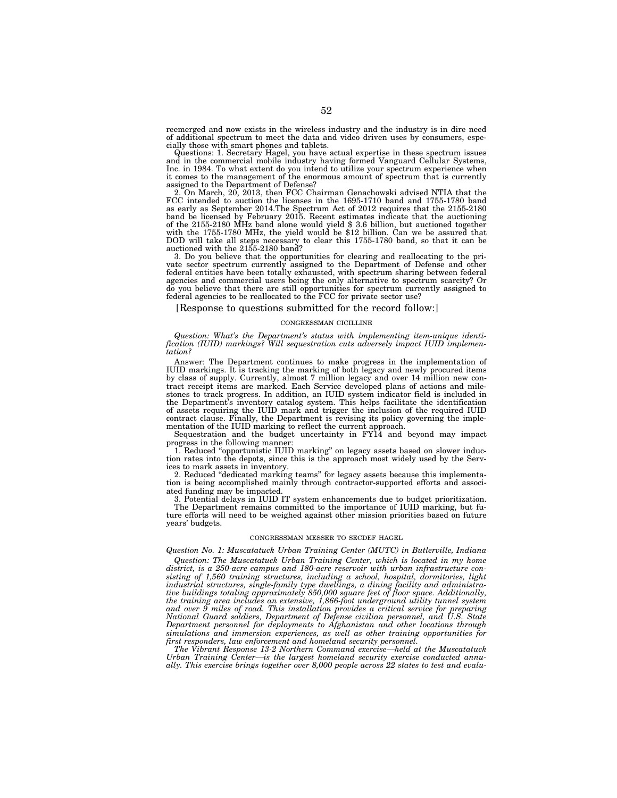reemerged and now exists in the wireless industry and the industry is in dire need of additional spectrum to meet the data and video driven uses by consumers, especially those with smart phones and tablets.

Questions: 1. Secretary Hagel, you have actual expertise in these spectrum issues and in the commercial mobile industry having formed Vanguard Cellular Systems, Inc. in 1984. To what extent do you intend to utilize your spectrum experience when it comes to the management of the enormous amount of spectrum that is currently assigned to the Department of Defense?

2. On March, 20, 2013, then FCC Chairman Genachowski advised NTIA that the FCC intended to auction the licenses in the 1695-1710 band and 1755-1780 band as early as September 2014.The Spectrum Act of 2012 requires that the 2155-2180 band be licensed by February 2015. Recent estimates indicate that the auctioning<br>of the 2155-2180 MHz band alone would yield \$ 3.6 billion, but auctioned together<br>with the 1755-1780 MHz, the yield would be \$12 billion. Can

3. Do you believe that the opportunities for clearing and reallocating to the private sector spectrum currently assigned to the Department of Defense and other federal entities have been totally exhausted, with spectrum sharing between federal agencies and commercial users being the only alternative to spectrum scarcity? Or do you believe that there are still opportunities for spectrum currently assigned to federal agencies to be reallocated to the FCC for private sector use?

[Response to questions submitted for the record follow:]

#### CONGRESSMAN CICILLINE

*Question: What's the Department's status with implementing item-unique identification (IUID) markings? Will sequestration cuts adversely impact IUID implementation?* 

Answer: The Department continues to make progress in the implementation of IUID markings. It is tracking the marking of both legacy and newly procured items by class of supply. Currently, almost 7 million legacy and over 14 million new contract receipt items are marked. Each Service developed plans of actions and milestones to track progress. In addition, an IUID system indicator field is included in the Department's inventory catalog system. This helps facilitate the identification of assets requiring the IUID mark and trigger the inclusion of the required IUID contract clause. Finally, the Department is revising its policy governing the implementation of the IUID marking to reflect the current approach.

Sequestration and the budget uncertainty in FY14 and beyond may impact progress in the following manner:

1. Reduced ''opportunistic IUID marking'' on legacy assets based on slower induction rates into the depots, since this is the approach most widely used by the Services to mark assets in inventory.

2. Reduced ''dedicated marking teams'' for legacy assets because this implementation is being accomplished mainly through contractor-supported efforts and associated funding may be impacted.

3. Potential delays in IUID IT system enhancements due to budget prioritization. The Department remains committed to the importance of IUID marking, but future efforts will need to be weighed against other mission priorities based on future years' budgets.

# CONGRESSMAN MESSER TO SECDEF HAGEL

*Question No. 1: Muscatatuck Urban Training Center (MUTC) in Butlerville, Indiana Question: The Muscatatuck Urban Training Center, which is located in my home district, is a 250-acre campus and 180-acre reservoir with urban infrastructure consisting of 1,560 training structures, including a school, hospital, dormitories, light industrial structures, single-family type dwellings, a dining facility and administrative buildings totaling approximately 850,000 square feet of floor space. Additionally, the training area includes an extensive, 1,866-foot underground utility tunnel system and over 9 miles of road. This installation provides a critical service for preparing National Guard soldiers, Department of Defense civilian personnel, and U.S. State Department personnel for deployments to Afghanistan and other locations through simulations and immersion experiences, as well as other training opportunities for first responders, law enforcement and homeland security personnel.* 

*The Vibrant Response 13-2 Northern Command exercise—held at the Muscatatuck Urban Training Center—is the largest homeland security exercise conducted annually. This exercise brings together over 8,000 people across 22 states to test and evalu-*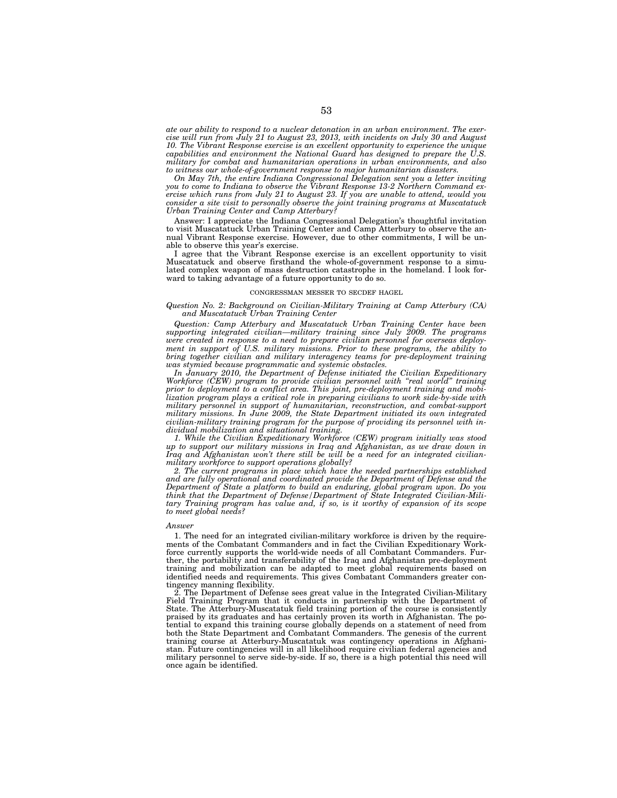*ate our ability to respond to a nuclear detonation in an urban environment. The exercise will run from July 21 to August 23, 2013, with incidents on July 30 and August 10. The Vibrant Response exercise is an excellent opportunity to experience the unique capabilities and environment the National Guard has designed to prepare the U.S. military for combat and humanitarian operations in urban environments, and also to witness our whole-of-government response to major humanitarian disasters.* 

*On May 7th, the entire Indiana Congressional Delegation sent you a letter inviting you to come to Indiana to observe the Vibrant Response 13-2 Northern Command exercise which runs from July 21 to August 23. If you are unable to attend, would you consider a site visit to personally observe the joint training programs at Muscatatuck Urban Training Center and Camp Atterbury?* 

Answer: I appreciate the Indiana Congressional Delegation's thoughtful invitation to visit Muscatatuck Urban Training Center and Camp Atterbury to observe the annual Vibrant Response exercise. However, due to other commitments, I will be unable to observe this year's exercise.

I agree that the Vibrant Response exercise is an excellent opportunity to visit Muscatatuck and observe firsthand the whole-of-government response to a simulated complex weapon of mass destruction catastrophe in the homeland. I look forward to taking advantage of a future opportunity to do so.

# CONGRESSMAN MESSER TO SECDEF HAGEL

# *Question No. 2: Background on Civilian-Military Training at Camp Atterbury (CA) and Muscatatuck Urban Training Center*

*Question: Camp Atterbury and Muscatatuck Urban Training Center have been supporting integrated civilian—military training since July 2009. The programs were created in response to a need to prepare civilian personnel for overseas deployment in support of U.S. military missions. Prior to these programs, the ability to bring together civilian and military interagency teams for pre-deployment training was stymied because programmatic and systemic obstacles.* 

*In January 2010, the Department of Defense initiated the Civilian Expeditionary Workforce (CEW) program to provide civilian personnel with ''real world'' training prior to deployment to a conflict area. This joint, pre-deployment training and mobilization program plays a critical role in preparing civilians to work side-by-side with military personnel in support of humanitarian, reconstruction, and combat-support military missions. In June 2009, the State Department initiated its own integrated civilian-military training program for the purpose of providing its personnel with individual mobilization and situational training.* 

*1. While the Civilian Expeditionary Workforce (CEW) program initially was stood up to support our military missions in Iraq and Afghanistan, as we draw down in Iraq and Afghanistan won't there still be will be a need for an integrated civilianmilitary workforce to support operations globally?* 

*2. The current programs in place which have the needed partnerships established and are fully operational and coordinated provide the Department of Defense and the Department of State a platform to build an enduring, global program upon. Do you think that the Department of Defense/Department of State Integrated Civilian-Military Training program has value and, if so, is it worthy of expansion of its scope to meet global needs?* 

#### *Answer*

1. The need for an integrated civilian-military workforce is driven by the requirements of the Combatant Commanders and in fact the Civilian Expeditionary Workforce currently supports the world-wide needs of all Combatant Commanders. Further, the portability and transferability of the Iraq and Afghanistan pre-deployment training and mobilization can be adapted to meet global requirements based on identified needs and requirements. This gives Combatant Commanders greater contingency manning flexibility.

2. The Department of Defense sees great value in the Integrated Civilian-Military Field Training Program that it conducts in partnership with the Department of State. The Atterbury-Muscatatuk field training portion of the course is consistently praised by its graduates and has certainly proven its worth in Afghanistan. The potential to expand this training course globally depends on a statement of need from both the State Department and Combatant Commanders. The genesis of the current training course at Atterbury-Muscatatuk was contingency operations in Afghanistan. Future contingencies will in all likelihood require civilian federal agencies and military personnel to serve side-by-side. If so, there is a high potential this need will once again be identified.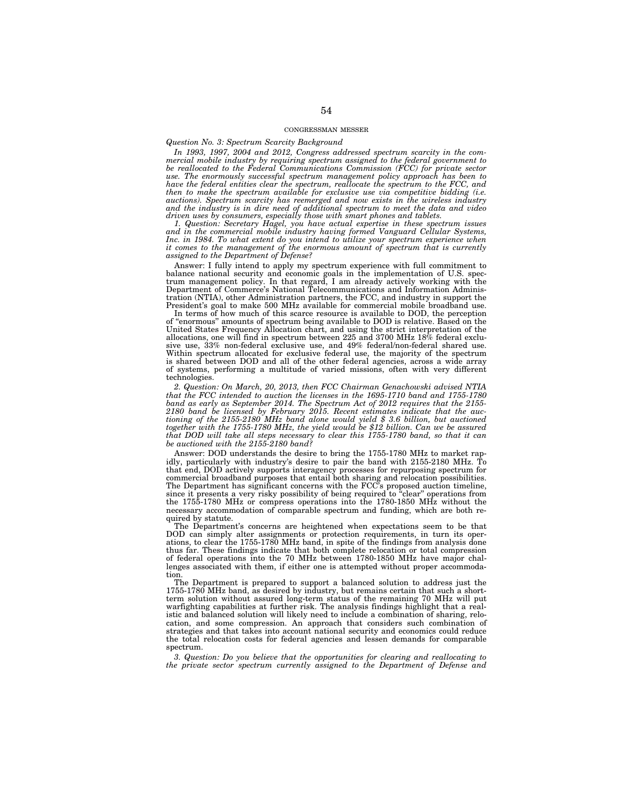#### CONGRESSMAN MESSER

*Question No. 3: Spectrum Scarcity Background* 

*In 1993, 1997, 2004 and 2012, Congress addressed spectrum scarcity in the commercial mobile industry by requiring spectrum assigned to the federal government to be reallocated to the Federal Communications Commission (FCC) for private sector*  use. The enormously successful spectrum management policy approach has been to<br>have the federal entities clear the spectrum, reallocate the spectrum to the FCC, and<br>then to make the spectrum available for exclusive use via *and the industry is in dire need of additional spectrum to meet the data and video driven uses by consumers, especially those with smart phones and tablets.* 

*1. Question: Secretary Hagel, you have actual expertise in these spectrum issues and in the commercial mobile industry having formed Vanguard Cellular Systems,*  Inc. in 1984. To what extent do you intend to utilize your spectrum experience when<br>it comes to the management of the enormous amount of spectrum that is currently *assigned to the Department of Defense?* 

Answer: I fully intend to apply my spectrum experience with full commitment to balance national security and economic goals in the implementation of U.S. spec-trum management policy. In that regard, I am already actively working with the Department of Commerce's National Telecommunications and Information Administration (NTIA), other Administration partners, the FCC, and industry in support the President's goal to make 500 MHz available for commercial mobile broadband use.

In terms of how much of this scarce resource is available to DOD, the perception of ''enormous'' amounts of spectrum being available to DOD is relative. Based on the United States Frequency Allocation chart, and using the strict interpretation of the allocations, one will find in spectrum between 225 and 3700 MHz 18% federal exclusive use, 33% non-federal exclusive use, and 49% federal/non-federal shared use. Within spectrum allocated for exclusive federal use, the majority of the spectrum is shared between DOD and all of the other federal agencies, across a wide array of systems, performing a multitude of varied missions, often with very different technologies.

*2. Question: On March, 20, 2013, then FCC Chairman Genachowski advised NTIA that the FCC intended to auction the licenses in the 1695-1710 band and 1755-1780 band as early as September 2014. The Spectrum Act of 2012 requires that the 2155- 2180 band be licensed by February 2015. Recent estimates indicate that the auctioning of the 2155-2180 MHz band alone would yield \$ 3.6 billion, but auctioned together with the 1755-1780 MHz, the yield would be \$12 billion. Can we be assured that DOD will take all steps necessary to clear this 1755-1780 band, so that it can be auctioned with the 2155-2180 band?* 

Answer: DOD understands the desire to bring the 1755-1780 MHz to market rapidly, particularly with industry's desire to pair the band with 2155-2180 MHz. To that end, DOD actively supports interagency processes for repurposing spectrum for commercial broadband purposes that entail both sharing and relocation possibilities. The Department has significant concerns with the FCC's proposed auction timeline, since it presents a very risky possibility of being required to ''clear'' operations from the 1755-1780 MHz or compress operations into the 1780-1850 MHz without the necessary accommodation of comparable spectrum and funding, which are both required by statute.

The Department's concerns are heightened when expectations seem to be that DOD can simply alter assignments or protection requirements, in turn its operations, to clear the 1755-1780 MHz band, in spite of the findings from analysis done thus far. These findings indicate that both complete relocation or total compression of federal operations into the 70 MHz between 1780-1850 MHz have major challenges associated with them, if either one is attempted without proper accommodation.

The Department is prepared to support a balanced solution to address just the 1755-1780 MHz band, as desired by industry, but remains certain that such a shortterm solution without assured long-term status of the remaining 70 MHz will put warfighting capabilities at further risk. The analysis findings highlight that a realistic and balanced solution will likely need to include a combination of sharing, relocation, and some compression. An approach that considers such combination of strategies and that takes into account national security and economics could reduce the total relocation costs for federal agencies and lessen demands for comparable spectrum.

*3. Question: Do you believe that the opportunities for clearing and reallocating to the private sector spectrum currently assigned to the Department of Defense and*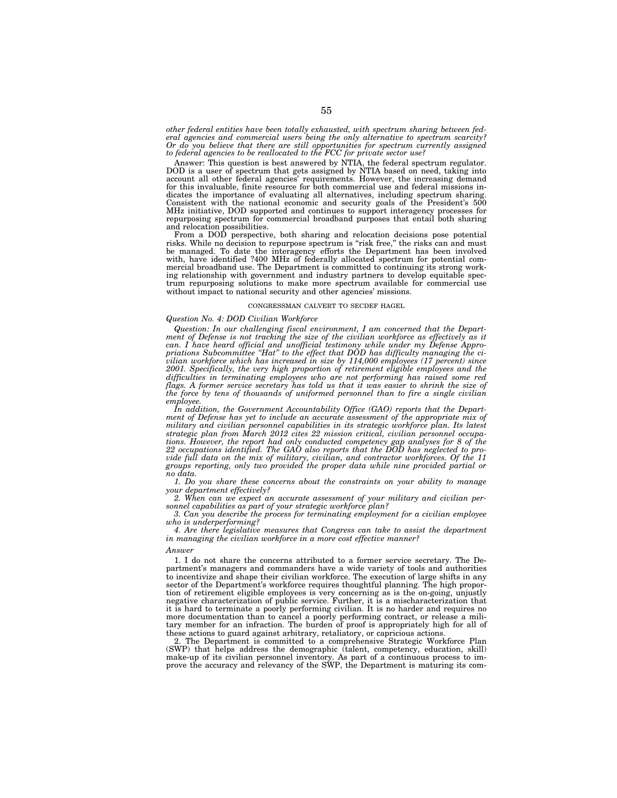*other federal entities have been totally exhausted, with spectrum sharing between federal agencies and commercial users being the only alternative to spectrum scarcity? Or do you believe that there are still opportunities for spectrum currently assigned to federal agencies to be reallocated to the FCC for private sector use?* 

Answer: This question is best answered by NTIA, the federal spectrum regulator. DOD is a user of spectrum that gets assigned by NTIA based on need, taking into account all other federal agencies' requirements. However, the increasing demand for this invaluable, finite resource for both commercial use and federal missions indicates the importance of evaluating all alternatives, including spectrum sharing. Consistent with the national economic and security goals of the President's 500 MHz initiative, DOD supported and continues to support interagency processes for repurposing spectrum for commercial broadband purposes that entail both sharing and relocation possibilities.

From a DOD perspective, both sharing and relocation decisions pose potential risks. While no decision to repurpose spectrum is "risk free," the risks can and must be managed. To date the interagency efforts the Department has been involved with, have identified ?400 MHz of federally allocated spectrum for potential commercial broadband use. The Department is committed to continuing its strong working relationship with government and industry partners to develop equitable spectrum repurposing solutions to make more spectrum available for commercial use without impact to national security and other agencies' missions.

# CONGRESSMAN CALVERT TO SECDEF HAGEL

# *Question No. 4: DOD Civilian Workforce*

*Question: In our challenging fiscal environment, I am concerned that the Department of Defense is not tracking the size of the civilian workforce as effectively as it can. I have heard official and unofficial testimony while under my Defense Appropriations Subcommittee ''Hat'' to the effect that DOD has difficulty managing the civilian workforce which has increased in size by 114,000 employees (17 percent) since 2001. Specifically, the very high proportion of retirement eligible employees and the difficulties in terminating employees who are not performing has raised some red*  flags. A former service secretary has told us that it was easier to shrink the size of *the force by tens of thousands of uniformed personnel than to fire a single civilian employee.* 

*In addition, the Government Accountability Office (GAO) reports that the Department of Defense has yet to include an accurate assessment of the appropriate mix of military and civilian personnel capabilities in its strategic workforce plan. Its latest strategic plan from March 2012 cites 22 mission critical, civilian personnel occupations. However, the report had only conducted competency gap analyses for 8 of the 22 occupations identified. The GAO also reports that the DOD has neglected to provide full data on the mix of military, civilian, and contractor workforces. Of the 11 groups reporting, only two provided the proper data while nine provided partial or no data.* 

*1. Do you share these concerns about the constraints on your ability to manage your department effectively?* 

*2. When can we expect an accurate assessment of your military and civilian personnel capabilities as part of your strategic workforce plan?* 

*3. Can you describe the process for terminating employment for a civilian employee who is underperforming?* 

*4. Are there legislative measures that Congress can take to assist the department in managing the civilian workforce in a more cost effective manner?* 

#### *Answer*

1. I do not share the concerns attributed to a former service secretary. The Department's managers and commanders have a wide variety of tools and authorities to incentivize and shape their civilian workforce. The execution of large shifts in any sector of the Department's workforce requires thoughtful planning. The high proportion of retirement eligible employees is very concerning as is the on-going, unjustly negative characterization of public service. Further, it is a mischaracterization that it is hard to terminate a poorly performing civilian. It is no harder and requires no more documentation than to cancel a poorly performing contract, or release a military member for an infraction. The burden of proof is appropriately high for all of these actions to guard against arbitrary, retaliatory, or capricious actions.

2. The Department is committed to a comprehensive Strategic Workforce Plan (SWP) that helps address the demographic (talent, competency, education, skill) make-up of its civilian personnel inventory. As part of a continuous process to improve the accuracy and relevancy of the SWP, the Department is maturing its com-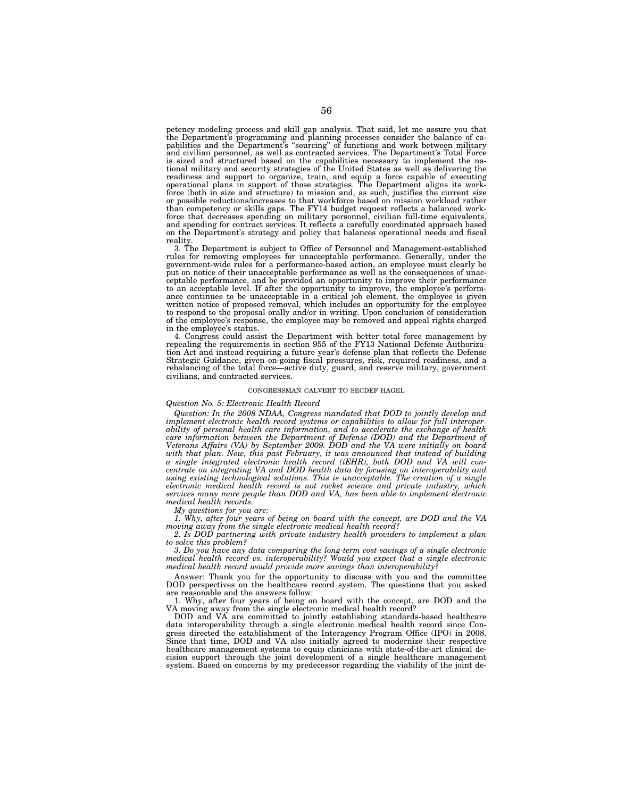petency modeling process and skill gap analysis. That said, let me assure you that<br>the Department's programming and planning processes consider the balance of ca-<br>pabilities and the Department's "sourcing" of functions and and civilian personnel, as well as contracted services. The Department's Total Force is sized and structured based on the capabilities necessary to implement the na-tional military and security strategies of the United States as well as delivering the readiness and support to organize, train, and equip a force capable of executing operational plans in support of those strategies. The Department aligns its workforce (both in size and structure) to mission and, as such, justifies the current size or possible reductions/increases to that workforce based on mission workload rather than competency or skills gaps. The FY14 budget request reflects a balanced workforce that decreases spending on military personnel, civilian full-time equivalents, and spending for contract services. It reflects a carefully coordinated approach based on the Department's strategy and policy that balances operational needs and fiscal reality.

3. The Department is subject to Office of Personnel and Management-established rules for removing employees for unacceptable performance. Generally, under the government-wide rules for a performance-based action, an employee must clearly be put on notice of their unacceptable performance as well as the consequences of unacceptable performance, and be provided an opportunity to improve their performance to an acceptable level. If after the opportunity to improve, the employee's performance continues to be unacceptable in a critical job element, the employee is given written notice of proposed removal, which includes an opportunity for the employee to respond to the proposal orally and/or in writing. Upon conclusion of consideration of the employee's response, the employee may be removed and appeal rights charged in the employee's status.

4. Congress could assist the Department with better total force management by repealing the requirements in section 955 of the FY13 National Defense Authorization Act and instead requiring a future year's defense plan that reflects the Defense Strategic Guidance, given on-going fiscal pressures, risk, required readiness, and a rebalancing of the total force—active duty, guard, and reserve military, government civilians, and contracted services.

#### CONGRESSMAN CALVERT TO SECDEF HAGEL

# *Question No. 5: Electronic Health Record*

*Question: In the 2008 NDAA, Congress mandated that DOD to jointly develop and implement electronic health record systems or capabilities to allow for full interoperability of personal health care information, and to accelerate the exchange of health care information between the Department of Defense (DOD) and the Department of Veterans Affairs (VA) by September 2009. DOD and the VA were initially on board*  with that plan. Now, this past February, it was announced that instead of building *a single integrated electronic health record (iEHR), both DOD and VA will concentrate on integrating VA and DOD health data by focusing on interoperability and using existing technological solutions. This is unacceptable. The creation of a single electronic medical health record is not rocket science and private industry, which services many more people than DOD and VA, has been able to implement electronic medical health records.* 

*My questions for you are:* 

*1. Why, after four years of being on board with the concept, are DOD and the VA moving away from the single electronic medical health record?* 

*2. Is DOD partnering with private industry health providers to implement a plan to solve this problem?* 

*3. Do you have any data comparing the long-term cost savings of a single electronic medical health record vs. interoperability? Would you expect that a single electronic medical health record would provide more savings than interoperability?* 

Answer: Thank you for the opportunity to discuss with you and the committee DOD perspectives on the healthcare record system. The questions that you asked are reasonable and the answers follow:

1. Why, after four years of being on board with the concept, are DOD and the VA moving away from the single electronic medical health record?

DOD and VA are committed to jointly establishing standards-based healthcare data interoperability through a single electronic medical health record since Congress directed the establishment of the Interagency Program Office (IPO) in 2008. Since that time, DOD and VA also initially agreed to modernize their respective healthcare management systems to equip clinicians with state-of-the-art clinical decision support through the joint development of a single healthcare management system. Based on concerns by my predecessor regarding the viability of the joint de-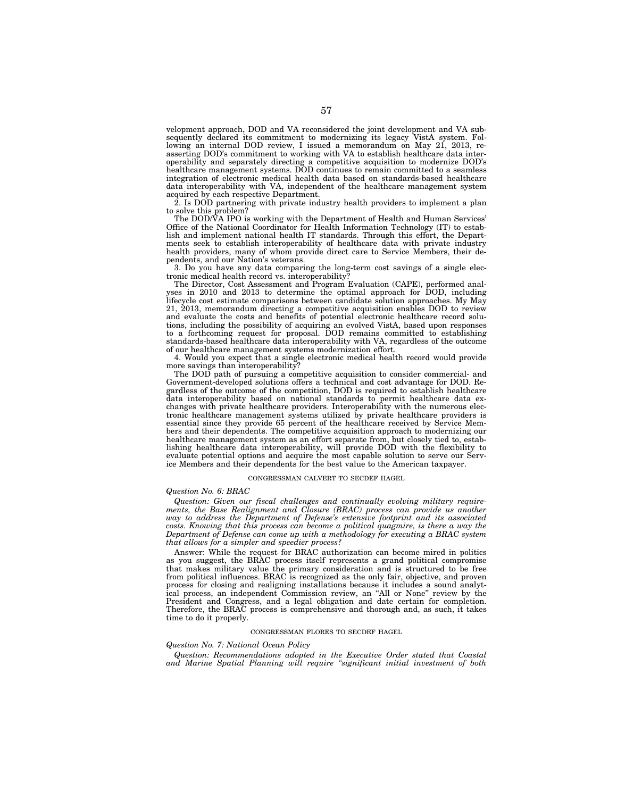velopment approach, DOD and VA reconsidered the joint development and VA subsequently declared its commitment to modernizing its legacy VistA system. Following an internal DOD review, I issued a memorandum on May 21, 2013, reasserting DOD's commitment to working with VA to establish healthcare data interoperability and separately directing a competitive acquisition to modernize DOD's healthcare management systems. DOD continues to remain committed to a seamless integration of electronic medical health data based on standards-based healthcare data interoperability with VA, independent of the healthcare management system acquired by each respective Department.

2. Is DOD partnering with private industry health providers to implement a plan to solve this problem?

The DOD/VA IPO is working with the Department of Health and Human Services' Office of the National Coordinator for Health Information Technology (IT) to establish and implement national health IT standards. Through this effort, the Departments seek to establish interoperability of healthcare data with private industry health providers, many of whom provide direct care to Service Members, their dependents, and our Nation's veterans.

3. Do you have any data comparing the long-term cost savings of a single electronic medical health record vs. interoperability?

The Director, Cost Assessment and Program Evaluation (CAPE), performed analyses in 2010 and 2013 to determine the optimal approach for DOD, including lifecycle cost estimate comparisons between candidate solution approaches. My May 21, 2013, memorandum directing a competitive acquisition enables DOD to review and evaluate the costs and benefits of potential electronic healthcare record solutions, including the possibility of acquiring an evolved VistA, based upon responses to a forthcoming request for proposal. DOD remains committed to establishing standards-based healthcare data interoperability with VA, regardless of the outcome of our healthcare management systems modernization effort.

4. Would you expect that a single electronic medical health record would provide more savings than interoperability?

The DOD path of pursuing a competitive acquisition to consider commercial- and Government-developed solutions offers a technical and cost advantage for DOD. Regardless of the outcome of the competition, DOD is required to establish healthcare data interoperability based on national standards to permit healthcare data exchanges with private healthcare providers. Interoperability with the numerous electronic healthcare management systems utilized by private healthcare providers is essential since they provide 65 percent of the healthcare received by Service Members and their dependents. The competitive acquisition approach to modernizing our healthcare management system as an effort separate from, but closely tied to, establishing healthcare data interoperability, will provide DOD with the flexibility to evaluate potential options and acquire the most capable solution to serve our Service Members and their dependents for the best value to the American taxpayer.

#### CONGRESSMAN CALVERT TO SECDEF HAGEL

# *Question No. 6: BRAC*

*Question: Given our fiscal challenges and continually evolving military requirements, the Base Realignment and Closure (BRAC) process can provide us another way to address the Department of Defense's extensive footprint and its associated costs. Knowing that this process can become a political quagmire, is there a way the Department of Defense can come up with a methodology for executing a BRAC system that allows for a simpler and speedier process?* 

Answer: While the request for BRAC authorization can become mired in politics as you suggest, the BRAC process itself represents a grand political compromise that makes military value the primary consideration and is structured to be free from political influences. BRAC is recognized as the only fair, objective, and proven process for closing and realigning installations because it includes a sound analytical process, an independent Commission review, an ''All or None'' review by the President and Congress, and a legal obligation and date certain for completion. Therefore, the BRAC process is comprehensive and thorough and, as such, it takes time to do it properly.

# CONGRESSMAN FLORES TO SECDEF HAGEL

#### *Question No. 7: National Ocean Policy*

*Question: Recommendations adopted in the Executive Order stated that Coastal and Marine Spatial Planning will require ''significant initial investment of both*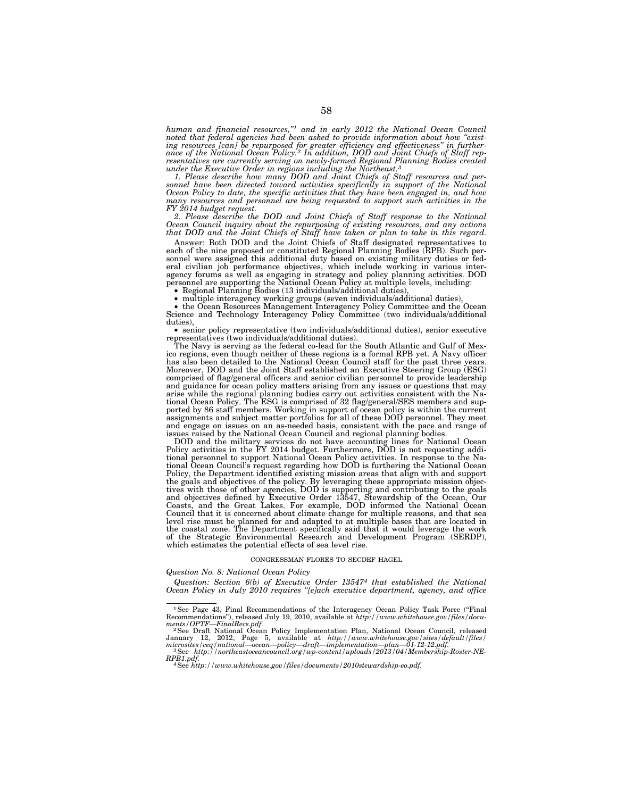*human and financial resources,''1 and in early 2012 the National Ocean Council noted that federal agencies had been asked to provide information about how ''existing resources [can] be repurposed for greater efficiency and effectiveness'' in further-ance of the National Ocean Policy.2 In addition, DOD and Joint Chiefs of Staff representatives are currently serving on newly-formed Regional Planning Bodies created under the Executive Order in regions including the Northeast.3*

*1. Please describe how many DOD and Joint Chiefs of Staff resources and per*sonnel have been directed toward activities specifically in support of the National *Ocean Policy to date, the specific activities that they have been engaged in, and how many resources and personnel are being requested to support such activities in the FY 2014 budget request.* 

2. Please describe the DOD and Joint Chiefs of Staff response to the National<br>Ocean Council inquiry about the repurposing of existing resources, and any actions<br>that DOD and the Joint Chiefs of Staff have taken or plan to

Answer: Both DOD and the Joint Chiefs of Staff designated representatives to each of the nine proposed or constituted Regional Planning Bodies (RPB). Such personnel were assigned this additional duty based on existing military duties or federal civilian job performance objectives, which include working in various inter-<br>agency forums as well as engaging in strategy and policy p

Science and Technology Interagency Policy Committee (two individuals/additional

duties),<br>• senior policy representative (two individuals/additional duties), senior executive<br>representatives (two individuals/additional duties).

The Navy is serving as the federal co-lead for the South Atlantic and Gulf of Mexico regions, even though neither of these regions is a formal RPB yet. A Navy officer has also been detailed to the National Ocean Council staff for the past three years. Moreover, DOD and the Joint Staff established an Executive Steering Group (ESG) comprised of flag/general officers and senior civilian personnel to provide leadership and guidance for ocean policy matters arising from any issues or questions that may arise while the regional planning bodies carry out activities consistent with the Na-tional Ocean Policy. The ESG is comprised of 32 flag/general/SES members and supported by 86 staff members. Working in support of ocean policy is within the current assignments and subject matter portfolios for all of these DOD personnel. They meet and range on issues on an as-needed basis, consistent

DOD and the military services do not have accounting lines for National Ocean<br>Policy activities in the FY 2014 budget. Furthermore, DOD is not requesting addi-<br>tional personnel to support National Ocean Policy activities. tional Ocean Council's request regarding how DOD is furthering the National Ocean<br>Policy, the Department identified existing mission areas that align with and support<br>the goals and objectives of the policy. By leveraging t Council that it is concerned about climate change for multiple reasons, and that sea level rise must be planned for and adapted to at multiple bases that are located in the coastal zone. The Department specifically said that it would leverage the work of the Strategic Environmental Research and Development Program (SERDP), which estimates the potential effects of sea level rise.

#### CONGRESSMAN FLORES TO SECDEF HAGEL

# *Question No. 8: National Ocean Policy*

*Question: Section 6(b) of Executive Order 135474 that established the National Ocean Policy in July 2010 requires ''[e]ach executive department, agency, and office* 

<sup>&</sup>lt;sup>1</sup>See Page 43, Final Recommendations of the Interagency Ocean Policy Task Force ("Final Recommendations''), released July 19, 2010, available at *http://www.whitehouse.gov/files/docu-*

ments/OPTF—FinalRecs.pdf.<br>
<sup>2</sup>See Draft National Ocean Policy Implementation Plan, National Ocean Council, released<br>
<sup>2</sup>See Draft National Ocean Policy Implementation—plan—01-12-12.pdf.<br>
microsites/ceq/national—ocean—poli

*RPB1.pdf.* 4See *http://www.whitehouse.gov/files/documents/2010stewardship-eo.pdf.*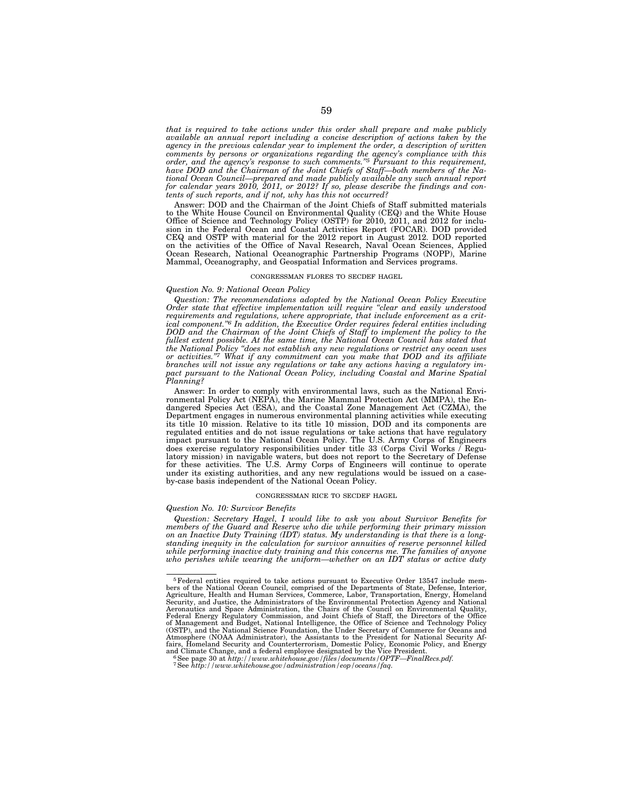*that is required to take actions under this order shall prepare and make publicly available an annual report including a concise description of actions taken by the agency in the previous calendar year to implement the order, a description of written comments by persons or organizations regarding the agency's compliance with this order, and the agency's response to such comments.''5 Pursuant to this requirement, have DOD and the Chairman of the Joint Chiefs of Staff—both members of the National Ocean Council—prepared and made publicly available any such annual report for calendar years 2010, 2011, or 2012? If so, please describe the findings and contents of such reports, and if not, why has this not occurred?* 

Answer: DOD and the Chairman of the Joint Chiefs of Staff submitted materials to the White House Council on Environmental Quality (CEQ) and the White House Office of Science and Technology Policy (OSTP) for 2010, 2011, and 2012 for inclusion in the Federal Ocean and Coastal Activities Report (FOCAR). DOD provided CEQ and OSTP with material for the 2012 report in August 2012. DOD reported on the activities of the Office of Naval Research, Naval Ocean Sciences, Applied Ocean Research, National Oceanographic Partnership Programs (NOPP), Marine Mammal, Oceanography, and Geospatial Information and Services programs.

# CONGRESSMAN FLORES TO SECDEF HAGEL

#### *Question No. 9: National Ocean Policy*

*Question: The recommendations adopted by the National Ocean Policy Executive Order state that effective implementation will require ''clear and easily understood*  requirements and regulations, where appropriate, that include enforcement as a crit*ical component.''6 In addition, the Executive Order requires federal entities including DOD and the Chairman of the Joint Chiefs of Staff to implement the policy to the fullest extent possible. At the same time, the National Ocean Council has stated that the National Policy ''does not establish any new regulations or restrict any ocean uses or activities.''7 What if any commitment can you make that DOD and its affiliate branches will not issue any regulations or take any actions having a regulatory impact pursuant to the National Ocean Policy, including Coastal and Marine Spatial Planning?* 

Answer: In order to comply with environmental laws, such as the National Environmental Policy Act (NEPA), the Marine Mammal Protection Act (MMPA), the Endangered Species Act (ESA), and the Coastal Zone Management Act (CZMA), the Department engages in numerous environmental planning activities while executing its title 10 mission. Relative to its title 10 mission, DOD and its components are regulated entities and do not issue regulations or take actions that have regulatory impact pursuant to the National Ocean Policy. The U.S. Army Corps of Engineers does exercise regulatory responsibilities under title 33 (Corps Civil Works / Regulatory mission) in navigable waters, but does not report to the Secretary of Defense for these activities. The U.S. Army Corps of Engineers will continue to operate under its existing authorities, and any new regulations would be issued on a caseby-case basis independent of the National Ocean Policy.

# CONGRESSMAN RICE TO SECDEF HAGEL

# *Question No. 10: Survivor Benefits*

*Question: Secretary Hagel, I would like to ask you about Survivor Benefits for members of the Guard and Reserve who die while performing their primary mission on an Inactive Duty Training (IDT) status. My understanding is that there is a longstanding inequity in the calculation for survivor annuities of reserve personnel killed while performing inactive duty training and this concerns me. The families of anyone who perishes while wearing the uniform—whether on an IDT status or active duty* 

<sup>5</sup>Federal entities required to take actions pursuant to Executive Order 13547 include mem-bers of the National Ocean Council, comprised of the Departments of State, Defense, Interior, Agriculture, Health and Human Services, Commerce, Labor, Transportation, Energy, Homeland<br>Security, and Justice, the Administrators of the Environmental Protection Agency and National<br>Aeronautics and Space Administration, Atmosphere (NOAA Administrator), the Assistants to the President for National Security Af-fairs, Homeland Security and Counterterrorism, Domestic Policy, Economic Policy, and Energy

<sup>&</sup>quot;See page 30 at http://www.whitehouse.gov/files/documents/OPTF—FinalRecs.pdf.<br>"See page 30 at http://www.whitehouse.gov/files/documents/OPTF—FinalRecs.pdf."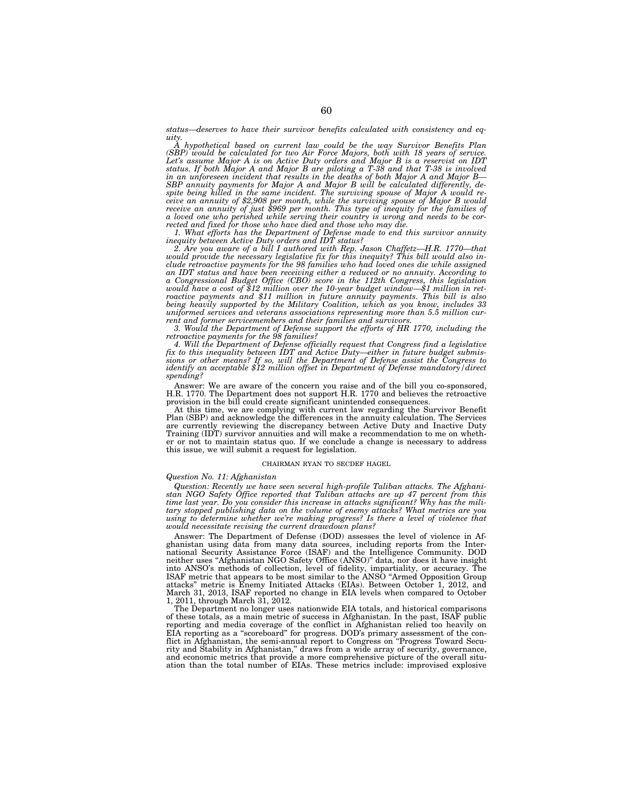*status—deserves to have their survivor benefits calculated with consistency and equity.* 

*A hypothetical based on current law could be the way Survivor Benefits Plan*  (SBP) would be calculated for two Air Force Majors, both with 18 years of service.<br>Let's assume Major A is on Active Duty orders and Major B is a reservist on IDT<br>status. If both Major A and Major B are piloting a T-38 and spite being killed in the same incident. The surviving spouse of Major A would re-<br>ceive an annuity of \$2,908 per month, while the surviving spouse of Major B would<br>receive an annuity of just \$969 per month. This type of i *a loved one who perished while serving their country is wrong and needs to be cor-rected and fixed for those who have died and those who may die.* 

1. What efforts has the Department of Defense made to end this survivor annuity<br>inequity between Active Duty orders and IDT status?<br>2. Are you aware of a bill I authored with Rep. Jason Chaffetz—H.R. 1770—that<br>would provid *clude retroactive payments for the 98 families who had loved ones die while assigned an IDT status and have been receiving either a reduced or no annuity. According to*  a Congressional Budget Office (CBO) score in the 112th Congress, this legislation<br>would have a cost of \$12 million over the 10-year budget window—\$1 million in ret-<br>roactive payments and \$11 million in future annuity payme *uniformed services and veterans associations representing more than 5.5 million current and former servicemembers and their families and survivors.* 

*3. Would the Department of Defense support the efforts of HR 1770, including the retroactive payments for the 98 families? 4. Will the Department of Defense officially request that Congress find a legislative* 

*fix to this inequality between IDT and Active Duty—either in future budget submis-sions or other means? If so, will the Department of Defense assist the Congress to identify an acceptable \$12 million offset in Department of Defense mandatory/direct spending?* 

Answer: We are aware of the concern you raise and of the bill you co-sponsored, H.R. 1770. The Department does not support H.R. 1770 and believes the retroactive provision in the bill could create significant unintended consequences.

At this time, we are complying with current law regarding the Survivor Benefit Plan (SBP) and acknowledge the differences in the annuity calculation. The Services<br>are currently reviewing the discrepancy between Active Duty and Inactive Duty<br>Training (IDT) survivor annuities and will make a recommenda er or not to maintain status quo. If we conclude a change is necessary to address this issue, we will submit a request for legislation.

# CHAIRMAN RYAN TO SECDEF HAGEL

# *Question No. 11: Afghanistan*

Question: Recently we have seen several high-profile Taliban attacks. The Afghani-<br>stan NGO Safety Office reported that Taliban attacks are up 47 percent from this<br>time last year. Do you consider this increase in attacks s *tary stopped publishing data on the volume of enemy attacks? What metrics are you using to determine whether we're making progress? Is there a level of violence that would necessitate revising the current drawdown plans?* 

Answer: The Department of Defense (DOD) assesses the level of violence in Afghanistan using data from many data sources, including reports from the International Security Assistance Force (ISAF) and the Intelligence Community. DOD neither uses ''Afghanistan NGO Safety Office (ANSO)'' data, nor does it have insight into ANSO's methods of collection, level of fidelity, impartiality, or accuracy. The ISAF metric that appears to be most similar to the ANSO ''Armed Opposition Group attacks'' metric is Enemy Initiated Attacks (EIAs). Between October 1, 2012, and March 31, 2013, ISAF reported no change in EIA levels when compared to October 1, 2011, through March 31, 2012.

The Department no longer uses nationwide EIA totals, and historical comparisons of these totals, as a main metric of success in Afghanistan. In the past, ISAF public reporting and media coverage of the conflict in Afghanistan relied too heavily on EIA reporting as a ''scoreboard'' for progress. DOD's primary assessment of the conflict in Afghanistan, the semi-annual report to Congress on ''Progress Toward Security and Stability in Afghanistan,'' draws from a wide array of security, governance, and economic metrics that provide a more comprehensive picture of the overall situation than the total number of EIAs. These metrics include: improvised explosive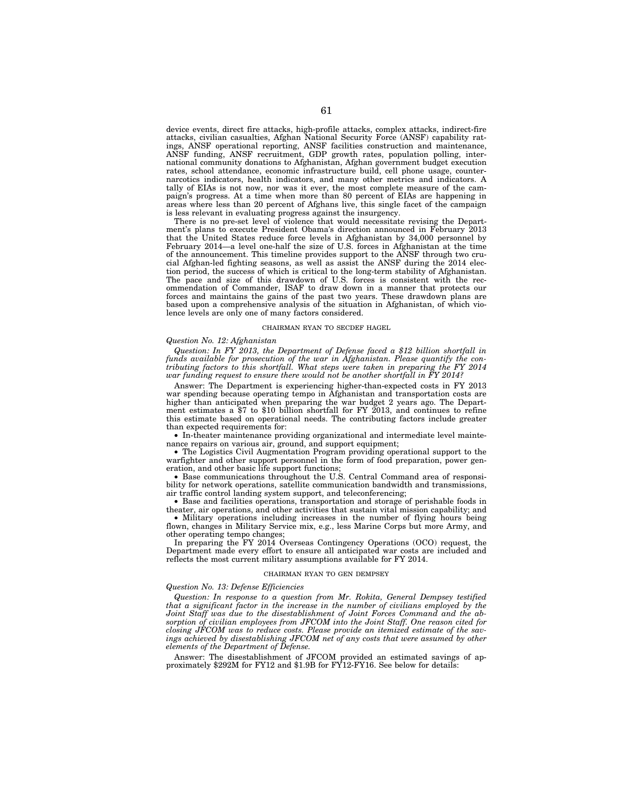device events, direct fire attacks, high-profile attacks, complex attacks, indirect-fire attacks, civilian casualties, Afghan National Security Force (ANSF) capability ratings, ANSF operational reporting, ANSF facilities construction and maintenance, ANSF funding, ANSF recruitment, GDP growth rates, population polling, international community donations to Afghanistan, Afghan government budget execution rates, school attendance, economic infrastructure build, cell phone usage, counternarcotics indicators, health indicators, and many other metrics and indicators. A tally of EIAs is not now, nor was it ever, the most complete measure of the campaign's progress. At a time when more than 80 percent of EIAs are happening in areas where less than 20 percent of Afghans live, this single facet of the campaign is less relevant in evaluating progress against the insurgency.

There is no pre-set level of violence that would necessitate revising the Department's plans to execute President Obama's direction announced in February 2013 that the United States reduce force levels in Afghanistan by 34,000 personnel by February 2014—a level one-half the size of U.S. forces in Afghanistan at the time of the announcement. This timeline provides support to the ANSF through two crucial Afghan-led fighting seasons, as well as assist the ANSF during the 2014 election period, the success of which is critical to the long-term stability of Afghanistan. The pace and size of this drawdown of U.S. forces is consistent with the recommendation of Commander, ISAF to draw down in a manner that protects our forces and maintains the gains of the past two years. These drawdown plans are based upon a comprehensive analysis of the situation in Afghanistan, of which violence levels are only one of many factors considered.

# CHAIRMAN RYAN TO SECDEF HAGEL

# *Question No. 12: Afghanistan*

*Question: In FY 2013, the Department of Defense faced a \$12 billion shortfall in funds available for prosecution of the war in Afghanistan. Please quantify the contributing factors to this shortfall. What steps were taken in preparing the FY 2014 war funding request to ensure there would not be another shortfall in FY 2014?* 

Answer: The Department is experiencing higher-than-expected costs in FY 2013 war spending because operating tempo in Afghanistan and transportation costs are higher than anticipated when preparing the war budget 2 years ago. The Department estimates a \$7 to \$10 billion shortfall for FY 2013, and continues to refine this estimate based on operational needs. The contributing factors include greater than expected requirements for:

• In-theater maintenance providing organizational and intermediate level maintenance repairs on various air, ground, and support equipment;

• The Logistics Civil Augmentation Program providing operational support to the warfighter and other support personnel in the form of food preparation, power generation, and other basic life support functions;

• Base communications throughout the U.S. Central Command area of responsibility for network operations, satellite communication bandwidth and transmissions, air traffic control landing system support, and teleconferencing;

• Base and facilities operations, transportation and storage of perishable foods in theater, air operations, and other activities that sustain vital mission capability; and

• Military operations including increases in the number of flying hours being flown, changes in Military Service mix, e.g., less Marine Corps but more Army, and other operating tempo changes;

In preparing the FY 2014 Overseas Contingency Operations (OCO) request, the Department made every effort to ensure all anticipated war costs are included and reflects the most current military assumptions available for FY 2014.

#### CHAIRMAN RYAN TO GEN DEMPSEY

# *Question No. 13: Defense Efficiencies*

*Question: In response to a question from Mr. Rokita, General Dempsey testified that a significant factor in the increase in the number of civilians employed by the Joint Staff was due to the disestablishment of Joint Forces Command and the absorption of civilian employees from JFCOM into the Joint Staff. One reason cited for closing JFCOM was to reduce costs. Please provide an itemized estimate of the sav*ings achieved by disestablishing JFCOM net of any costs that were assumed by other *elements of the Department of Defense.* 

Answer: The disestablishment of JFCOM provided an estimated savings of approximately \$292M for FY12 and \$1.9B for FY12-FY16. See below for details: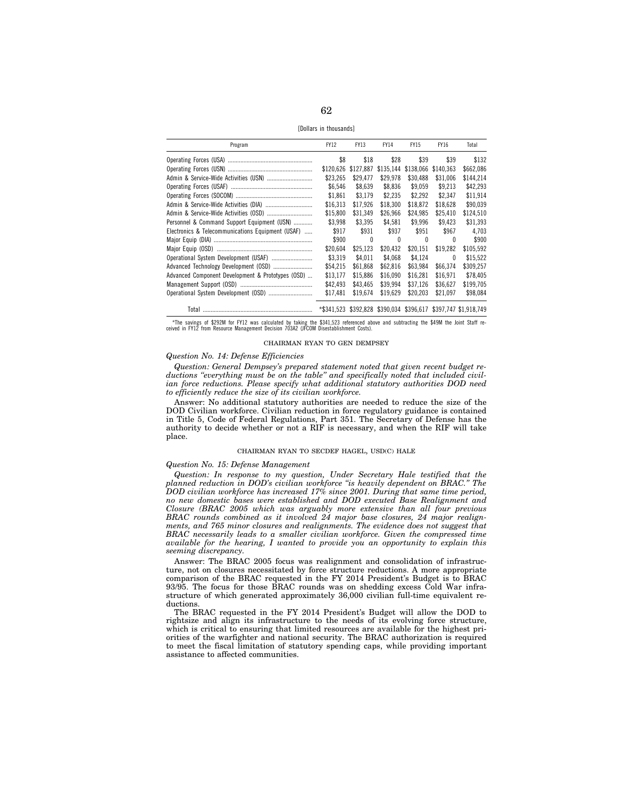[Dollars in thousands]

| Program                                           | <b>FY12</b> | <b>FY13</b>  | <b>FY14</b> | <b>FY15</b> | <b>FY16</b>  | Total                                                          |
|---------------------------------------------------|-------------|--------------|-------------|-------------|--------------|----------------------------------------------------------------|
|                                                   | \$8         | \$18         | \$28        | \$39        | \$39         | \$132                                                          |
|                                                   | \$120.626   | \$127.887    | \$135,144   | \$138,066   | \$140.363    | \$662,086                                                      |
|                                                   | \$23.265    | \$29,477     | \$29.978    | \$30.488    | \$31.006     | \$144.214                                                      |
|                                                   | \$6,546     | \$8,639      | \$8,836     | \$9,059     | \$9.213      | \$42,293                                                       |
|                                                   | \$1.861     | \$3.179      | \$2.235     | \$2.292     | \$2.347      | \$11,914                                                       |
|                                                   | \$16.313    | \$17.926     | \$18.300    | \$18.872    | \$18,628     | \$90.039                                                       |
|                                                   | \$15.800    | \$31,349     | \$26,966    | \$24,985    | \$25,410     | \$124,510                                                      |
| Personnel & Command Support Equipment (USN)       | \$3.998     | \$3.395      | \$4.581     | \$9,996     | \$9.423      | \$31,393                                                       |
| Electronics & Telecommunications Equipment (USAF) | \$917       | \$931        | \$937       | \$951       | \$967        | 4.703                                                          |
|                                                   | \$900       | $\mathbf{0}$ | 0           | 0           | $\theta$     | \$900                                                          |
|                                                   | \$20.604    | \$25.123     | \$20.432    | \$20.151    | \$19.282     | \$105,592                                                      |
|                                                   | \$3,319     | \$4.011      | \$4.068     | \$4.124     | $\mathbf{0}$ | \$15,522                                                       |
|                                                   | \$54.215    | \$61.868     | \$62.816    | \$63.984    | \$66.374     | \$309.257                                                      |
| Advanced Component Development & Prototypes (OSD) | \$13.177    | \$15,886     | \$16,090    | \$16.281    | \$16.971     | \$78.405                                                       |
|                                                   | \$42,493    | \$43,465     | \$39,994    | \$37,126    | \$36.627     | \$199,705                                                      |
|                                                   | \$17,481    | \$19,674     | \$19,629    | \$20.203    | \$21.097     | \$98,084                                                       |
|                                                   |             |              |             |             |              | *\$341.523 \$392.828 \$390.034 \$396.617 \$397.747 \$1.918.749 |

\*The savings of \$292M for FY12 was calculated by taking the \$341,523 referenced above and subtracting the \$49M the Joint Staff re-ceived in FY12 from Resource Management Decision 703A2 (JFCOM Disestablishment Costs).

# CHAIRMAN RYAN TO GEN DEMPSEY

# *Question No. 14: Defense Efficiencies*

*Question: General Dempsey's prepared statement noted that given recent budget reductions ''everything must be on the table'' and specifically noted that included civilian force reductions. Please specify what additional statutory authorities DOD need to efficiently reduce the size of its civilian workforce.* 

Answer: No additional statutory authorities are needed to reduce the size of the DOD Civilian workforce. Civilian reduction in force regulatory guidance is contained in Title 5, Code of Federal Regulations, Part 351. The Secretary of Defense has the authority to decide whether or not a RIF is necessary, and when the RIF will take place.

# CHAIRMAN RYAN TO SECDEF HAGEL, USD(C) HALE

# *Question No. 15: Defense Management*

*Question: In response to my question, Under Secretary Hale testified that the planned reduction in DOD's civilian workforce ''is heavily dependent on BRAC.'' The DOD civilian workforce has increased 17% since 2001. During that same time period, no new domestic bases were established and DOD executed Base Realignment and Closure (BRAC 2005 which was arguably more extensive than all four previous BRAC rounds combined as it involved 24 major base closures, 24 major realignments, and 765 minor closures and realignments. The evidence does not suggest that BRAC necessarily leads to a smaller civilian workforce. Given the compressed time available for the hearing, I wanted to provide you an opportunity to explain this seeming discrepancy.* 

Answer: The BRAC 2005 focus was realignment and consolidation of infrastructure, not on closures necessitated by force structure reductions. A more appropriate comparison of the BRAC requested in the FY 2014 President's Budget is to BRAC 93/95. The focus for those BRAC rounds was on shedding excess Cold War infrastructure of which generated approximately 36,000 civilian full-time equivalent reductions.

The BRAC requested in the FY 2014 President's Budget will allow the DOD to rightsize and align its infrastructure to the needs of its evolving force structure, which is critical to ensuring that limited resources are available for the highest priorities of the warfighter and national security. The BRAC authorization is required to meet the fiscal limitation of statutory spending caps, while providing important assistance to affected communities.

62